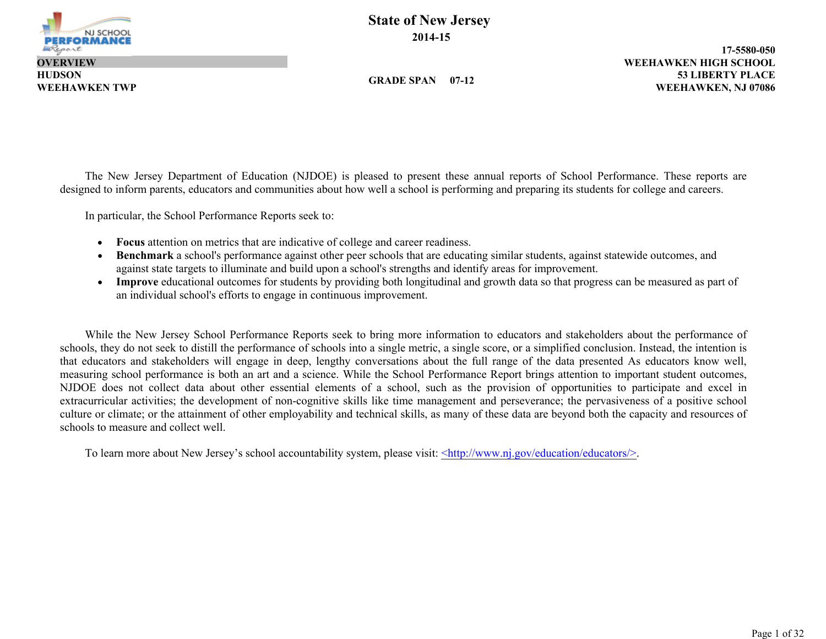

**HUDSON**

**State of New Jersey 2014-15**

**GRADE SPAN 07-12**

**53 LIBERTY PLACE 17-5580-050 WEEHAWKEN TWP WEEHAWKEN, NJ 07086 WEEHAWKEN HIGH SCHOOL**

The New Jersey Department of Education (NJDOE) is pleased to present these annual reports of School Performance. These reports are designed to inform parents, educators and communities about how well a school is performing and preparing its students for college and careers.

In particular, the School Performance Reports seek to:

- **Focus** attention on metrics that are indicative of college and career readiness.
- **Benchmark** a school's performance against other peer schools that are educating similar students, against statewide outcomes, and against state targets to illuminate and build upon a school's strengths and identify areas for improvement.
- **Improve** educational outcomes for students by providing both longitudinal and growth data so that progress can be measured as part of an individual school's efforts to engage in continuous improvement.

While the New Jersey School Performance Reports seek to bring more information to educators and stakeholders about the performance of schools, they do not seek to distill the performance of schools into a single metric, a single score, or a simplified conclusion. Instead, the intention is that educators and stakeholders will engage in deep, lengthy conversations about the full range of the data presented As educators know well, measuring school performance is both an art and a science. While the School Performance Report brings attention to important student outcomes, NJDOE does not collect data about other essential elements of a school, such as the provision of opportunities to participate and excel in extracurricular activities; the development of non-cognitive skills like time management and perseverance; the pervasiveness of a positive school culture or climate; or the attainment of other employability and technical skills, as many of these data are beyond both the capacity and resources of schools to measure and collect well.

To learn more about New Jersey's school accountability system, please visit: <http://www.nj.gov/education/educators/>.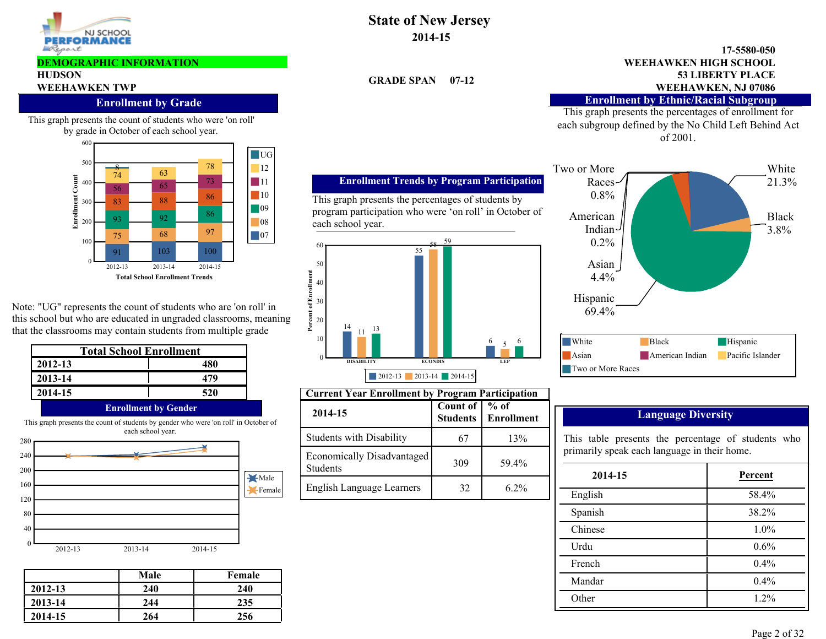

#### **DEMOGRAPHIC INFORMATION**

### **HUDSON**

### **Enrollment by Grade**

This graph presents the count of students who were 'on roll' by grade in October of each school year.



Note: "UG" represents the count of students who are 'on roll' in this school but who are educated in ungraded classrooms, meaning that the classrooms may contain students from multiple grade

| <b>Total School Enrollment</b> |                             |  |  |  |  |
|--------------------------------|-----------------------------|--|--|--|--|
| 2012-13                        | 480                         |  |  |  |  |
| 2013-14                        | 479                         |  |  |  |  |
| 2014-15                        | 520                         |  |  |  |  |
|                                | <b>Enrollment by Gender</b> |  |  |  |  |



|         | Male | Female |
|---------|------|--------|
| 2012-13 | 240  | 240    |
| 2013-14 | 244  | 235    |
| 2014-15 | 264  | 256    |

### **State of New Jersey 2014-15**

**GRADE SPAN 07-12**

#### **53 LIBERTY PLACE 17-5580-050 WEEHAWKEN TWP WEEHAWKEN, NJ 07086 WEEHAWKEN HIGH SCHOOL**

#### **Enrollment by Ethnic/Racial Subgroup**

This graph presents the percentages of enrollment for each subgroup defined by the No Child Left Behind Act of 2001.



| <b>Language Diversity</b> |  |
|---------------------------|--|
|                           |  |

| 2014-15 | Percent |
|---------|---------|
| English | 58.4%   |
| Spanish | 38.2%   |
| Chinese | $1.0\%$ |
| Urdu    | 0.6%    |
| French  | $0.4\%$ |
| Mandar  | 0.4%    |
| Other   | $1.2\%$ |

### This graph presents the percentages of students by program participation who were 'on roll' in October of each school year.

**Enrollment Trends by Program Participation**



| <b>Current Year Enrollment by Program Participation</b> |          |                                        |                                                    |         |  |  |  |
|---------------------------------------------------------|----------|----------------------------------------|----------------------------------------------------|---------|--|--|--|
| 2014-15                                                 | Count of | $%$ of<br><b>Students   Enrollment</b> | <b>Language Diversity</b>                          |         |  |  |  |
| <b>Students with Disability</b>                         | 67       | 13%                                    | This table presents the percentage of students who |         |  |  |  |
| Economically Disadvantaged                              | 309      | 59.4%                                  | primarily speak each language in their home.       |         |  |  |  |
| <b>Students</b>                                         |          |                                        | 2014-15                                            | Percent |  |  |  |
| English Language Learners                               | 32       | $6.2\%$                                | English                                            | 58.4%   |  |  |  |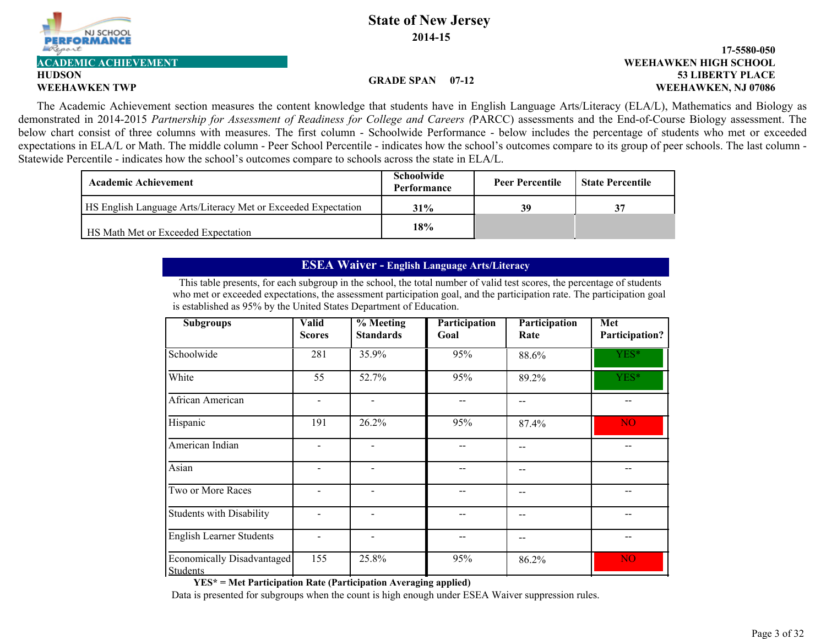

# **HUDSON**

#### **GRADE SPAN 07-12**

#### **53 LIBERTY PLACE 17-5580-050 WEEHAWKEN TWP WEEHAWKEN, NJ 07086 ACADEMIC ACHIEVEMENT WEEHAWKEN HIGH SCHOOL**

The Academic Achievement section measures the content knowledge that students have in English Language Arts/Literacy (ELA/L), Mathematics and Biology as demonstrated in 2014-2015 *Partnership for Assessment of Readiness for College and Careers (*PARCC) assessments and the End-of-Course Biology assessment. The below chart consist of three columns with measures. The first column - Schoolwide Performance - below includes the percentage of students who met or exceeded expectations in ELA/L or Math. The middle column - Peer School Percentile - indicates how the school's outcomes compare to its group of peer schools. The last column - Statewide Percentile - indicates how the school's outcomes compare to schools across the state in ELA/L.

| Academic Achievement                                          | Schoolwide<br>Performance | <b>Peer Percentile</b> | <b>State Percentile</b> |
|---------------------------------------------------------------|---------------------------|------------------------|-------------------------|
| HS English Language Arts/Literacy Met or Exceeded Expectation | 31%                       | 39                     | 37                      |
| HS Math Met or Exceeded Expectation                           | 18%                       |                        |                         |

### **ESEA Waiver - English Language Arts/Literacy**

This table presents, for each subgroup in the school, the total number of valid test scores, the percentage of students who met or exceeded expectations, the assessment participation goal, and the participation rate. The participation goal is established as 95% by the United States Department of Education.

| <b>Subgroups</b>                              | <b>Valid</b><br><b>Scores</b> | % Meeting<br><b>Standards</b> | Participation<br>Goal | Participation<br>Rate | Met<br>Participation? |
|-----------------------------------------------|-------------------------------|-------------------------------|-----------------------|-----------------------|-----------------------|
| Schoolwide                                    | 281                           | 35.9%                         | 95%                   | 88.6%                 | YES*                  |
| White                                         | 55                            | 52.7%                         | 95%                   | 89.2%                 | YES*                  |
| African American                              | $\overline{\phantom{0}}$      | $\overline{\phantom{0}}$      |                       |                       |                       |
| Hispanic                                      | 191                           | 26.2%                         | 95%                   | 87.4%                 | <b>NO</b>             |
| American Indian                               | $\blacksquare$                |                               |                       |                       |                       |
| Asian                                         | $\overline{a}$                | $\blacksquare$                |                       |                       |                       |
| Two or More Races                             | -                             | $\blacksquare$                |                       | --                    |                       |
| <b>Students with Disability</b>               | $\overline{\phantom{0}}$      | $\qquad \qquad \blacksquare$  |                       | --                    |                       |
| <b>English Learner Students</b>               | $\overline{\phantom{0}}$      | $\overline{\phantom{a}}$      |                       |                       |                       |
| Economically Disadvantaged<br><b>Students</b> | 155                           | 25.8%                         | 95%                   | 86.2%                 | N <sub>O</sub>        |

**YES\* = Met Participation Rate (Participation Averaging applied)**

Data is presented for subgroups when the count is high enough under ESEA Waiver suppression rules.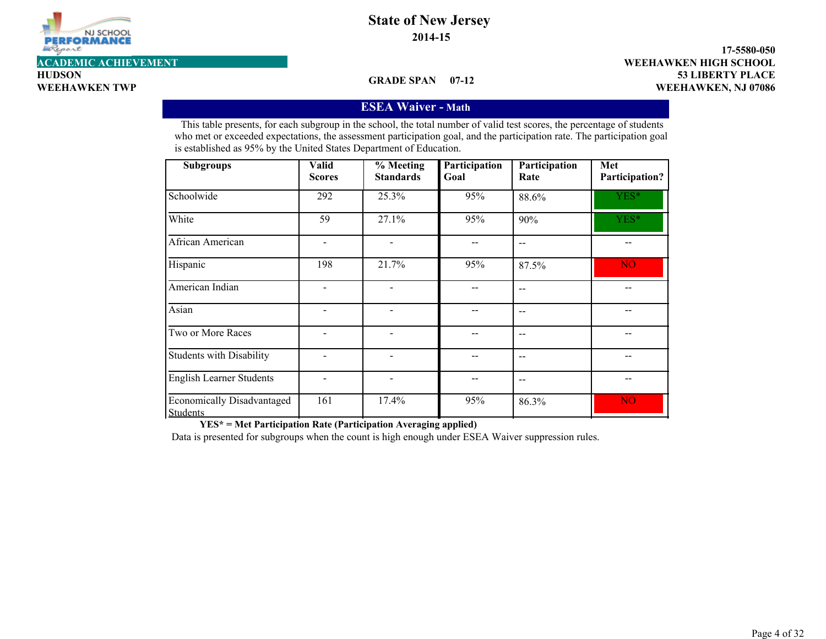

**HUDSON**

**53 LIBERTY PLACE 17-5580-050 WEEHAWKEN TWP WEEHAWKEN, NJ 07086 ACADEMIC ACHIEVEMENT WEEHAWKEN HIGH SCHOOL**

#### **GRADE SPAN 07-12**

#### **ESEA Waiver - Math**

This table presents, for each subgroup in the school, the total number of valid test scores, the percentage of students who met or exceeded expectations, the assessment participation goal, and the participation rate. The participation goal is established as 95% by the United States Department of Education.

| <b>Subgroups</b>                              | <b>Valid</b><br><b>Scores</b> | $%$ Meeting<br><b>Standards</b> | Participation<br>Goal | Participation<br>Rate | Met<br>Participation? |
|-----------------------------------------------|-------------------------------|---------------------------------|-----------------------|-----------------------|-----------------------|
| Schoolwide                                    | 292                           | 25.3%                           | 95%                   | 88.6%                 | YES*                  |
| White                                         | 59                            | 27.1%                           | 95%                   | 90%                   | YES*                  |
| African American                              |                               |                                 |                       | $-$                   |                       |
| Hispanic                                      | 198                           | 21.7%                           | 95%                   | 87.5%                 | NO <sub>1</sub>       |
| American Indian                               |                               |                                 |                       | $-$                   |                       |
| Asian                                         |                               |                                 |                       |                       |                       |
| Two or More Races                             |                               |                                 |                       | $-$                   |                       |
| Students with Disability                      |                               |                                 |                       | $-$                   |                       |
| <b>English Learner Students</b>               |                               | $\overline{\phantom{0}}$        |                       | $-$                   |                       |
| Economically Disadvantaged<br><b>Students</b> | 161                           | 17.4%                           | 95%                   | 86.3%                 | N <sub>O</sub>        |

**YES\* = Met Participation Rate (Participation Averaging applied)**

Data is presented for subgroups when the count is high enough under ESEA Waiver suppression rules.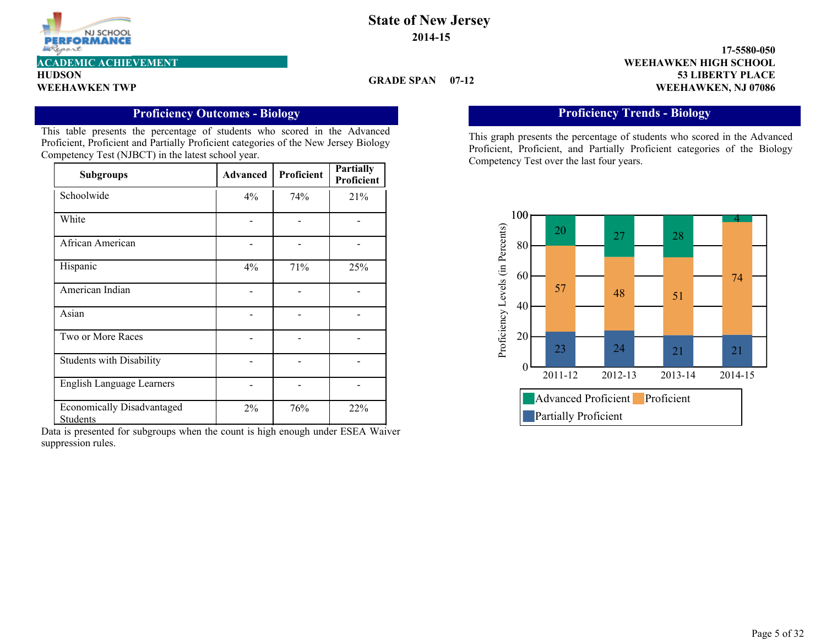

**HUDSON**

#### **GRADE SPAN 07-12**

**53 LIBERTY PLACE 17-5580-050 WEEHAWKEN TWP WEEHAWKEN, NJ 07086 ACADEMIC ACHIEVEMENT WEEHAWKEN HIGH SCHOOL**

### **Proficiency Outcomes - Biology**

This table presents the percentage of students who scored in the Advanced Proficient, Proficient and Partially Proficient categories of the New Jersey Biology Competency Test (NJBCT) in the latest school year.

| <b>Subgroups</b>                              | <b>Advanced</b> | Proficient | <b>Partially</b><br>Proficient |
|-----------------------------------------------|-----------------|------------|--------------------------------|
| Schoolwide                                    | 4%              | 74%        | 21%                            |
| White                                         |                 |            |                                |
| African American                              |                 |            |                                |
| Hispanic                                      | 4%              | 71%        | 25%                            |
| American Indian                               |                 |            |                                |
| Asian                                         |                 |            |                                |
| Two or More Races                             |                 |            |                                |
| <b>Students with Disability</b>               |                 |            |                                |
| <b>English Language Learners</b>              |                 |            |                                |
| <b>Economically Disadvantaged</b><br>Students | $2\%$           | 76%        | 22%                            |

Data is presented for subgroups when the count is high enough under ESEA Waiver suppression rules.

### **Proficiency Trends - Biology**

This graph presents the percentage of students who scored in the Advanced Proficient, Proficient, and Partially Proficient categories of the Biology Competency Test over the last four years.

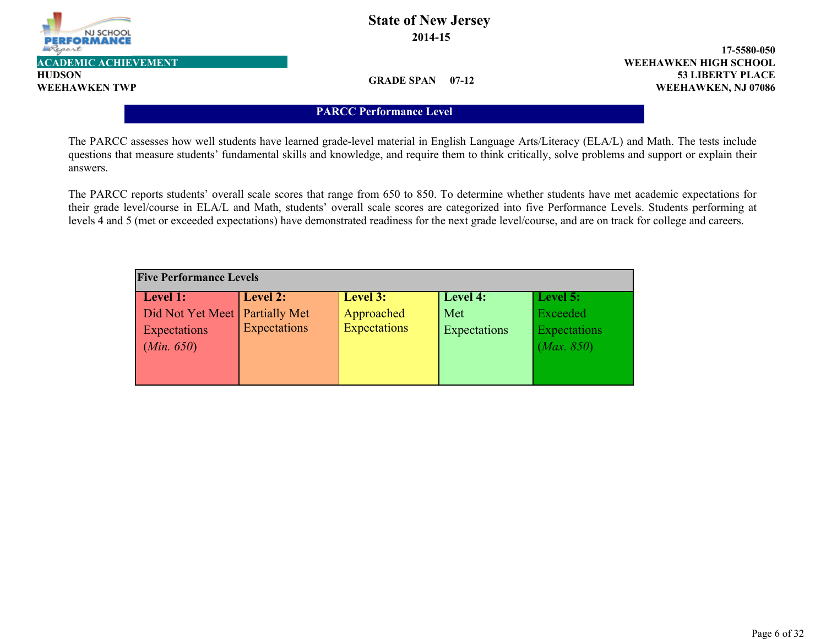

**HUDSON**

### **State of New Jersey 2014-15**

**53 LIBERTY PLACE 17-5580-050 WEEHAWKEN TWP WEEHAWKEN, NJ 07086 ACADEMIC ACHIEVEMENT WEEHAWKEN HIGH SCHOOL**

**GRADE SPAN 07-12**

#### **PARCC Performance Level**

The PARCC assesses how well students have learned grade-level material in English Language Arts/Literacy (ELA/L) and Math. The tests include questions that measure students' fundamental skills and knowledge, and require them to think critically, solve problems and support or explain their answers.

The PARCC reports students' overall scale scores that range from 650 to 850. To determine whether students have met academic expectations for their grade level/course in ELA/L and Math, students' overall scale scores are categorized into five Performance Levels. Students performing at levels 4 and 5 (met or exceeded expectations) have demonstrated readiness for the next grade level/course, and are on track for college and careers.

| <b>Five Performance Levels</b>   |              |                     |              |              |  |  |  |  |
|----------------------------------|--------------|---------------------|--------------|--------------|--|--|--|--|
| Level 1:                         | Level 2:     | Level 3:            | Level 4:     | Level 5:     |  |  |  |  |
| Did Not Yet Meet   Partially Met |              | Approached          | Met          | Exceeded     |  |  |  |  |
| Expectations                     | Expectations | <b>Expectations</b> | Expectations | Expectations |  |  |  |  |
| (Min. 650)                       |              |                     |              | (Max. 850)   |  |  |  |  |
|                                  |              |                     |              |              |  |  |  |  |
|                                  |              |                     |              |              |  |  |  |  |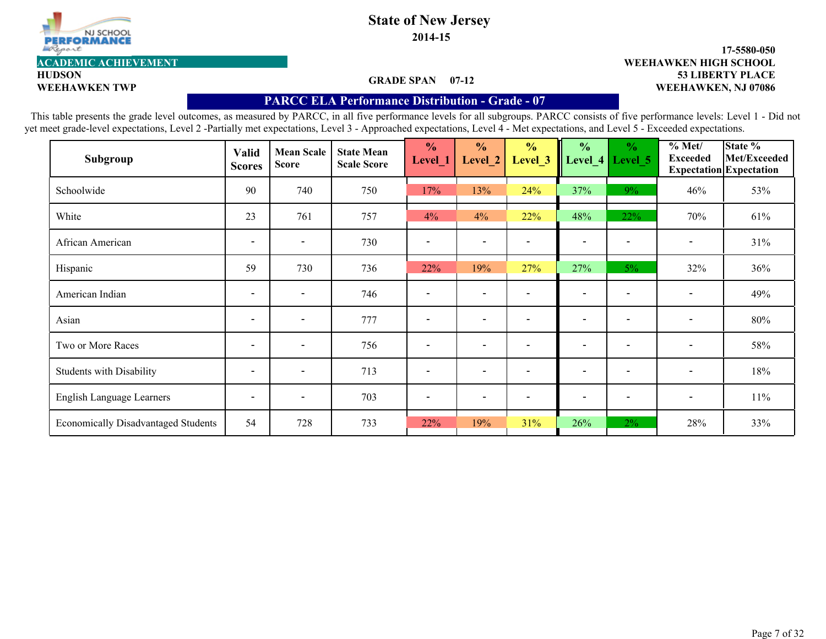

**2014-15**

#### **GRADE SPAN 07-12**

#### **53 LIBERTY PLACE 17-5580-050 WEEHAWKEN TWP WEEHAWKEN, NJ 07086 ACADEMIC ACHIEVEMENT WEEHAWKEN HIGH SCHOOL**

**HUDSON**

#### **PARCC ELA Performance Distribution - Grade - 07**

| Subgroup                                   | <b>Valid</b><br><b>Scores</b> | <b>Mean Scale</b><br><b>Score</b> | <b>State Mean</b><br><b>Scale Score</b> | $\frac{0}{0}$<br>Level_1 | $\frac{0}{0}$<br>Level 2 | $\frac{0}{0}$<br>Level_3 | $\frac{0}{0}$<br>Level <sub>4</sub> | $\frac{0}{0}$<br>Level 5 | % Met/<br><b>Exceeded</b> | State %<br>Met/Exceeded<br><b>Expectation</b> Expectation |
|--------------------------------------------|-------------------------------|-----------------------------------|-----------------------------------------|--------------------------|--------------------------|--------------------------|-------------------------------------|--------------------------|---------------------------|-----------------------------------------------------------|
| Schoolwide                                 | 90                            | 740                               | 750                                     | 17%                      | 13%                      | 24%                      | 37%                                 | $9\%$                    | 46%                       | 53%                                                       |
| White                                      | 23                            | 761                               | 757                                     | 4%                       | 4%                       | 22%                      | 48%                                 | 22%                      | 70%                       | 61%                                                       |
| African American                           | $\overline{\phantom{a}}$      | $\overline{\phantom{0}}$          | 730                                     |                          | $\overline{\phantom{a}}$ |                          | $\overline{\phantom{0}}$            |                          | $\overline{\phantom{a}}$  | 31%                                                       |
| Hispanic                                   | 59                            | 730                               | 736                                     | 22%                      | 19%                      | 27%                      | 27%                                 | $5\%$                    | 32%                       | 36%                                                       |
| American Indian                            | $\overline{\phantom{a}}$      | $\overline{\phantom{0}}$          | 746                                     | $\overline{\phantom{a}}$ | $\overline{\phantom{a}}$ |                          | $\overline{\phantom{a}}$            |                          |                           | 49%                                                       |
| Asian                                      | $\overline{\phantom{a}}$      | $\overline{\phantom{a}}$          | 777                                     | $\overline{\phantom{a}}$ | $\overline{\phantom{a}}$ | $\overline{\phantom{a}}$ | $\overline{\phantom{a}}$            | $\overline{\phantom{a}}$ | $\overline{\phantom{a}}$  | 80%                                                       |
| Two or More Races                          | $\overline{\phantom{a}}$      | $\overline{\phantom{a}}$          | 756                                     | $\overline{\phantom{a}}$ | $\overline{\phantom{0}}$ |                          | $\overline{\phantom{a}}$            |                          | $\overline{\phantom{a}}$  | 58%                                                       |
| <b>Students with Disability</b>            | $\overline{\phantom{a}}$      | $\overline{\phantom{a}}$          | 713                                     | $\overline{\phantom{a}}$ | $\overline{\phantom{0}}$ |                          | $\overline{\phantom{a}}$            | $\overline{\phantom{0}}$ | $\overline{\phantom{a}}$  | 18%                                                       |
| English Language Learners                  | $\overline{\phantom{a}}$      | $\overline{\phantom{a}}$          | 703                                     | $\overline{\phantom{a}}$ | $\overline{\phantom{a}}$ |                          | $\overline{\phantom{a}}$            | $\overline{\phantom{a}}$ | $\overline{\phantom{a}}$  | $11\%$                                                    |
| <b>Economically Disadvantaged Students</b> | 54                            | 728                               | 733                                     | 22%                      | 19%                      | 31%                      | 26%                                 | $2\%$                    | 28%                       | 33%                                                       |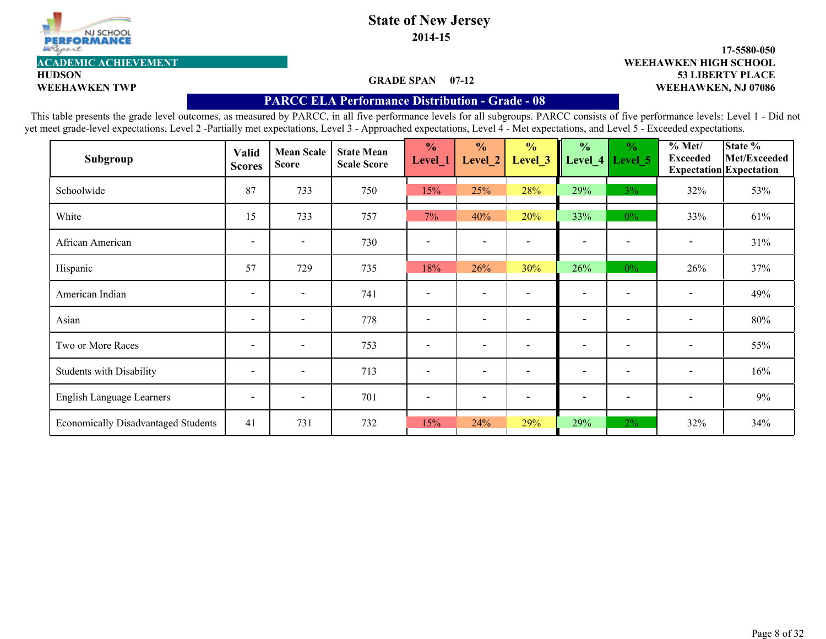

**2014-15**

#### **GRADE SPAN 07-12**

#### **53 LIBERTY PLACE 17-5580-050 WEEHAWKEN TWP WEEHAWKEN, NJ 07086 ACADEMIC ACHIEVEMENT WEEHAWKEN HIGH SCHOOL**

**HUDSON**

#### **PARCC ELA Performance Distribution - Grade - 08**

| Subgroup                                   | <b>Valid</b><br><b>Scores</b> | <b>Mean Scale</b><br><b>Score</b> | <b>State Mean</b><br><b>Scale Score</b> | $\frac{0}{0}$<br>Level_1 | $\frac{0}{0}$<br>Level 2 | $\frac{0}{0}$<br>Level 3 | $\frac{0}{0}$<br>Level 4 | $\frac{0}{0}$<br>Level 5 | $\sqrt[9]{\text{O}}$ Met/<br><b>Exceeded</b> | State %<br>Met/Exceeded<br><b>Expectation</b> Expectation |
|--------------------------------------------|-------------------------------|-----------------------------------|-----------------------------------------|--------------------------|--------------------------|--------------------------|--------------------------|--------------------------|----------------------------------------------|-----------------------------------------------------------|
| Schoolwide                                 | 87                            | 733                               | 750                                     | 15%                      | 25%                      | 28%                      | 29%                      | $3\%$                    | 32%                                          | 53%                                                       |
| White                                      | 15                            | 733                               | 757                                     | $7\%$                    | 40%                      | 20%                      | 33%                      | $0\%$                    | 33%                                          | 61%                                                       |
| African American                           | $\overline{\phantom{a}}$      | $\overline{\phantom{0}}$          | 730                                     | $\overline{\phantom{a}}$ | $\overline{\phantom{0}}$ |                          | $\overline{\phantom{0}}$ |                          | $\overline{\phantom{a}}$                     | 31%                                                       |
| Hispanic                                   | 57                            | 729                               | 735                                     | 18%                      | 26%                      | 30%                      | 26%                      | $0\%$                    | 26%                                          | 37%                                                       |
| American Indian                            | $\overline{\phantom{a}}$      | $\overline{\phantom{a}}$          | 741                                     |                          | $\overline{\phantom{a}}$ |                          | $\overline{\phantom{a}}$ |                          |                                              | 49%                                                       |
| Asian                                      | $\overline{\phantom{a}}$      | $\overline{\phantom{a}}$          | 778                                     | $\overline{\phantom{a}}$ | $\overline{\phantom{a}}$ | $\overline{\phantom{a}}$ | $\overline{\phantom{a}}$ | $\overline{\phantom{a}}$ | $\overline{\phantom{a}}$                     | 80%                                                       |
| Two or More Races                          | $\overline{\phantom{a}}$      | $\overline{\phantom{a}}$          | 753                                     | $\overline{\phantom{a}}$ | $\overline{\phantom{0}}$ |                          | $\overline{\phantom{a}}$ | $\overline{\phantom{a}}$ | $\overline{\phantom{a}}$                     | 55%                                                       |
| <b>Students with Disability</b>            | $\overline{\phantom{a}}$      | $\overline{\phantom{a}}$          | 713                                     | $\overline{\phantom{a}}$ | $\overline{\phantom{a}}$ |                          | $\overline{\phantom{a}}$ | $\overline{\phantom{a}}$ | $\overline{\phantom{a}}$                     | 16%                                                       |
| English Language Learners                  | $\overline{\phantom{a}}$      | $\overline{\phantom{0}}$          | 701                                     | $\overline{\phantom{a}}$ | $\blacksquare$           | $\overline{\phantom{a}}$ | $\overline{\phantom{a}}$ | $\overline{\phantom{a}}$ | $\overline{\phantom{a}}$                     | 9%                                                        |
| <b>Economically Disadvantaged Students</b> | 41                            | 731                               | 732                                     | 15%                      | 24%                      | 29%                      | 29%                      | $2\%$                    | 32%                                          | 34%                                                       |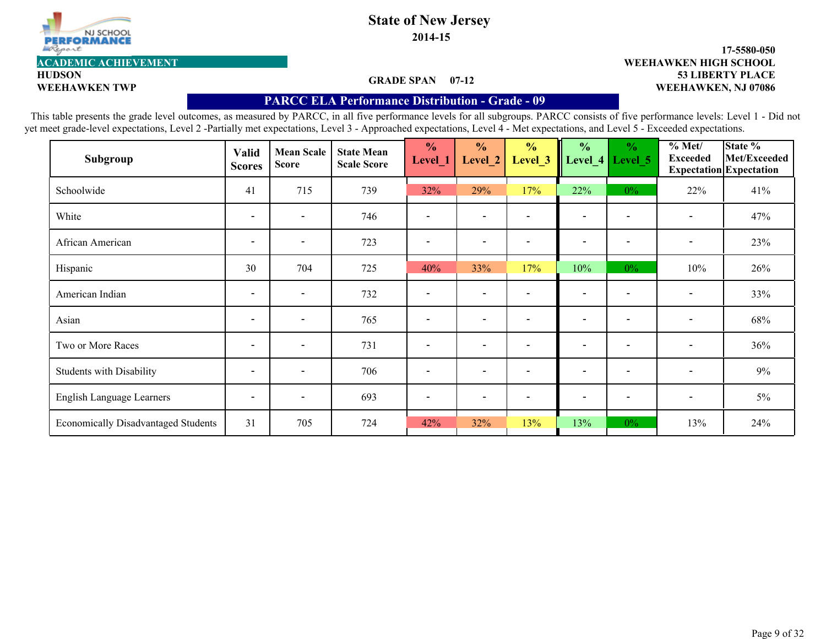

**2014-15**

#### **GRADE SPAN 07-12**

#### **53 LIBERTY PLACE 17-5580-050 WEEHAWKEN TWP WEEHAWKEN, NJ 07086 ACADEMIC ACHIEVEMENT WEEHAWKEN HIGH SCHOOL**

**HUDSON**

#### **PARCC ELA Performance Distribution - Grade - 09**

| Subgroup                                   | <b>Valid</b><br><b>Scores</b> | <b>Mean Scale</b><br><b>Score</b> | <b>State Mean</b><br><b>Scale Score</b> | $\frac{0}{0}$<br>Level_1 | $\frac{0}{0}$<br>Level_2 | $\frac{0}{0}$<br>Level 3 | $\frac{0}{0}$<br>Level <sub>4</sub> | $\frac{0}{0}$<br>Level 5 | $\frac{6}{10}$ Met/<br><b>Exceeded</b> | State %<br>Met/Exceeded<br><b>Expectation</b> Expectation |
|--------------------------------------------|-------------------------------|-----------------------------------|-----------------------------------------|--------------------------|--------------------------|--------------------------|-------------------------------------|--------------------------|----------------------------------------|-----------------------------------------------------------|
| Schoolwide                                 | 41                            | 715                               | 739                                     | 32%                      | 29%                      | 17%                      | 22%                                 | $0\%$                    | 22%                                    | 41%                                                       |
| White                                      | $\overline{\phantom{a}}$      | $\overline{\phantom{0}}$          | 746                                     | $\overline{\phantom{a}}$ | $\overline{\phantom{0}}$ |                          | $\overline{\phantom{a}}$            | $\overline{\phantom{a}}$ | $\overline{\phantom{a}}$               | 47%                                                       |
| African American                           | $\overline{\phantom{a}}$      | $\overline{\phantom{0}}$          | 723                                     | $\overline{\phantom{a}}$ | $\overline{\phantom{0}}$ |                          | $\overline{\phantom{a}}$            |                          | $\qquad \qquad \blacksquare$           | 23%                                                       |
| Hispanic                                   | 30                            | 704                               | 725                                     | 40%                      | 33%                      | 17%                      | 10%                                 | $0\%$                    | 10%                                    | 26%                                                       |
| American Indian                            | $\overline{\phantom{a}}$      | $\overline{\phantom{a}}$          | 732                                     | $\overline{\phantom{a}}$ | $\overline{\phantom{0}}$ |                          | $\overline{\phantom{a}}$            |                          | $\overline{\phantom{a}}$               | 33%                                                       |
| Asian                                      | $\overline{\phantom{a}}$      | $\overline{\phantom{a}}$          | 765                                     | $\overline{\phantom{a}}$ | $\overline{\phantom{a}}$ | $\overline{\phantom{a}}$ | $\overline{\phantom{a}}$            | $\overline{\phantom{a}}$ | $\overline{\phantom{a}}$               | 68%                                                       |
| Two or More Races                          | $\overline{\phantom{a}}$      | $\overline{\phantom{a}}$          | 731                                     | $\overline{\phantom{a}}$ | $\overline{\phantom{a}}$ |                          | $\overline{\phantom{a}}$            |                          | $\overline{\phantom{a}}$               | 36%                                                       |
| <b>Students with Disability</b>            | $\overline{\phantom{a}}$      | $\overline{\phantom{a}}$          | 706                                     | $\overline{\phantom{a}}$ | $\overline{\phantom{0}}$ |                          | $\overline{\phantom{0}}$            | $\overline{\phantom{a}}$ | $\overline{\phantom{a}}$               | $9\%$                                                     |
| English Language Learners                  | $\overline{\phantom{a}}$      | $\overline{\phantom{0}}$          | 693                                     | $\overline{\phantom{a}}$ | $\overline{\phantom{a}}$ |                          | $\overline{\phantom{a}}$            | $\overline{\phantom{a}}$ | $\overline{\phantom{a}}$               | $5\%$                                                     |
| <b>Economically Disadvantaged Students</b> | 31                            | 705                               | 724                                     | 42%                      | 32%                      | 13%                      | 13%                                 | $0\%$                    | 13%                                    | 24%                                                       |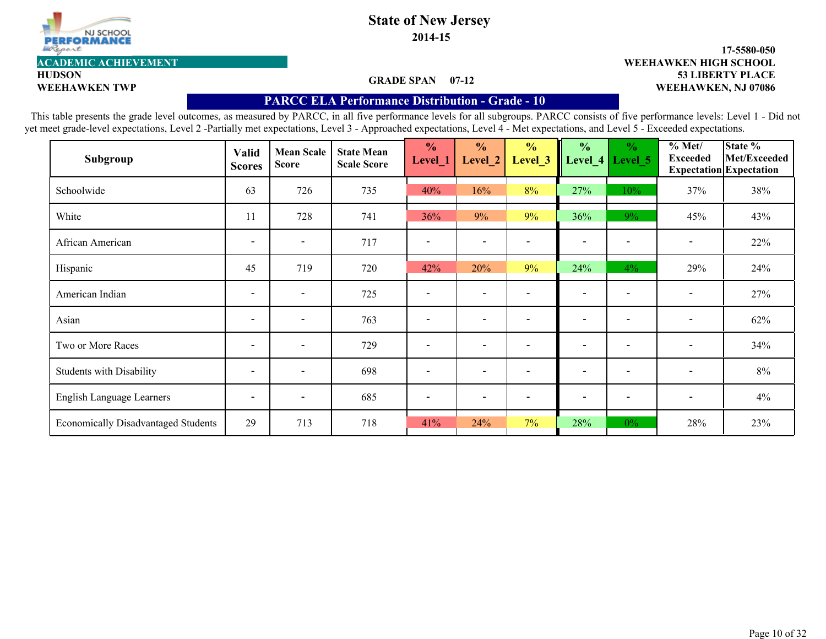

**2014-15**

#### **GRADE SPAN 07-12**

#### **53 LIBERTY PLACE 17-5580-050 WEEHAWKEN TWP WEEHAWKEN, NJ 07086 ACADEMIC ACHIEVEMENT WEEHAWKEN HIGH SCHOOL**

**HUDSON**

#### **PARCC ELA Performance Distribution - Grade - 10**

| Subgroup                                   | <b>Valid</b><br><b>Scores</b> | <b>Mean Scale</b><br><b>Score</b> | <b>State Mean</b><br><b>Scale Score</b> | $\frac{0}{0}$<br>Level_1 | $\frac{0}{0}$<br>Level 2 | $\frac{0}{0}$<br>Level 3 | $\frac{0}{0}$<br>Level_4 | $\frac{0}{0}$<br>Level 5 | % Met/<br><b>Exceeded</b> | State %<br>Met/Exceeded<br><b>Expectation</b> Expectation |
|--------------------------------------------|-------------------------------|-----------------------------------|-----------------------------------------|--------------------------|--------------------------|--------------------------|--------------------------|--------------------------|---------------------------|-----------------------------------------------------------|
| Schoolwide                                 | 63                            | 726                               | 735                                     | 40%                      | 16%                      | 8%                       | 27%                      | 10%                      | 37%                       | 38%                                                       |
| White                                      | 11                            | 728                               | 741                                     | 36%                      | 9%                       | 9%                       | 36%                      | 9%                       | 45%                       | 43%                                                       |
| African American                           | $\overline{\phantom{a}}$      | $\overline{\phantom{a}}$          | 717                                     | $\overline{\phantom{a}}$ | $\overline{\phantom{a}}$ |                          | $\overline{\phantom{a}}$ |                          | $\overline{\phantom{a}}$  | 22%                                                       |
| Hispanic                                   | 45                            | 719                               | 720                                     | 42%                      | 20%                      | 9%                       | 24%                      | $4\%$                    | 29%                       | 24%                                                       |
| American Indian                            | $\overline{\phantom{a}}$      | $\overline{\phantom{a}}$          | 725                                     | $\overline{\phantom{a}}$ | $\overline{\phantom{a}}$ |                          | $\overline{\phantom{a}}$ |                          | $\overline{\phantom{a}}$  | 27%                                                       |
| Asian                                      | $\overline{\phantom{a}}$      | $\overline{\phantom{a}}$          | 763                                     | $\overline{\phantom{a}}$ | $\overline{\phantom{a}}$ |                          | $\overline{\phantom{a}}$ | $\overline{\phantom{a}}$ | $\overline{\phantom{a}}$  | 62%                                                       |
| Two or More Races                          | $\overline{\phantom{a}}$      | $\overline{\phantom{a}}$          | 729                                     | $\overline{\phantom{a}}$ | $\overline{\phantom{0}}$ |                          | $\overline{\phantom{a}}$ |                          | $\overline{\phantom{a}}$  | 34%                                                       |
| <b>Students with Disability</b>            | $\overline{\phantom{a}}$      | $\overline{\phantom{a}}$          | 698                                     | $\overline{\phantom{a}}$ | $\overline{\phantom{0}}$ |                          | $\overline{\phantom{0}}$ | $\overline{\phantom{a}}$ | $\overline{\phantom{a}}$  | 8%                                                        |
| English Language Learners                  | $\overline{\phantom{a}}$      | $\overline{\phantom{0}}$          | 685                                     | $\overline{\phantom{a}}$ | $\overline{\phantom{a}}$ | $\overline{\phantom{a}}$ | $\overline{\phantom{a}}$ | $\overline{\phantom{a}}$ | $\overline{\phantom{a}}$  | 4%                                                        |
| <b>Economically Disadvantaged Students</b> | 29                            | 713                               | 718                                     | 41%                      | 24%                      | $7\%$                    | 28%                      | $0\%$                    | 28%                       | 23%                                                       |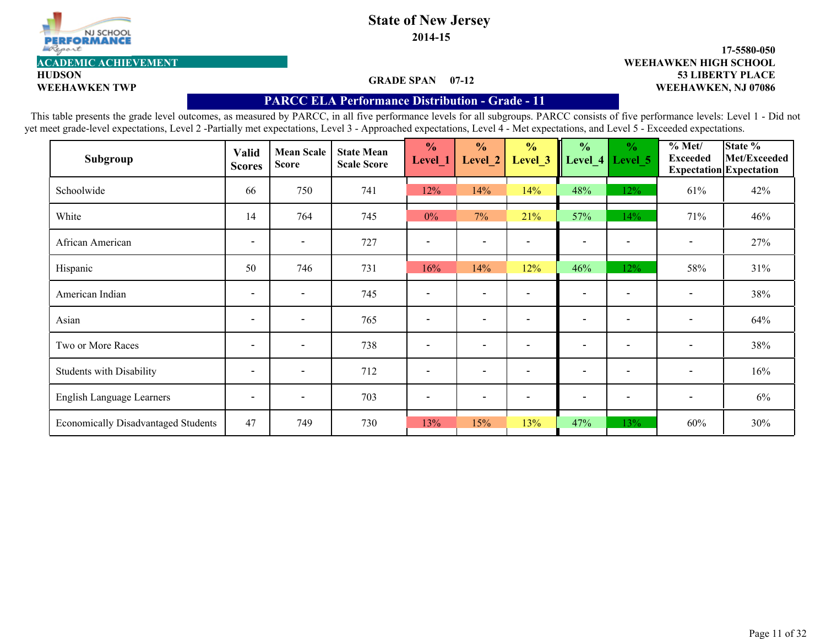

**2014-15**

#### **GRADE SPAN 07-12**

#### **53 LIBERTY PLACE 17-5580-050 WEEHAWKEN TWP WEEHAWKEN, NJ 07086 ACADEMIC ACHIEVEMENT WEEHAWKEN HIGH SCHOOL**

**HUDSON**

#### **PARCC ELA Performance Distribution - Grade - 11**

| Subgroup                                   | <b>Valid</b><br><b>Scores</b> | <b>Mean Scale</b><br><b>Score</b> | <b>State Mean</b><br><b>Scale Score</b> | $\frac{0}{0}$<br>Level_1 | $\frac{0}{0}$<br>Level 2 | $\frac{0}{0}$<br>Level 3 | $\frac{0}{0}$<br>Level_4 | $\frac{0}{0}$<br>Level 5 | % Met/<br><b>Exceeded</b> | State %<br>Met/Exceeded<br><b>Expectation</b> Expectation |
|--------------------------------------------|-------------------------------|-----------------------------------|-----------------------------------------|--------------------------|--------------------------|--------------------------|--------------------------|--------------------------|---------------------------|-----------------------------------------------------------|
| Schoolwide                                 | 66                            | 750                               | 741                                     | 12%                      | 14%                      | 14%                      | 48%                      | 12%                      | 61%                       | 42%                                                       |
| White                                      | 14                            | 764                               | 745                                     | $0\%$                    | 7%                       | 21%                      | 57%                      | 14%                      | 71%                       | 46%                                                       |
| African American                           | $\overline{\phantom{a}}$      | $\overline{\phantom{a}}$          | 727                                     | $\overline{\phantom{a}}$ | $\overline{\phantom{a}}$ |                          | $\overline{\phantom{a}}$ |                          | $\overline{\phantom{a}}$  | 27%                                                       |
| Hispanic                                   | 50                            | 746                               | 731                                     | 16%                      | 14%                      | 12%                      | 46%                      | 12%                      | 58%                       | 31%                                                       |
| American Indian                            | $\overline{\phantom{a}}$      | $\overline{\phantom{a}}$          | 745                                     | $\overline{\phantom{a}}$ | $\overline{\phantom{a}}$ |                          | $\overline{\phantom{a}}$ |                          | $\overline{\phantom{a}}$  | 38%                                                       |
| Asian                                      | $\overline{\phantom{a}}$      | $\overline{\phantom{a}}$          | 765                                     | $\overline{\phantom{a}}$ | $\overline{\phantom{a}}$ | $\overline{\phantom{a}}$ | $\overline{\phantom{a}}$ | $\overline{\phantom{a}}$ | $\overline{\phantom{a}}$  | 64%                                                       |
| Two or More Races                          | $\overline{\phantom{a}}$      | $\overline{\phantom{a}}$          | 738                                     | $\overline{\phantom{a}}$ | $\overline{\phantom{0}}$ |                          | $\overline{\phantom{a}}$ |                          | $\overline{\phantom{a}}$  | 38%                                                       |
| <b>Students with Disability</b>            | $\overline{\phantom{a}}$      | $\overline{\phantom{a}}$          | 712                                     | $\overline{\phantom{a}}$ | $\overline{\phantom{0}}$ |                          | $\overline{\phantom{0}}$ | $\overline{\phantom{a}}$ | $\overline{\phantom{a}}$  | 16%                                                       |
| English Language Learners                  | $\overline{\phantom{a}}$      | $\overline{\phantom{0}}$          | 703                                     | $\overline{\phantom{a}}$ | $\overline{\phantom{a}}$ | $\overline{\phantom{a}}$ | $\overline{\phantom{a}}$ | $\overline{\phantom{a}}$ | $\overline{\phantom{a}}$  | $6\%$                                                     |
| <b>Economically Disadvantaged Students</b> | 47                            | 749                               | 730                                     | 13%                      | 15%                      | 13%                      | 47%                      | 13%                      | 60%                       | 30%                                                       |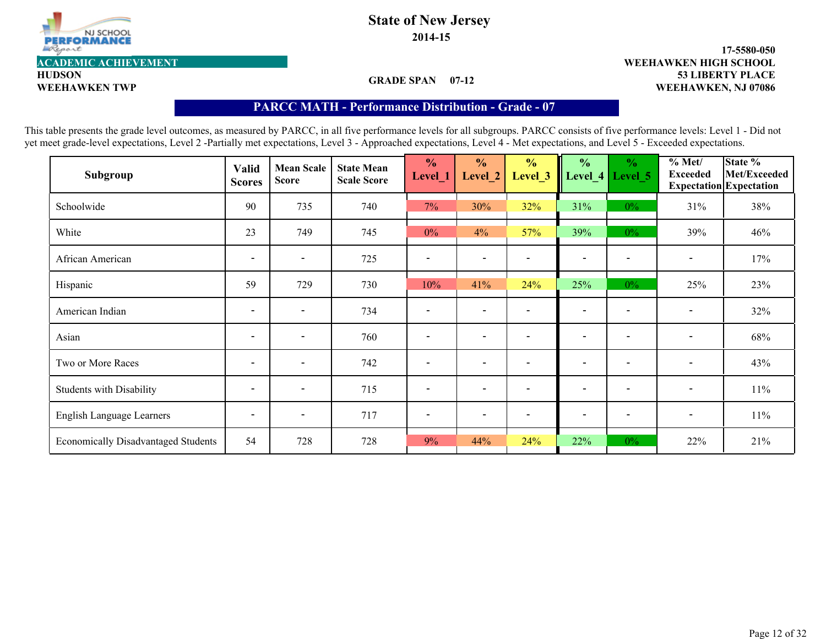

**HUDSON**

# **State of New Jersey**

**2014-15**

**53 LIBERTY PLACE 17-5580-050 WEEHAWKEN TWP WEEHAWKEN, NJ 07086 ACADEMIC ACHIEVEMENT WEEHAWKEN HIGH SCHOOL**

**GRADE SPAN 07-12**

### **PARCC MATH - Performance Distribution- Grade - 07**

| Subgroup                                   | <b>Valid</b><br><b>Scores</b> | <b>Mean Scale</b><br><b>Score</b> | <b>State Mean</b><br><b>Scale Score</b> | $\frac{0}{0}$<br>Level_1 | $\frac{0}{0}$<br>Level 2 | $\frac{1}{2}$<br>Level <sub>_3</sub> | $\frac{0}{0}$<br>Level_4 | $\frac{0}{0}$<br>Level 5 | % Met/<br><b>Exceeded</b> | State %<br>Met/Exceeded<br><b>Expectation</b> Expectation |
|--------------------------------------------|-------------------------------|-----------------------------------|-----------------------------------------|--------------------------|--------------------------|--------------------------------------|--------------------------|--------------------------|---------------------------|-----------------------------------------------------------|
| Schoolwide                                 | 90                            | 735                               | 740                                     | 7%                       | 30%                      | 32%                                  | 31%                      | $0\%$                    | 31%                       | 38%                                                       |
| White                                      | 23                            | 749                               | 745                                     | $0\%$                    | 4%                       | 57%                                  | 39%                      | $0\%$                    | 39%                       | 46%                                                       |
| African American                           | $\overline{\phantom{a}}$      | $\overline{\phantom{a}}$          | 725                                     |                          | $\overline{\phantom{a}}$ |                                      | $\overline{\phantom{a}}$ |                          | $\overline{\phantom{a}}$  | 17%                                                       |
| Hispanic                                   | 59                            | 729                               | 730                                     | 10%                      | 41%                      | 24%                                  | 25%                      | $0\%$                    | 25%                       | 23%                                                       |
| American Indian                            | $\overline{\phantom{a}}$      | $\blacksquare$                    | 734                                     |                          | $\overline{\phantom{a}}$ |                                      | $\overline{\phantom{a}}$ |                          | $\overline{\phantom{a}}$  | 32%                                                       |
| Asian                                      | $\overline{\phantom{a}}$      | $\overline{\phantom{a}}$          | 760                                     | $\overline{\phantom{a}}$ | $\overline{\phantom{a}}$ | $\overline{\phantom{a}}$             | $\overline{\phantom{a}}$ | $\overline{\phantom{a}}$ | $\overline{\phantom{a}}$  | 68%                                                       |
| Two or More Races                          | $\overline{\phantom{a}}$      | $\overline{\phantom{a}}$          | 742                                     | $\overline{\phantom{a}}$ | $\overline{\phantom{a}}$ |                                      | $\overline{\phantom{a}}$ | $\overline{\phantom{a}}$ | $\overline{\phantom{a}}$  | 43%                                                       |
| <b>Students with Disability</b>            | $\overline{\phantom{a}}$      | $\overline{\phantom{a}}$          | 715                                     | $\overline{\phantom{a}}$ | $\overline{\phantom{a}}$ | $\overline{\phantom{a}}$             | $\overline{\phantom{a}}$ | $\blacksquare$           | $\overline{\phantom{a}}$  | 11%                                                       |
| English Language Learners                  | $\blacksquare$                | $\overline{\phantom{a}}$          | 717                                     |                          | $\overline{\phantom{a}}$ |                                      | $\overline{\phantom{a}}$ | $\overline{\phantom{a}}$ | $\overline{\phantom{a}}$  | $11\%$                                                    |
| <b>Economically Disadvantaged Students</b> | 54                            | 728                               | 728                                     | 9%                       | 44%                      | 24%                                  | 22%                      | $0\%$                    | 22%                       | 21%                                                       |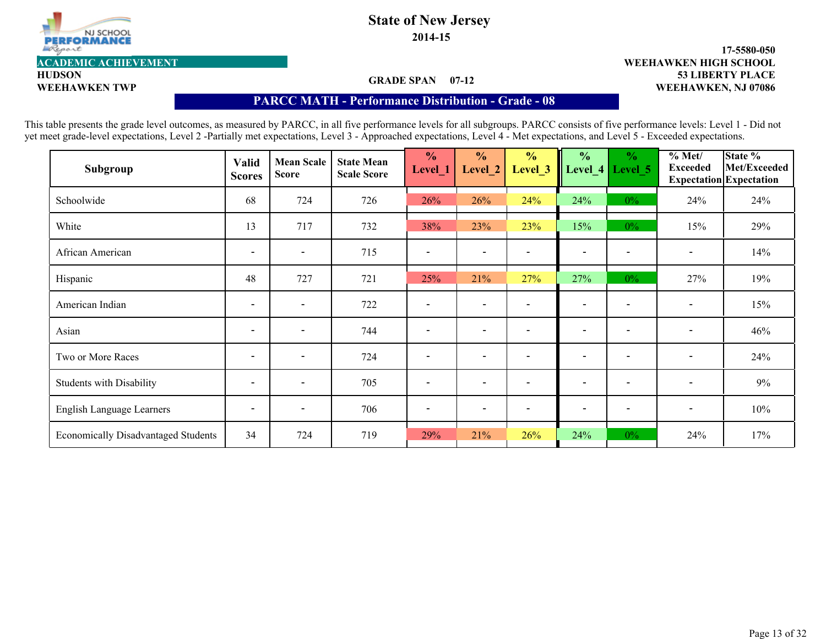

**2014-15**

#### **GRADE SPAN 07-12**

#### **53 LIBERTY PLACE 17-5580-050 WEEHAWKEN TWP WEEHAWKEN, NJ 07086 ACADEMIC ACHIEVEMENT WEEHAWKEN HIGH SCHOOL**

**HUDSON**

#### **PARCC MATH - Performance Distribution- Grade - 08**

| Subgroup                                   | <b>Valid</b><br><b>Scores</b> | <b>Mean Scale</b><br><b>Score</b> | <b>State Mean</b><br><b>Scale Score</b> | $\frac{0}{0}$<br>Level 1 | $\frac{1}{2}$<br>Level 2 | $\frac{0}{0}$<br>Level 3 | $\frac{0}{0}$<br>Level_4 | $\frac{0}{0}$<br>Level 5 | % Met/<br><b>Exceeded</b> | State %<br>Met/Exceeded<br><b>Expectation</b> Expectation |
|--------------------------------------------|-------------------------------|-----------------------------------|-----------------------------------------|--------------------------|--------------------------|--------------------------|--------------------------|--------------------------|---------------------------|-----------------------------------------------------------|
| Schoolwide                                 | 68                            | 724                               | 726                                     | 26%                      | 26%                      | 24%                      | 24%                      | $0\%$                    | 24%                       | 24%                                                       |
| White                                      | 13                            | 717                               | 732                                     | 38%                      | 23%                      | 23%                      | 15%                      | $0\%$                    | 15%                       | 29%                                                       |
| African American                           | $\overline{\phantom{a}}$      | $\overline{\phantom{a}}$          | 715                                     |                          | $\overline{\phantom{a}}$ |                          | $\overline{\phantom{a}}$ |                          | $\overline{\phantom{a}}$  | 14%                                                       |
| Hispanic                                   | 48                            | 727                               | 721                                     | 25%                      | 21%                      | 27%                      | 27%                      | $0\%$                    | 27%                       | 19%                                                       |
| American Indian                            | $\overline{\phantom{a}}$      | $\overline{\phantom{a}}$          | 722                                     |                          | $\overline{\phantom{a}}$ |                          | $\overline{\phantom{a}}$ |                          | $\overline{\phantom{a}}$  | 15%                                                       |
| Asian                                      | $\overline{\phantom{a}}$      | $\blacksquare$                    | 744                                     | $\overline{\phantom{a}}$ | $\overline{\phantom{a}}$ |                          | $\overline{\phantom{a}}$ | $\overline{\phantom{a}}$ | $\overline{\phantom{a}}$  | 46%                                                       |
| Two or More Races                          | $\overline{\phantom{a}}$      | $\overline{\phantom{a}}$          | 724                                     |                          | $\overline{\phantom{0}}$ |                          | $\overline{\phantom{0}}$ |                          | $\overline{\phantom{a}}$  | 24%                                                       |
| <b>Students with Disability</b>            | $\overline{\phantom{a}}$      | $\overline{\phantom{a}}$          | 705                                     | $\overline{\phantom{a}}$ | $\overline{\phantom{0}}$ |                          | $\overline{\phantom{0}}$ | $\overline{\phantom{a}}$ | $\overline{\phantom{a}}$  | 9%                                                        |
| English Language Learners                  | $\overline{\phantom{a}}$      | $\overline{\phantom{a}}$          | 706                                     |                          | $\overline{\phantom{a}}$ |                          | $\overline{\phantom{a}}$ | $\overline{\phantom{a}}$ | $\overline{\phantom{a}}$  | 10%                                                       |
| <b>Economically Disadvantaged Students</b> | 34                            | 724                               | 719                                     | 29%                      | 21%                      | 26%                      | 24%                      | $0\%$                    | 24%                       | 17%                                                       |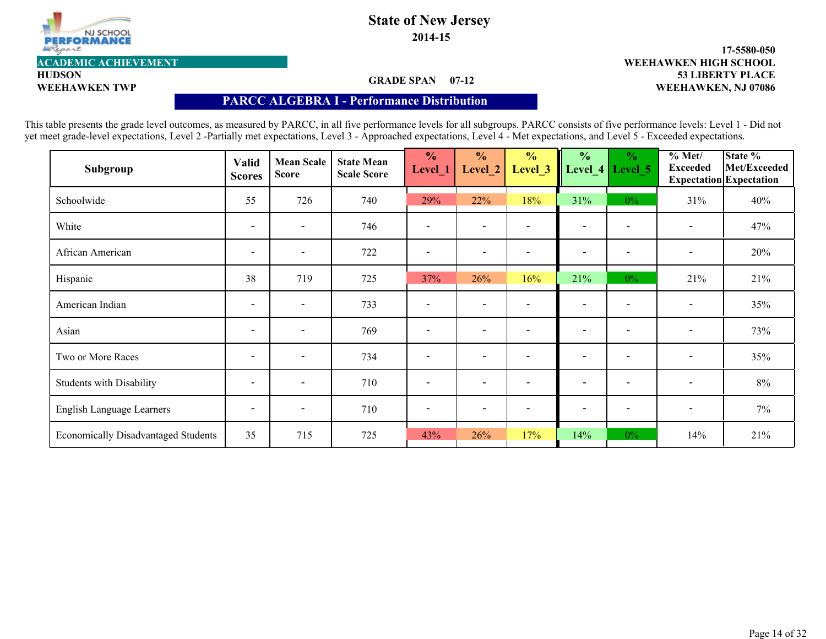

**2014-15**

### **GRADE SPAN 07-12**

#### **53 LIBERTY PLACE 17-5580-050 WEEHAWKEN TWP WEEHAWKEN, NJ 07086 ACADEMIC ACHIEVEMENT WEEHAWKEN HIGH SCHOOL**

**HUDSON**

#### **PARCC ALGEBRA I - Performance Distribution**

| Subgroup                                   | <b>Valid</b><br><b>Scores</b> | <b>Mean Scale</b><br><b>Score</b> | <b>State Mean</b><br><b>Scale Score</b> | $\frac{0}{0}$<br>Level 1 | $\frac{0}{0}$<br>Level 2 | $\frac{0}{0}$<br>Level 3 | $\frac{0}{0}$<br>Level_4 | $\frac{0}{0}$<br>Level 5 | % Met/<br><b>Exceeded</b> | State %<br>Met/Exceeded<br><b>Expectation</b> Expectation |
|--------------------------------------------|-------------------------------|-----------------------------------|-----------------------------------------|--------------------------|--------------------------|--------------------------|--------------------------|--------------------------|---------------------------|-----------------------------------------------------------|
| Schoolwide                                 | 55                            | 726                               | 740                                     | 29%                      | 22%                      | 18%                      | 31%                      | $0\%$                    | 31%                       | 40%                                                       |
| White                                      | $\blacksquare$                | $\blacksquare$                    | 746                                     |                          | $\overline{\phantom{a}}$ |                          | $\overline{\phantom{a}}$ | $\overline{\phantom{a}}$ | $\overline{\phantom{a}}$  | 47%                                                       |
| African American                           | $\overline{\phantom{a}}$      | $\overline{\phantom{a}}$          | 722                                     |                          | $\overline{\phantom{a}}$ |                          | $\overline{\phantom{a}}$ |                          | $\overline{\phantom{a}}$  | 20%                                                       |
| Hispanic                                   | 38                            | 719                               | 725                                     | 37%                      | 26%                      | 16%                      | 21%                      | $0\%$                    | 21%                       | 21%                                                       |
| American Indian                            | $\overline{\phantom{a}}$      | $\overline{\phantom{a}}$          | 733                                     |                          | $\overline{\phantom{a}}$ |                          | $\overline{\phantom{a}}$ |                          | $\overline{\phantom{a}}$  | 35%                                                       |
| Asian                                      | $\overline{\phantom{a}}$      | $\blacksquare$                    | 769                                     | $\overline{\phantom{a}}$ | $\overline{\phantom{a}}$ |                          | $\overline{\phantom{a}}$ | $\overline{\phantom{a}}$ | $\overline{\phantom{a}}$  | 73%                                                       |
| Two or More Races                          | $\overline{\phantom{a}}$      | $\overline{\phantom{a}}$          | 734                                     |                          | $\overline{\phantom{0}}$ |                          | $\overline{\phantom{0}}$ |                          | $\overline{\phantom{a}}$  | 35%                                                       |
| <b>Students with Disability</b>            | $\overline{\phantom{a}}$      | $\overline{\phantom{a}}$          | 710                                     | $\overline{\phantom{a}}$ | $\overline{\phantom{a}}$ |                          | $\overline{\phantom{0}}$ | $\overline{\phantom{a}}$ | $\overline{\phantom{a}}$  | 8%                                                        |
| English Language Learners                  | $\overline{\phantom{a}}$      | $\overline{\phantom{a}}$          | 710                                     |                          | $\overline{\phantom{a}}$ |                          | $\overline{\phantom{a}}$ | $\overline{\phantom{a}}$ | $\overline{\phantom{a}}$  | $7\%$                                                     |
| <b>Economically Disadvantaged Students</b> | 35                            | 715                               | 725                                     | 43%                      | 26%                      | 17%                      | 14%                      | $0\%$                    | 14%                       | 21%                                                       |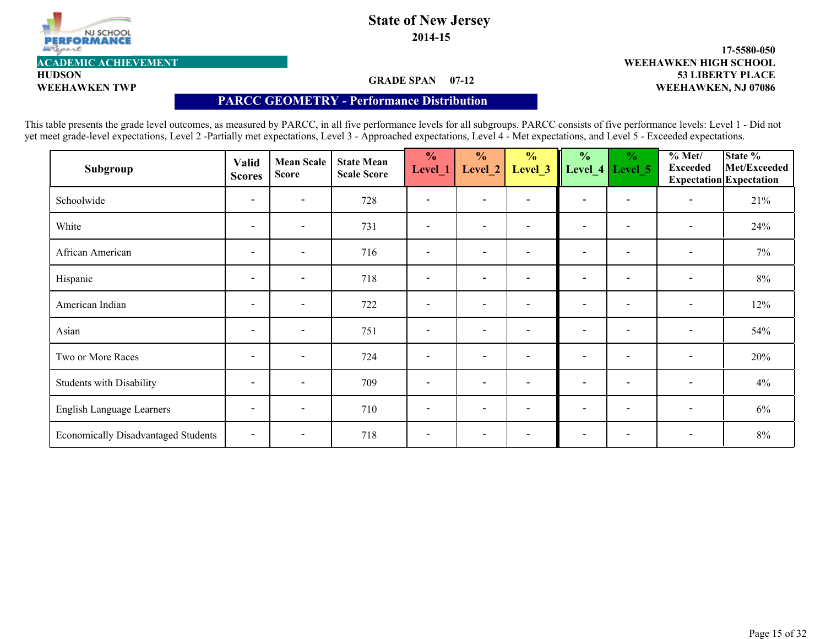

**2014-15**

### **GRADE SPAN 07-12**

#### **53 LIBERTY PLACE 17-5580-050 WEEHAWKEN TWP WEEHAWKEN, NJ 07086 ACADEMIC ACHIEVEMENT WEEHAWKEN HIGH SCHOOL**

**HUDSON**

#### **PARCC GEOMETRY - Performance Distribution**

| Subgroup                                   | <b>Valid</b><br><b>Scores</b> | <b>Mean Scale</b><br><b>Score</b> | <b>State Mean</b><br><b>Scale Score</b> | $\frac{0}{0}$<br>Level_1 | $\frac{0}{0}$<br>Level 2 | $\frac{0}{0}$<br>Level <sub>_3</sub> | $\frac{0}{0}$<br>Level_4 | $\frac{0}{0}$<br>Level 5 | $\sqrt[9]{\frac{6}{1}}$ Met/<br><b>Exceeded</b> | State %<br>Met/Exceeded<br><b>Expectation</b> Expectation |
|--------------------------------------------|-------------------------------|-----------------------------------|-----------------------------------------|--------------------------|--------------------------|--------------------------------------|--------------------------|--------------------------|-------------------------------------------------|-----------------------------------------------------------|
| Schoolwide                                 | $\overline{\phantom{a}}$      | $\overline{\phantom{a}}$          | 728                                     |                          | $\overline{\phantom{a}}$ |                                      | $\overline{\phantom{a}}$ |                          |                                                 | 21%                                                       |
| White                                      | $\overline{\phantom{a}}$      | $\overline{\phantom{a}}$          | 731                                     | $\overline{\phantom{a}}$ | $\overline{\phantom{a}}$ |                                      | $\overline{\phantom{a}}$ | $\overline{\phantom{a}}$ | $\overline{\phantom{a}}$                        | 24%                                                       |
| African American                           | $\overline{\phantom{a}}$      | $\blacksquare$                    | 716                                     |                          | $\overline{\phantom{a}}$ |                                      | $\overline{\phantom{a}}$ |                          | $\overline{\phantom{a}}$                        | $7\%$                                                     |
| Hispanic                                   | $\overline{\phantom{a}}$      | $\overline{\phantom{a}}$          | 718                                     | $\overline{\phantom{a}}$ | $\overline{\phantom{a}}$ |                                      | $\overline{\phantom{a}}$ | $\overline{\phantom{a}}$ | $\overline{\phantom{a}}$                        | $8\%$                                                     |
| American Indian                            | $\overline{\phantom{a}}$      | $\overline{\phantom{a}}$          | 722                                     |                          | $\overline{\phantom{a}}$ |                                      | $\overline{\phantom{a}}$ |                          | $\overline{\phantom{a}}$                        | 12%                                                       |
| Asian                                      | $\overline{\phantom{a}}$      | $\blacksquare$                    | 751                                     | $\overline{\phantom{a}}$ | $\overline{\phantom{a}}$ | $\sim$                               | $\overline{\phantom{a}}$ | $\overline{\phantom{a}}$ | $\overline{\phantom{a}}$                        | 54%                                                       |
| Two or More Races                          | $\overline{\phantom{a}}$      | $\overline{\phantom{a}}$          | 724                                     | $\overline{\phantom{a}}$ | $\overline{\phantom{a}}$ |                                      | $\overline{\phantom{0}}$ | $\overline{\phantom{a}}$ | $\overline{\phantom{a}}$                        | 20%                                                       |
| <b>Students with Disability</b>            | $\overline{\phantom{a}}$      | $\overline{\phantom{a}}$          | 709                                     | $\overline{\phantom{a}}$ | $\overline{\phantom{a}}$ | $\overline{\phantom{0}}$             | $\overline{\phantom{a}}$ | $\overline{\phantom{a}}$ | $\overline{\phantom{a}}$                        | 4%                                                        |
| English Language Learners                  | $\overline{\phantom{a}}$      | $\overline{\phantom{a}}$          | 710                                     | $\overline{\phantom{0}}$ | $\overline{\phantom{a}}$ |                                      | $\overline{\phantom{a}}$ | $\overline{\phantom{0}}$ | $\overline{\phantom{a}}$                        | $6\%$                                                     |
| <b>Economically Disadvantaged Students</b> | $\overline{\phantom{a}}$      | $\overline{\phantom{a}}$          | 718                                     | $\overline{\phantom{a}}$ | $\overline{\phantom{a}}$ |                                      | $\overline{\phantom{0}}$ |                          | $\overline{\phantom{a}}$                        | $8\%$                                                     |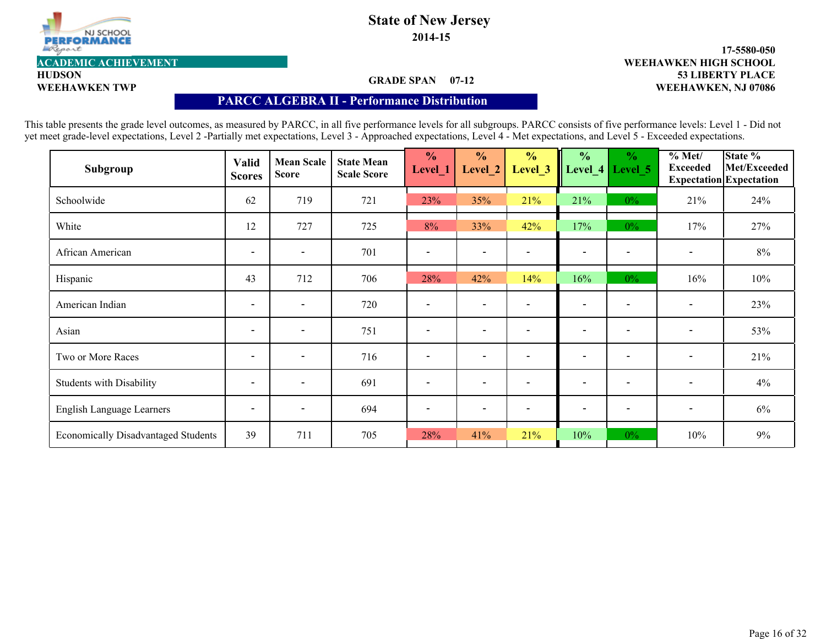

**2014-15**

### **GRADE SPAN 07-12**

#### **53 LIBERTY PLACE 17-5580-050 WEEHAWKEN TWP WEEHAWKEN, NJ 07086 ACADEMIC ACHIEVEMENT WEEHAWKEN HIGH SCHOOL**

**HUDSON**

#### **PARCC ALGEBRA II - Performance Distribution**

| Subgroup                                   | <b>Valid</b><br><b>Scores</b> | <b>Mean Scale</b><br><b>Score</b> | <b>State Mean</b><br><b>Scale Score</b> | $\frac{0}{0}$<br>Level_1 | $\frac{0}{0}$<br>Level 2 | $\frac{1}{2}$<br>Level 3 | $\frac{0}{0}$<br>Level 4 | $\frac{0}{0}$<br>Level 5 | % Met/<br><b>Exceeded</b> | State %<br>Met/Exceeded<br><b>Expectation</b> Expectation |
|--------------------------------------------|-------------------------------|-----------------------------------|-----------------------------------------|--------------------------|--------------------------|--------------------------|--------------------------|--------------------------|---------------------------|-----------------------------------------------------------|
| Schoolwide                                 | 62                            | 719                               | 721                                     | 23%                      | 35%                      | 21%                      | 21%                      | $0\%$                    | 21%                       | 24%                                                       |
| White                                      | 12                            | 727                               | 725                                     | 8%                       | 33%                      | 42%                      | 17%                      | $0\%$                    | 17%                       | 27%                                                       |
| African American                           | $\overline{\phantom{a}}$      | $\overline{\phantom{a}}$          | 701                                     |                          | $\overline{\phantom{a}}$ |                          | $\overline{\phantom{a}}$ |                          | $\overline{\phantom{a}}$  | $8\%$                                                     |
| Hispanic                                   | 43                            | 712                               | 706                                     | 28%                      | 42%                      | 14%                      | 16%                      | $0\%$                    | 16%                       | 10%                                                       |
| American Indian                            | $\overline{\phantom{a}}$      | $\blacksquare$                    | 720                                     |                          | $\overline{\phantom{a}}$ |                          | $\overline{\phantom{a}}$ |                          | $\overline{\phantom{a}}$  | 23%                                                       |
| Asian                                      | $\blacksquare$                | $\blacksquare$                    | 751                                     | $\overline{\phantom{a}}$ | $\overline{\phantom{a}}$ | $\overline{\phantom{a}}$ | $\overline{\phantom{a}}$ | $\overline{\phantom{a}}$ | $\blacksquare$            | 53%                                                       |
| Two or More Races                          | $\overline{\phantom{a}}$      | $\overline{\phantom{a}}$          | 716                                     |                          | $\overline{\phantom{a}}$ |                          | $\overline{\phantom{a}}$ |                          | $\overline{\phantom{a}}$  | 21%                                                       |
| <b>Students with Disability</b>            | $\overline{\phantom{a}}$      | $\overline{\phantom{a}}$          | 691                                     | $\overline{\phantom{a}}$ | $\overline{\phantom{a}}$ |                          | $\overline{\phantom{0}}$ | $\overline{\phantom{a}}$ | $\overline{\phantom{a}}$  | 4%                                                        |
| English Language Learners                  | $\overline{\phantom{a}}$      | $\overline{\phantom{a}}$          | 694                                     |                          | $\overline{\phantom{a}}$ |                          | $\overline{\phantom{a}}$ | $\overline{\phantom{a}}$ | $\overline{\phantom{a}}$  | $6\%$                                                     |
| <b>Economically Disadvantaged Students</b> | 39                            | 711                               | 705                                     | 28%                      | 41%                      | 21%                      | 10%                      | $0\%$                    | 10%                       | 9%                                                        |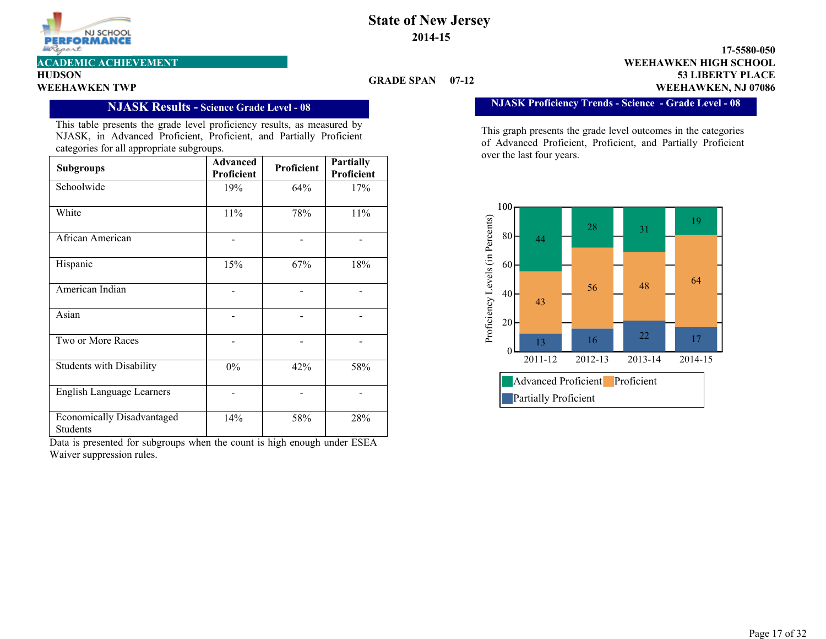

**HUDSON**

#### **GRADE SPAN 07-12**

**53 LIBERTY PLACE 17-5580-050 WEEHAWKEN TWP WEEHAWKEN, NJ 07086 ACADEMIC ACHIEVEMENT WEEHAWKEN HIGH SCHOOL**

**NJASK Proficiency Trends - Science - Grade Level - 08**

This graph presents the grade level outcomes in the categories of Advanced Proficient, Proficient, and Partially Proficient over the last four years.



**NJASK Results - Science Grade Level - 08**

This table presents the grade level proficiency results, as measured by NJASK, in Advanced Proficient, Proficient, and Partially Proficient categories for all appropriate subgroups.

| <b>Subgroups</b>                              | <b>Advanced</b><br>Proficient | Proficient | <b>Partially</b><br>Proficient |
|-----------------------------------------------|-------------------------------|------------|--------------------------------|
| Schoolwide                                    | 19%                           | 64%        | 17%                            |
| White                                         | 11%                           | 78%        | 11%                            |
| African American                              |                               |            |                                |
| Hispanic                                      | 15%                           | 67%        | 18%                            |
| American Indian                               |                               |            |                                |
| Asian                                         |                               |            |                                |
| Two or More Races                             |                               |            |                                |
| <b>Students with Disability</b>               | $0\%$                         | 42%        | 58%                            |
| <b>English Language Learners</b>              |                               |            |                                |
| <b>Economically Disadvantaged</b><br>Students | 14%                           | 58%        | 28%                            |

Data is presented for subgroups when the count is high enough under ESEA Waiver suppression rules.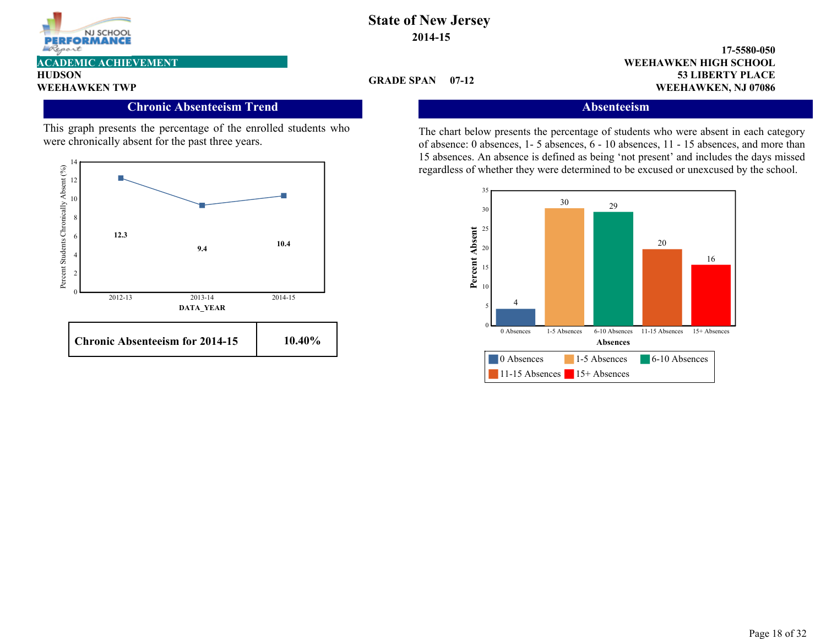

**HUDSON**

#### **Chronic Absenteeism Trend**

This graph presents the percentage of the enrolled students who were chronically absent for the past three years.



#### **GRADE SPAN 07-12**

**53 LIBERTY PLACE 17-5580-050 WEEHAWKEN TWP WEEHAWKEN, NJ 07086 ACADEMIC ACHIEVEMENT WEEHAWKEN HIGH SCHOOL**

3.00

#### **Absenteeism**

The chart below presents the percentage of students who were absent in each category of absence: 0 absences, 1- 5 absences, 6 - 10 absences, 11 - 15 absences, and more than 15 absences. An absence is defined as being 'not present' and includes the days missed regardless of whether they were determined to be excused or unexcused by the school.

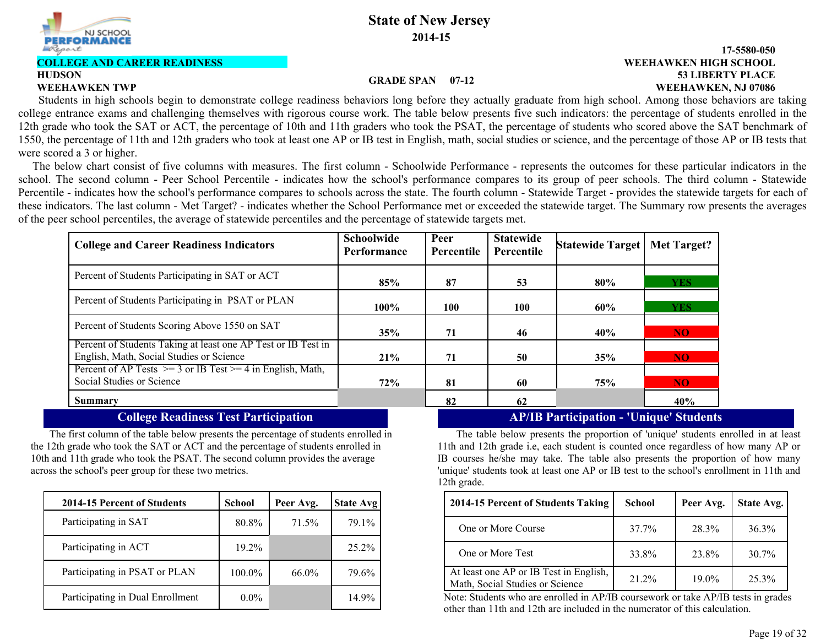

#### **COLLEGE AND CAREER READINESS**

# **HUDSON**

#### **53 LIBERTY PLACE 17-5580-050 WEEHAWKEN TWP WEEHAWKEN, NJ 07086 WEEHAWKEN HIGH SCHOOL**

#### **GRADE SPAN 07-12**

 Students in high schools begin to demonstrate college readiness behaviors long before they actually graduate from high school. Among those behaviors are taking college entrance exams and challenging themselves with rigorous course work. The table below presents five such indicators: the percentage of students enrolled in the 12th grade who took the SAT or ACT, the percentage of 10th and 11th graders who took the PSAT, the percentage of students who scored above the SAT benchmark of 1550, the percentage of 11th and 12th graders who took at least one AP or IB test in English, math, social studies or science, and the percentage of those AP or IB tests that were scored a 3 or higher.

 The below chart consist of five columns with measures. The first column - Schoolwide Performance - represents the outcomes for these particular indicators in the school. The second column - Peer School Percentile - indicates how the school's performance compares to its group of peer schools. The third column - Statewide Percentile - indicates how the school's performance compares to schools across the state. The fourth column - Statewide Target - provides the statewide targets for each of these indicators. The last column - Met Target? - indicates whether the School Performance met or exceeded the statewide target. The Summary row presents the averages of the peer school percentiles, the average of statewide percentiles and the percentage of statewide targets met.

| <b>College and Career Readiness Indicators</b>                                                            | <b>Schoolwide</b><br>Performance | Peer<br>Percentile | <b>Statewide</b><br>Percentile | Statewide Target | <b>Met Target?</b> |
|-----------------------------------------------------------------------------------------------------------|----------------------------------|--------------------|--------------------------------|------------------|--------------------|
| Percent of Students Participating in SAT or ACT                                                           | 85%                              | 87                 | 53                             | 80%              | <b>YES</b>         |
| Percent of Students Participating in PSAT or PLAN                                                         | $100\%$                          | 100                | 100                            | 60%              | <b>YES</b>         |
| Percent of Students Scoring Above 1550 on SAT                                                             | 35%                              | 71                 | 46                             | 40%              | NO.                |
| Percent of Students Taking at least one AP Test or IB Test in<br>English, Math, Social Studies or Science | 21%                              | 71                 | 50                             | 35%              | NO <sub>1</sub>    |
| Percent of AP Tests $\ge$ = 3 or IB Test $\ge$ = 4 in English, Math,<br>Social Studies or Science         | 72%                              | 81                 | 60                             | 75%              | NO.                |
| <b>Summary</b>                                                                                            |                                  | 82                 | 62                             |                  | 40%                |

The first column of the table below presents the percentage of students enrolled in the 12th grade who took the SAT or ACT and the percentage of students enrolled in 10th and 11th grade who took the PSAT. The second column provides the average across the school's peer group for these two metrics.

| 2014-15 Percent of Students      | <b>School</b> | Peer Avg. | <b>State Avg</b> |
|----------------------------------|---------------|-----------|------------------|
| Participating in SAT             | 80.8%         | 71.5%     | 79.1%            |
| Participating in ACT             | 19.2%         |           | 25.2%            |
| Participating in PSAT or PLAN    | 100.0%        | $66.0\%$  | 79.6%            |
| Participating in Dual Enrollment | $0.0\%$       |           | 14.9%            |

### **College Readiness Test Participation AP/IB Participation - 'Unique' Students**

The table below presents the proportion of 'unique' students enrolled in at least 11th and 12th grade i.e, each student is counted once regardless of how many AP or IB courses he/she may take. The table also presents the proportion of how many 'unique' students took at least one AP or IB test to the school's enrollment in 11th and 12th grade.

| chool    | Peer Avg. | State Avg | 2014-15 Percent of Students Taking                                        | <b>School</b> | Peer Avg. |
|----------|-----------|-----------|---------------------------------------------------------------------------|---------------|-----------|
| 80.8%    | 71.5%     | 79.1%     | One or More Course                                                        | 37.7%         | 28.3%     |
| $19.2\%$ |           | $25.2\%$  | One or More Test                                                          | 33.8%         | 23.8%     |
| 100.0%   | 66.0%     | 79.6%     | At least one AP or IB Test in English,<br>Math, Social Studies or Science | 21.2%         | 19.0%     |

Note: Students who are enrolled in AP/IB coursework or take AP/IB tests in grades other than 11th and 12th are included in the numerator of this calculation.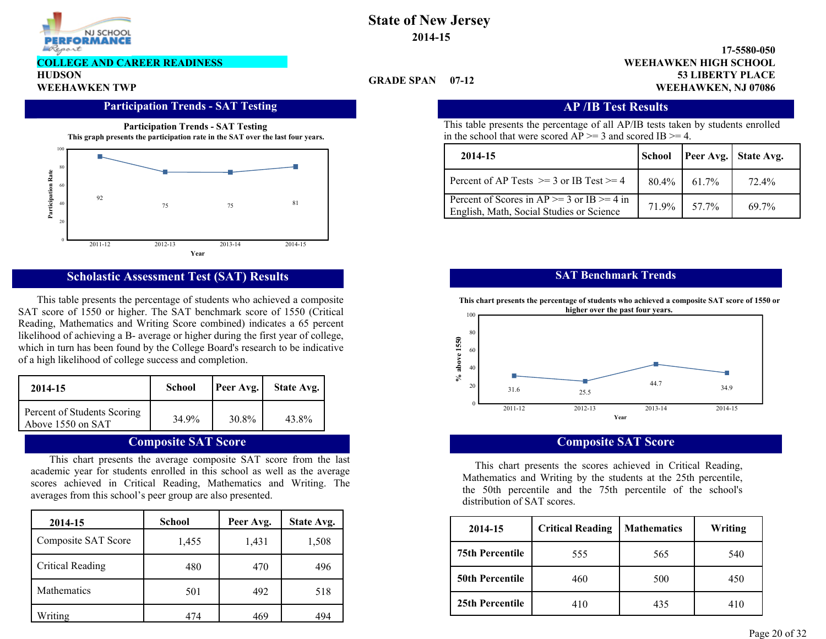

#### **COLLEGE AND CAREER READINESS**

**HUDSON**

#### **Participation Trends - SAT Testing Transfer AP /IB Test Results**





#### **Scholastic Assessment Test (SAT) Results**

This table presents the percentage of students who achieved a composite SAT score of 1550 or higher. The SAT benchmark score of 1550 (Critical Reading, Mathematics and Writing Score combined) indicates a 65 percent likelihood of achieving a B- average or higher during the first year of college, which in turn has been found by the College Board's research to be indicative of a high likelihood of college success and completion.

| 2014-15                                          | <b>School</b> | Peer Avg. | State Avg. |
|--------------------------------------------------|---------------|-----------|------------|
| Percent of Students Scoring<br>Above 1550 on SAT | 34 9%         | 30.8%     | 43.8%      |

### **Composite SAT Score**

This chart presents the average composite SAT score from the last academic year for students enrolled in this school as well as the average scores achieved in Critical Reading, Mathematics and Writing. The averages from this school's peer group are also presented.

| 2014-15                 | <b>School</b> | Peer Avg. | <b>State Avg.</b> |
|-------------------------|---------------|-----------|-------------------|
| Composite SAT Score     | 1,455         | 1,431     | 1,508             |
| <b>Critical Reading</b> | 480           | 470       | 496               |
| <b>Mathematics</b>      | 501           | 492       | 518               |
| Writing                 | 474           | 469       | 494               |

### **State of New Jersey 2014-15**

#### **53 LIBERTY PLACE 17-5580-050 WEEHAWKEN TWP WEEHAWKEN, NJ 07086 WEEHAWKEN HIGH SCHOOL**

#### **GRADE SPAN 07-12**

This table presents the percentage of all AP/IB tests taken by students enrolled in the school that were scored  $AP \ge 3$  and scored IB  $\ge 4$ .

| 2014-15                                                                                               | School |            | <b>Peer Avg.</b> State Avg. |
|-------------------------------------------------------------------------------------------------------|--------|------------|-----------------------------|
| Percent of AP Tests $\ge$ = 3 or IB Test $\ge$ = 4                                                    | 80.4%  | $1,61.7\%$ | 72.4%                       |
| Percent of Scores in AP $>=$ 3 or $\overline{IB}$ >= 4 in<br>English, Math, Social Studies or Science | 71.9%  | 57.7%      | $697\%$                     |

#### **SAT Benchmark Trends**



#### **Composite SAT Score**

This chart presents the scores achieved in Critical Reading, Mathematics and Writing by the students at the 25th percentile, the 50th percentile and the 75th percentile of the school's distribution of SAT scores.

| School            | Peer Avg. | State Avg. | 2014-15                | <b>Critical Reading   Mathematics</b> |     | Writing |
|-------------------|-----------|------------|------------------------|---------------------------------------|-----|---------|
| 1,455             | .431      | ,508       |                        |                                       |     |         |
|                   |           |            | <b>75th Percentile</b> | 555                                   | 565 | 540     |
| 480               | 470       | 496        |                        |                                       |     |         |
|                   |           |            | <b>50th Percentile</b> | 460                                   | 500 | 450     |
| 501               | 492       | 518        |                        |                                       |     |         |
| $A \rightarrow A$ | ACO       | $A \cap A$ | 25th Percentile        | 410                                   | 435 | 410     |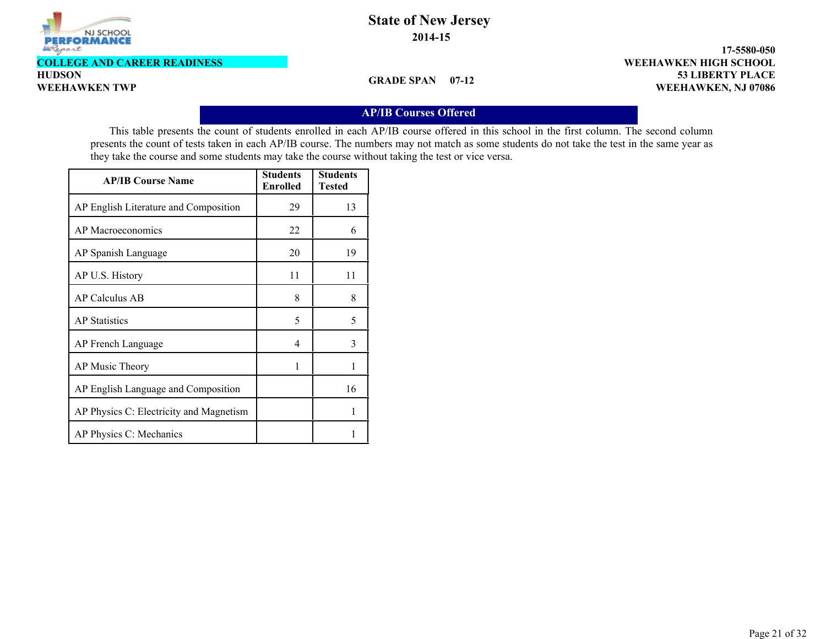

**COLLEGE AND CAREER READINESS**

**HUDSON**

**GRADE SPAN 07-12**

**53 LIBERTY PLACE 17-5580-050 WEEHAWKEN TWP WEEHAWKEN, NJ 07086 WEEHAWKEN HIGH SCHOOL**

#### **AP/IB Courses Offered**

This table presents the count of students enrolled in each AP/IB course offered in this school in the first column. The second column presents the count of tests taken in each AP/IB course. The numbers may not match as some students do not take the test in the same year as they take the course and some students may take the course without taking the test or vice versa.

| <b>AP/IB Course Name</b>                | <b>Students</b><br><b>Enrolled</b> | <b>Students</b><br>Tested |
|-----------------------------------------|------------------------------------|---------------------------|
| AP English Literature and Composition   | 29                                 | 13                        |
| AP Macroeconomics                       | 22                                 | 6                         |
| AP Spanish Language                     | 20                                 | 19                        |
| AP U.S. History                         | 11                                 | 11                        |
| AP Calculus AB                          | 8                                  | 8                         |
| <b>AP</b> Statistics                    | 5                                  | 5                         |
| AP French Language                      | 4                                  | 3                         |
| AP Music Theory                         | 1                                  | 1                         |
| AP English Language and Composition     |                                    | 16                        |
| AP Physics C: Electricity and Magnetism |                                    | 1                         |
| AP Physics C: Mechanics                 |                                    |                           |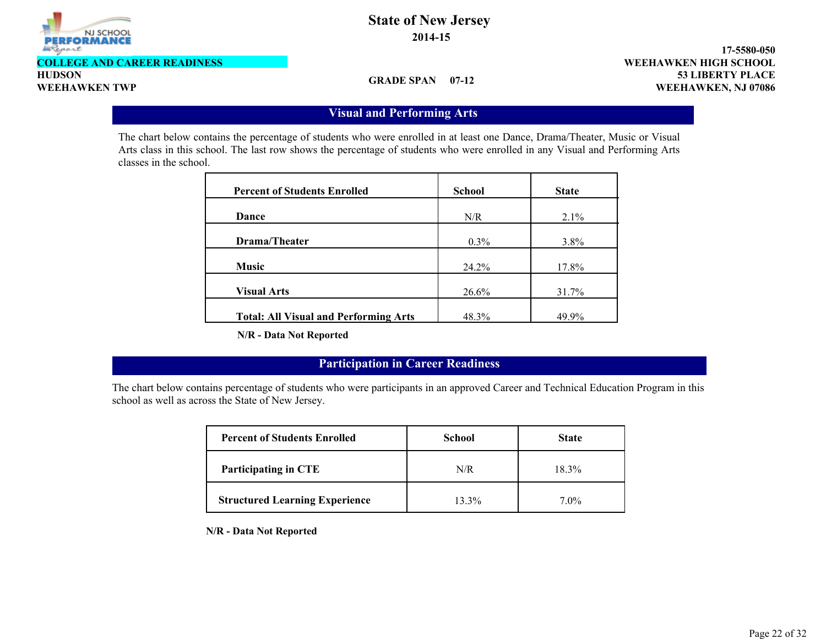

**COLLEGE AND CAREER READINESS**

**HUDSON**

**GRADE SPAN 07-12**

**53 LIBERTY PLACE 17-5580-050 WEEHAWKEN TWP WEEHAWKEN, NJ 07086 WEEHAWKEN HIGH SCHOOL**

### **Visual and Performing Arts**

The chart below contains the percentage of students who were enrolled in at least one Dance, Drama/Theater, Music or Visual Arts class in this school. The last row shows the percentage of students who were enrolled in any Visual and Performing Arts classes in the school.

| <b>Percent of Students Enrolled</b>          | <b>School</b> | <b>State</b> |
|----------------------------------------------|---------------|--------------|
| Dance                                        | N/R           | 2.1%         |
| Drama/Theater                                | $0.3\%$       | $3.8\%$      |
| <b>Music</b>                                 | 24.2%         | 17.8%        |
| <b>Visual Arts</b>                           | 26.6%         | 31.7%        |
| <b>Total: All Visual and Performing Arts</b> | 48.3%         | 49.9%        |

**N/R - Data Not Reported**

### **Participation in Career Readiness**

The chart below contains percentage of students who were participants in an approved Career and Technical Education Program in this school as well as across the State of New Jersey.

| <b>Percent of Students Enrolled</b>   | <b>School</b> | <b>State</b> |
|---------------------------------------|---------------|--------------|
| Participating in CTE                  | N/R           | 18.3%        |
| <b>Structured Learning Experience</b> | 13.3%         | $7.0\%$      |

**N/R - Data Not Reported**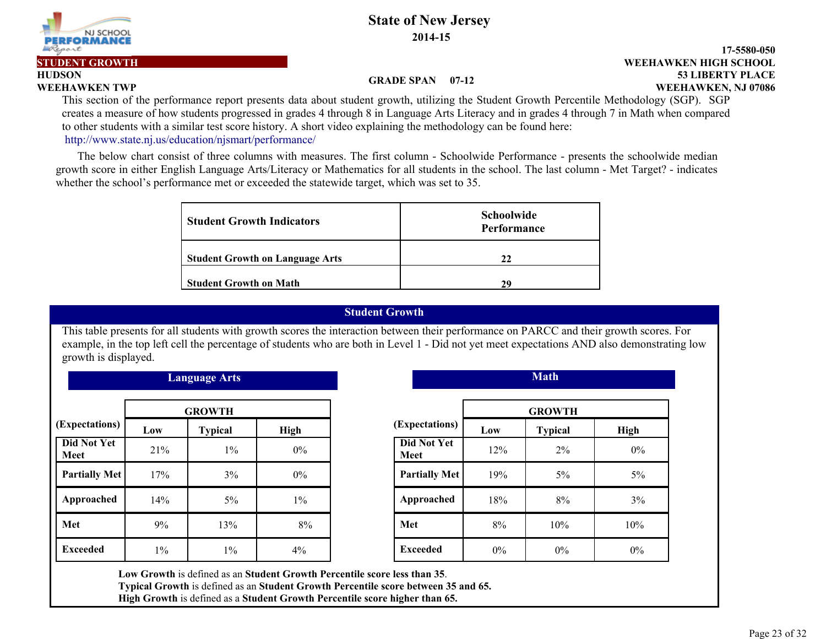**2014-15**

#### **GRADE SPAN 07-12**

**53 LIBERTY PLACE WEEHAWKEN TWP WEEHAWKEN, NJ 07086**

**17-5580-050**

**PERFORMANCI** 

NJ SCHOOL

**HUDSON**

Report

This section of the performance report presents data about student growth, utilizing the Student Growth Percentile Methodology (SGP). SGP creates a measure of how students progressed in grades 4 through 8 in Language Arts Literacy and in grades 4 through 7 in Math when compared to other students with a similar test score history. A short video explaining the methodology can be found here: http://www.state.nj.us/education/njsmart/performance/

 The below chart consist of three columns with measures. The first column - Schoolwide Performance - presents the schoolwide median growth score in either English Language Arts/Literacy or Mathematics for all students in the school. The last column - Met Target? - indicates whether the school's performance met or exceeded the statewide target, which was set to 35.

| <b>Student Growth Indicators</b>       | <b>Schoolwide</b><br>Performance |
|----------------------------------------|----------------------------------|
| <b>Student Growth on Language Arts</b> | 22                               |
| <b>Student Growth on Math</b>          | 29                               |

#### **Student Growth**

This table presents for all students with growth scores the interaction between their performance on PARCC and their growth scores. For example, in the top left cell the percentage of students who are both in Level 1 - Did not yet meet expectations AND also demonstrating low growth is displayed.

| <b>Language Arts</b>       |               |                |       |                      | <b>Math</b> |                |      |  |  |
|----------------------------|---------------|----------------|-------|----------------------|-------------|----------------|------|--|--|
|                            | <b>GROWTH</b> |                |       |                      |             | <b>GROWTH</b>  |      |  |  |
| (Expectations)             | Low           | <b>Typical</b> | High  | (Expectations)       | Low         | <b>Typical</b> | High |  |  |
| <b>Did Not Yet</b><br>Meet | 21%           | $1\%$          | $0\%$ | Did Not Yet<br>Meet  | 12%         | $2\%$          | 0%   |  |  |
| <b>Partially Met</b>       | 17%           | 3%             | $0\%$ | <b>Partially Met</b> | 19%         | $5\%$          | 5%   |  |  |
| Approached                 | 14%           | $5\%$          | $1\%$ | Approached           | 18%         | 8%             | 3%   |  |  |
| Met                        | 9%            | 13%            | 8%    | Met                  | 8%          | 10%            | 10%  |  |  |
| <b>Exceeded</b>            | $1\%$         | $1\%$          | 4%    | <b>Exceeded</b>      | $0\%$       | $0\%$          | 0%   |  |  |

| <b>GROWTH</b>  |       |                      | <b>GROWTH</b> |                |  |
|----------------|-------|----------------------|---------------|----------------|--|
| <b>Typical</b> | High  | (Expectations)       | Low           | <b>Typical</b> |  |
| $1\%$          | $0\%$ | Did Not Yet<br>Meet  | 12%           | 2%             |  |
| 3%             | $0\%$ | <b>Partially Met</b> | 19%           | 5%             |  |
| $5\%$          | $1\%$ | Approached           | 18%           | 8%             |  |
| 13%            | 8%    | Met                  | 8%            | 10%            |  |
| $1\%$          | 4%    | <b>Exceeded</b>      | $0\%$         | $0\%$          |  |

**Low Growth** is defined as an **Student Growth Percentile score less than 35**. **Typical Growth** is defined as an **Student Growth Percentile score between 35 and 65.**

**High Growth** is defined as a **Student Growth Percentile score higher than 65.**

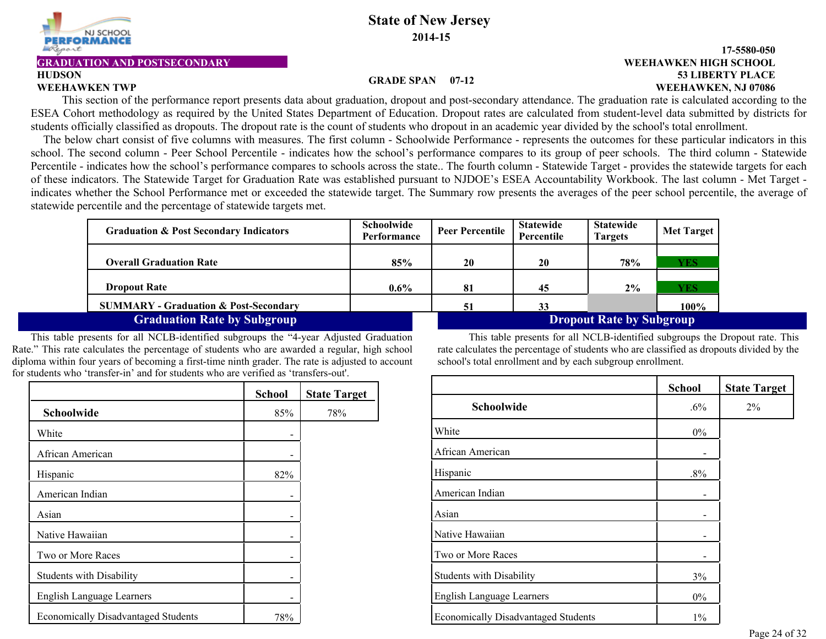

**HUDSON**

### **State of New Jersey 2014-15**

#### **GRADUATION AND POSTSECONDARY WEEHAWKEN HIGH SCHOOL**

### **53 LIBERTY PLACE 17-5580-050 WEEHAWKEN TWP WEEHAWKEN, NJ 07086**

#### **GRADE SPAN 07-12**

This section of the performance report presents data about graduation, dropout and post-secondary attendance. The graduation rate is calculated according to the ESEA Cohort methodology as required by the United States Department of Education. Dropout rates are calculated from student-level data submitted by districts for students officially classified as dropouts. The dropout rate is the count of students who dropout in an academic year divided by the school's total enrollment.

The below chart consist of five columns with measures. The first column - Schoolwide Performance - represents the outcomes for these particular indicators in this school. The second column - Peer School Percentile - indicates how the school's performance compares to its group of peer schools. The third column - Statewide Percentile - indicates how the school's performance compares to schools across the state.. The fourth column - Statewide Target - provides the statewide targets for each of these indicators. The Statewide Target for Graduation Rate was established pursuant to NJDOE's ESEA Accountability Workbook. The last column - Met Target indicates whether the School Performance met or exceeded the statewide target. The Summary row presents the averages of the peer school percentile, the average of statewide percentile and the percentage of statewide targets met.

| <b>Graduation &amp; Post Secondary Indicators</b> | <b>Schoolwide</b><br>Performance | <b>Peer Percentile</b> | <b>Statewide</b><br>Percentile | <b>Statewide</b><br><b>Targets</b> | <b>Met Target</b> |
|---------------------------------------------------|----------------------------------|------------------------|--------------------------------|------------------------------------|-------------------|
| <b>Overall Graduation Rate</b>                    | 85%                              | 20                     | 20                             | 78%                                | YES               |
| <b>Dropout Rate</b>                               | $0.6\%$                          | 81                     | 45                             | $2\%$                              | YES               |
| <b>SUMMARY - Graduation &amp; Post-Secondary</b>  |                                  | 51                     | 33                             |                                    | 100%              |
| <b>Graduation Rate by Subgroup</b>                |                                  |                        |                                | <b>Dropout Rate by Subgroup</b>    |                   |

This table presents for all NCLB-identified subgroups the "4-year Adjusted Graduation Rate." This rate calculates the percentage of students who are awarded a regular, high school diploma within four years of becoming a first-time ninth grader. The rate is adjusted to account for students who 'transfer-in' and for students who are verified as 'transfers-out'.

|                                            | <b>School</b> | <b>State Target</b> |
|--------------------------------------------|---------------|---------------------|
| Schoolwide                                 | 85%           | 78%                 |
| White                                      |               |                     |
| African American                           |               |                     |
| Hispanic                                   | 82%           |                     |
| American Indian                            |               |                     |
| Asian                                      |               |                     |
| Native Hawaiian                            | -             |                     |
| Two or More Races                          |               |                     |
| <b>Students with Disability</b>            |               |                     |
| <b>English Language Learners</b>           |               |                     |
| <b>Economically Disadvantaged Students</b> | 78%           |                     |

This table presents for all NCLB-identified subgroups the Dropout rate. This rate calculates the percentage of students who are classified as dropouts divided by the school's total enrollment and by each subgroup enrollment.

|                                            | <b>School</b> | <b>State Target</b> |
|--------------------------------------------|---------------|---------------------|
| Schoolwide                                 | $.6\%$        | $2\%$               |
| White                                      | $0\%$         |                     |
| African American                           |               |                     |
| Hispanic                                   | $.8\%$        |                     |
| American Indian                            |               |                     |
| Asian                                      |               |                     |
| Native Hawaiian                            |               |                     |
| Two or More Races                          |               |                     |
| <b>Students with Disability</b>            | 3%            |                     |
| <b>English Language Learners</b>           | $0\%$         |                     |
| <b>Economically Disadvantaged Students</b> | $1\%$         |                     |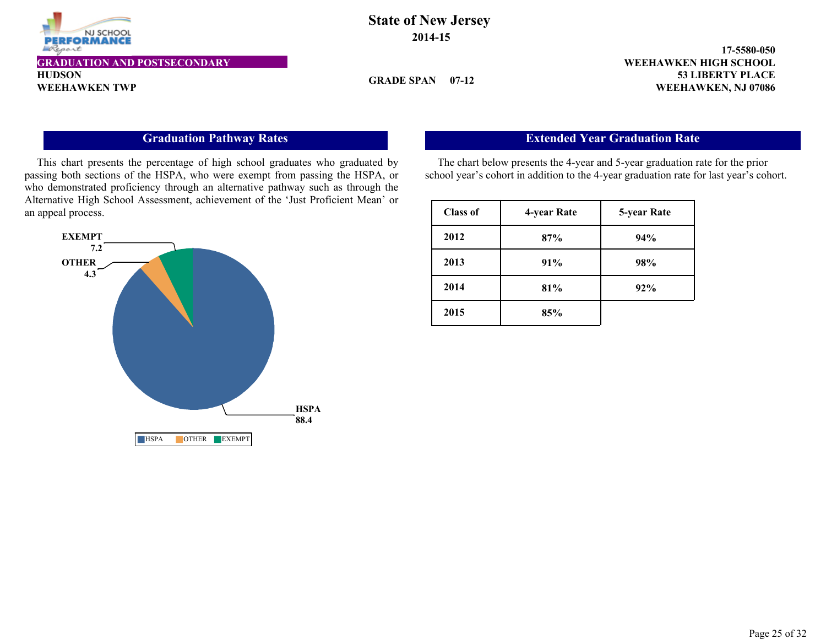

#### **GRADUATION AND POSTSECONDARY WEEHAWKEN HIGH SCHOOL**

**HUDSON**

### **State of New Jersey 2014-15**

**GRADE SPAN 07-12**

**53 LIBERTY PLACE 17-5580-050 WEEHAWKEN TWP WEEHAWKEN, NJ 07086** 

### **Graduation Pathway Rates**

This chart presents the percentage of high school graduates who graduated by passing both sections of the HSPA, who were exempt from passing the HSPA, or who demonstrated proficiency through an alternative pathway such as through the Alternative High School Assessment, achievement of the 'Just Proficient Mean' or an appeal process.



### **Extended Year Graduation Rate**

The chart below presents the 4-year and 5-year graduation rate for the prior school year's cohort in addition to the 4-year graduation rate for last year's cohort.

| <b>Class of</b> | 4-year Rate | 5-year Rate |
|-----------------|-------------|-------------|
| 2012            | 87%         | 94%         |
| 2013            | 91%         | 98%         |
| 2014            | 81%         | 92%         |
| 2015            | 85%         |             |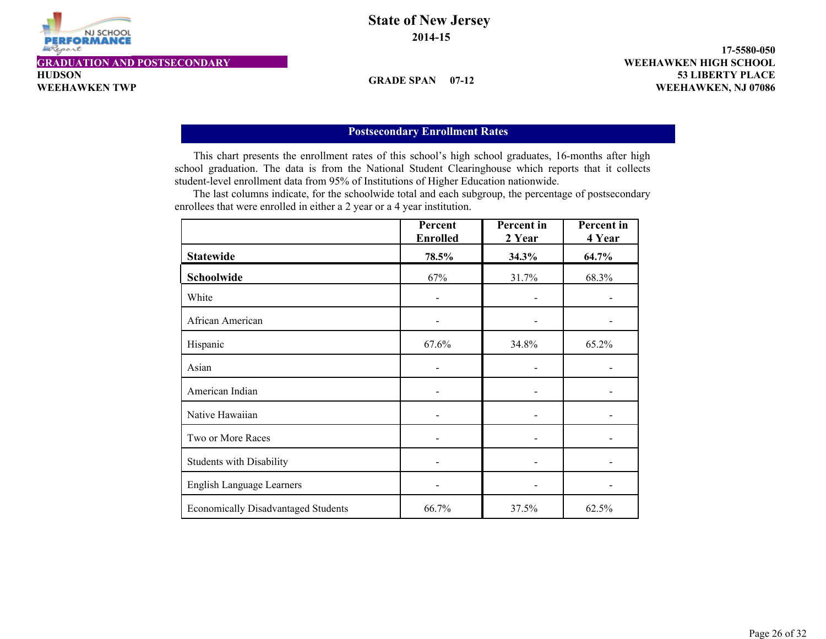

#### **GRADUATION AND POSTSECONDARY WEEHAWKEN HIGH SCHOOL**

**HUDSON**

### **State of New Jersey 2014-15**

**GRADE SPAN 07-12**

**53 LIBERTY PLACE 17-5580-050 WEEHAWKEN TWP WEEHAWKEN, NJ 07086** 

#### **Postsecondary Enrollment Rates**

This chart presents the enrollment rates of this school's high school graduates, 16-months after high school graduation. The data is from the National Student Clearinghouse which reports that it collects student-level enrollment data from 95% of Institutions of Higher Education nationwide.

 The last columns indicate, for the schoolwide total and each subgroup, the percentage of postsecondary enrollees that were enrolled in either a 2 year or a 4 year institution.

|                                            | Percent<br><b>Enrolled</b> | Percent in<br>2 Year | <b>Percent</b> in<br>4 Year |
|--------------------------------------------|----------------------------|----------------------|-----------------------------|
| <b>Statewide</b>                           | 78.5%                      | 34.3%                | 64.7%                       |
| Schoolwide                                 | 67%                        | 31.7%                | 68.3%                       |
| White                                      |                            |                      |                             |
| African American                           |                            |                      |                             |
| Hispanic                                   | 67.6%                      | 34.8%                | 65.2%                       |
| Asian                                      |                            |                      |                             |
| American Indian                            |                            |                      |                             |
| Native Hawaiian                            |                            |                      |                             |
| Two or More Races                          |                            |                      |                             |
| <b>Students with Disability</b>            |                            |                      |                             |
| <b>English Language Learners</b>           |                            |                      |                             |
| <b>Economically Disadvantaged Students</b> | 66.7%                      | 37.5%                | 62.5%                       |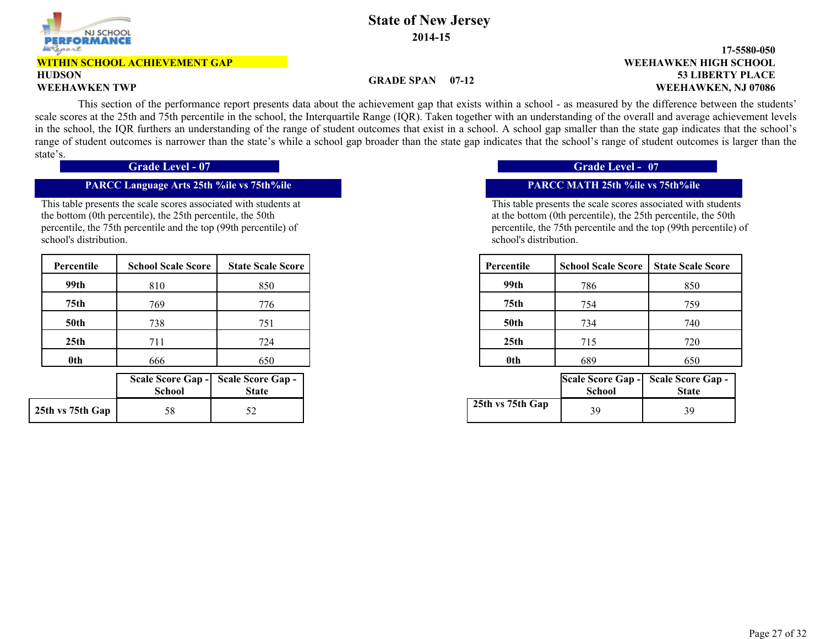

#### **HUDSON WITHIN SCHOOL ACHIEVEMENT GAP**

#### **53 LIBERTY PLACE 17-5580-050 WEEHAWKEN TWP WEEHAWKEN, NJ 07086 WEEHAWKEN HIGH SCHOOL**

#### **GRADE SPAN 07-12**

 This section of the performance report presents data about the achievement gap that exists within a school - as measured by the difference between the students' scale scores at the 25th and 75th percentile in the school, the Interquartile Range (IQR). Taken together with an understanding of the overall and average achievement levels in the school, the IQR furthers an understanding of the range of student outcomes that exist in a school. A school gap smaller than the state gap indicates that the school's range of student outcomes is narrower than the state's while a school gap broader than the state gap indicates that the school's range of student outcomes is larger than the state's.

**Grade Level - 07 Grade Level -** 

#### **PARCC Language Arts 25th %ile vs 75th%ile PARCC MATH 25th %ile vs 75th%ile**

This table presents the scale scores associated with students at the bottom (0th percentile), the 25th percentile, the 50th percentile, the 75th percentile and the top (99th percentile) of school's distribution.

| Percentile       | <b>School Scale Score</b> | <b>State Scale Score</b> | Percentile       | <b>School Scale Score</b> | <b>State Scale Score</b> |
|------------------|---------------------------|--------------------------|------------------|---------------------------|--------------------------|
| 99th             | 810                       | 850                      | 99th             | 786                       |                          |
| 75th             | 769                       | 776                      | 75th             | 754                       |                          |
| <b>50th</b>      | 738                       | 751                      | <b>50th</b>      | 734                       |                          |
| 25 <sub>th</sub> | 711                       | 724                      | 25 <sub>th</sub> | 715                       |                          |
| <b>Oth</b>       | 666                       | 650                      | 0th              | 689                       |                          |

|                  | <b>School</b> | Scale Score Gap - Scale Score Gap -  <br><b>State</b> |
|------------------|---------------|-------------------------------------------------------|
| 25th vs 75th Gap | 58            |                                                       |

#### **Grade Level - 07**

| cale Score | Percentile       | <b>School Scale Score</b> | <b>State Scale Score</b> |
|------------|------------------|---------------------------|--------------------------|
| 850        | 99th             | 786                       | 850                      |
| 776        | 75 <sub>th</sub> | 754                       | 759                      |
| 751        | <b>50th</b>      | 734                       | 740                      |
| 724        | 25 <sub>th</sub> | 715                       | 720                      |
| 650        | 0th              | 689                       | 650                      |

| hool | eore Gap - Scale Score Gap -<br><b>State</b> |                  | School | Scale Score Gap - Scale Score Gap -<br><b>State</b> |
|------|----------------------------------------------|------------------|--------|-----------------------------------------------------|
| 58   | ◡▵                                           | 25th vs 75th Gap | 39     | 39                                                  |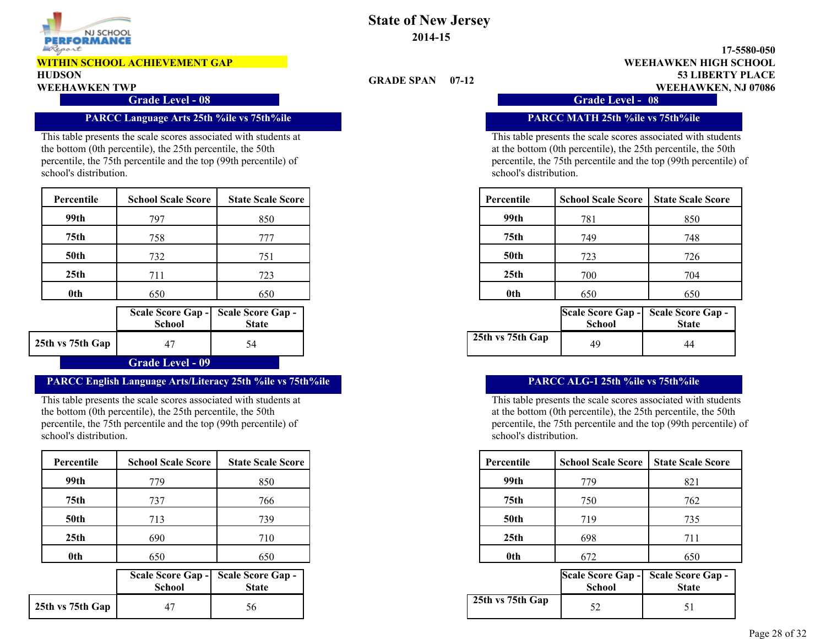

## **HUDSON**

**Grade Level - 08 Grade Level -** 

#### **PARCC Language Arts 25th %ile vs 75th%ile PARCC MATH 25th %ile vs 75th%ile**

This table presents the scale scores associated with students at the bottom (0th percentile), the 25th percentile, the 50th percentile, the 75th percentile and the top (99th percentile) of school's distribution.

| Percentile       | <b>School Scale Score</b> | <b>State Scale Score</b> | Percentile       | <b>School Scale Score</b> | <b>State Scale Score</b> |
|------------------|---------------------------|--------------------------|------------------|---------------------------|--------------------------|
| 99th             | 797                       | 850                      | 99th             | 781                       | 850                      |
| 75 <sub>th</sub> | 758                       | 777                      | 75th             | 749                       | 748                      |
| <b>50th</b>      | 732                       | 751                      | <b>50th</b>      | 723                       | 726                      |
| 25 <sub>th</sub> | 711                       | 723                      | 25 <sub>th</sub> | 700                       | 704                      |
| <b>Oth</b>       | 650                       | 650                      | 0th              | 650                       | 650                      |

|                  | <b>School</b> | Scale Score Gap - Scale Score Gap -<br>State |
|------------------|---------------|----------------------------------------------|
| 25th vs 75th Gap |               | 54                                           |
|                  | .             |                                              |

#### **Grade Level - 09**

#### **PARCC English Language Arts/Literacy 25th %ile vs 75th%ile PARCC ALG-1 25th %ile vs 75th%ile**

This table presents the scale scores associated with students at the bottom (0th percentile), the 25th percentile, the 50th percentile, the 75th percentile and the top (99th percentile) of school's distribution.

| Percentile       | <b>School Scale Score</b> | <b>State Scale Score</b> | Percentile       | <b>School Scale Score</b> |
|------------------|---------------------------|--------------------------|------------------|---------------------------|
| 99th             | 779                       | 850                      | 99th             | 779                       |
| 75 <sub>th</sub> | 737                       | 766                      | 75th             | 750                       |
|                  | 713                       | 739                      | <b>50th</b>      | 719                       |
| 25th             | 690                       | 710                      | 25 <sub>th</sub> | 698                       |
| 0th              | 650                       | 650                      | 0th              | 672                       |

|                  | <b>School</b> | Scale Score Gap - Scale Score Gap -<br><b>State</b> |
|------------------|---------------|-----------------------------------------------------|
| 25th vs 75th Gap |               | .56                                                 |

### **State of New Jersey 2014-15**

**GRADE SPAN 07-12**

**53 LIBERTY PLACE 17-5580-050 WEEHAWKEN TWP WEEHAWKEN, NJ 07086 WEEHAWKEN HIGH SCHOOL**

Grade Level - 08

This table presents the scale scores associated with students at the bottom (0th percentile), the 25th percentile, the 50th percentile, the 75th percentile and the top (99th percentile) of school's distribution.

| cale Score | Percentile       | <b>School Scale Score</b> | <b>State Scale Score</b> |
|------------|------------------|---------------------------|--------------------------|
| 850        | 99th             | 781                       | 850                      |
| 777        | 75th             | 749                       | 748                      |
| 751        | <b>50th</b>      | 723                       | 726                      |
| 723        | 25 <sub>th</sub> | 700                       | 704                      |
| 650        | 0th              | 650                       | 650                      |

| hool | core Gap -   Scale Score Gap -  <br><b>State</b> |                  | Scale Score Gap - Scale Score Gap -<br>School | <b>State</b> |
|------|--------------------------------------------------|------------------|-----------------------------------------------|--------------|
|      |                                                  | 25th vs 75th Gap | 49                                            | 44           |

| cale Score | Percentile       | <b>School Scale Score</b> | <b>State Scale Score</b> |
|------------|------------------|---------------------------|--------------------------|
| 850        | 99th             | 779                       | 821                      |
| 766        | 75th             | 750                       | 762                      |
| 739        | <b>50th</b>      | 719                       | 735                      |
| 710        | 25 <sub>th</sub> | 698                       | 711                      |
| 650        | 0th              | 672                       | 650                      |

| hool | eore Gap -   Scale Score Gap -<br><b>State</b> |                  | School | Scale Score Gap - Scale Score Gap -<br><b>State</b> |
|------|------------------------------------------------|------------------|--------|-----------------------------------------------------|
|      | 56                                             | 25th vs 75th Gap |        |                                                     |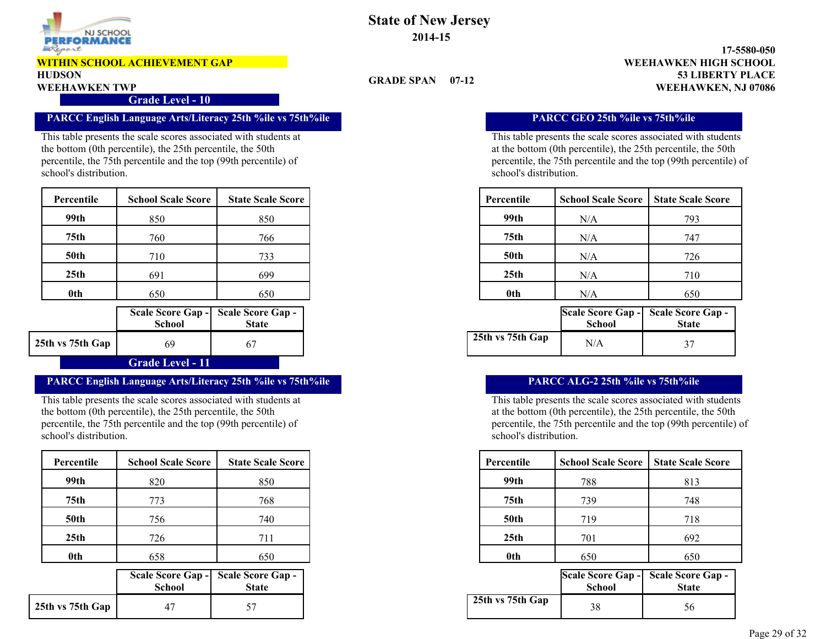

## **HUDSON**

**Grade Level - 10**

#### **PARCC English Language Arts/Literacy 25th %ile vs 75th%ile PARCC GEO 25th %ile vs 75th%ile**

This table presents the scale scores associated with students at the bottom (0th percentile), the 25th percentile, the 50th percentile, the 75th percentile and the top (99th percentile) of school's distribution.

| Percentile       | <b>School Scale Score</b> | <b>State Scale Score</b> | Percentile       | <b>School Scale Score</b> | <b>State Scale Score</b> |
|------------------|---------------------------|--------------------------|------------------|---------------------------|--------------------------|
| 99th             | 850                       | 850                      | 99th             | N/A                       | 793                      |
| 75 <sub>th</sub> | 760                       | 766                      | 75th             | N/A                       | 747                      |
| <b>50th</b>      | 710                       | 733                      | <b>50th</b>      | N/A                       | 726                      |
| 25 <sub>th</sub> | 691                       | 699                      | 25 <sub>th</sub> | N/A                       | 710                      |
| <b>Oth</b>       | 650                       | 650                      | 0th              | N/A                       | 650                      |

|                       | <b>School</b> | Scale Score Gap - Scale Score Gap -<br><b>State</b> |  |  |
|-----------------------|---------------|-----------------------------------------------------|--|--|
| 25th vs 75th Gap      | 69            |                                                     |  |  |
| المنحم المتلم المحمدا |               |                                                     |  |  |

#### **Grade Level - 11**

#### **PARCC English Language Arts/Literacy 25th %ile vs 75th%ile PARCC ALG-2 25th %ile vs 75th%ile**

This table presents the scale scores associated with students at the bottom (0th percentile), the 25th percentile, the 50th percentile, the 75th percentile and the top (99th percentile) of school's distribution.

| Percentile | <b>School Scale Score</b> | <b>State Scale Score</b> | Percentile       |  | <b>School Scale Score</b> | <b>State Scale Score</b> |
|------------|---------------------------|--------------------------|------------------|--|---------------------------|--------------------------|
| 99th       | 820                       | 850                      | 99th             |  | 788                       |                          |
| 75th       | 773                       | 768                      | 75th             |  | 739                       |                          |
|            | 756                       | 740                      | <b>50th</b>      |  | 719                       |                          |
| 25th       | 726                       | 711                      | 25 <sub>th</sub> |  | 701                       |                          |
| 0th        | 658                       | 650                      | 0th              |  | 650                       |                          |

|                  | <b>School</b> | Scale Score Gap - Scale Score Gap -<br><b>State</b> |
|------------------|---------------|-----------------------------------------------------|
| 25th vs 75th Gap |               | 57                                                  |

### **State of New Jersey 2014-15**

#### **53 LIBERTY PLACE 17-5580-050 WEEHAWKEN TWP WEEHAWKEN, NJ 07086 WEEHAWKEN HIGH SCHOOL**

#### **GRADE SPAN 07-12**

This table presents the scale scores associated with students at the bottom (0th percentile), the 25th percentile, the 50th percentile, the 75th percentile and the top (99th percentile) of school's distribution.

| cale Score | Percentile       | <b>School Scale Score</b> | <b>State Scale Score</b> |
|------------|------------------|---------------------------|--------------------------|
| 850        | 99th             | N/A                       | 793                      |
| 766        | 75 <sub>th</sub> | N/A                       | 747                      |
| 733        | <b>50th</b>      | N/A                       | 726                      |
| 699        | 25th             | N/A                       | 710                      |
| 650        | 0th              | N/A                       | 650                      |

| hool | core Gap -   Scale Score Gap -  <br><b>State</b> |                  | School | Scale Score Gap - Scale Score Gap -<br><b>State</b> |
|------|--------------------------------------------------|------------------|--------|-----------------------------------------------------|
| 69   |                                                  | 25th vs 75th Gap | N/A    | ັ                                                   |

| cale Score | Percentile       | <b>School Scale Score</b> | <b>State Scale Score</b> |
|------------|------------------|---------------------------|--------------------------|
| 850        | 99th             | 788                       | 813                      |
| 768        | 75th             | 739                       | 748                      |
| 740        | <b>50th</b>      | 719                       | 718                      |
| 711        | 25 <sub>th</sub> | 701                       | 692                      |
| 650        | 0th              | 650                       | 650                      |

| hool | eore Gap -   Scale Score Gap -<br><b>State</b> |                  | School | Scale Score Gap - Scale Score Gap -<br><b>State</b> |
|------|------------------------------------------------|------------------|--------|-----------------------------------------------------|
|      |                                                | 25th vs 75th Gap | 38     | 56                                                  |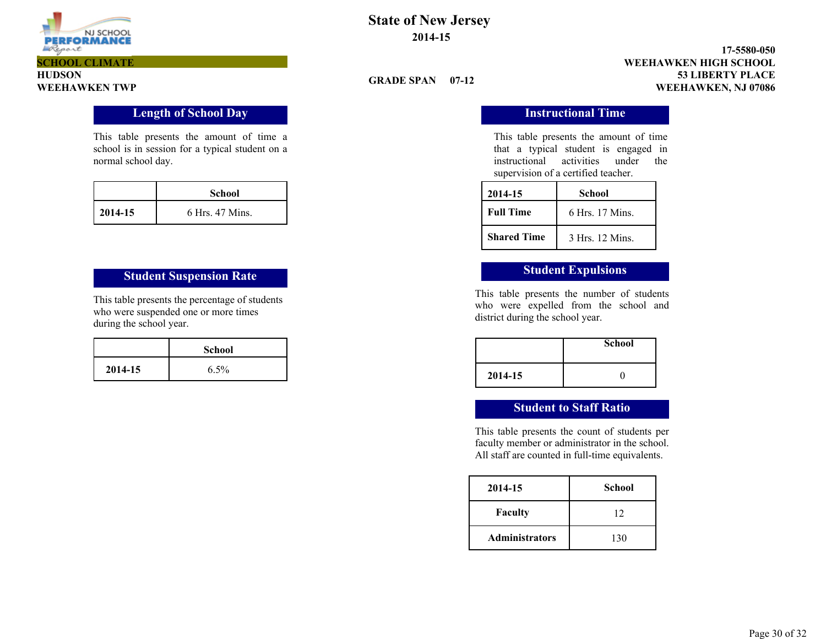

**HUDSON**

### **State of New Jersey 2014-15**

#### **53 LIBERTY PLACE 17-5580-050 WEEHAWKEN TWP WEEHAWKEN, NJ 07086 WEEHAWKEN HIGH SCHOOL**

#### **GRADE SPAN 07-12**

This table presents the amount of time that a typical student is engaged in instructional activities under the supervision of a certified teacher.

| 2014-15            | School          |
|--------------------|-----------------|
| <b>Full Time</b>   | 6 Hrs. 17 Mins. |
| <b>Shared Time</b> | 3 Hrs. 12 Mins. |

This table presents the number of students who were expelled from the school and district during the school year.

|         | <b>School</b> |
|---------|---------------|
| 2014-15 |               |

#### **Student to Staff Ratio**

This table presents the count of students per faculty member or administrator in the school. All staff are counted in full-time equivalents.

| 2014-15               | <b>School</b> |
|-----------------------|---------------|
| <b>Faculty</b>        | 12            |
| <b>Administrators</b> | 130           |

### **Length of School Day Instructional Time**

This table presents the amount of time a school is in session for a typical student on a normal school day.

|         | <b>School</b>   |
|---------|-----------------|
| 2014-15 | 6 Hrs. 47 Mins. |

## **Student Suspension Rate Student Expulsions**

This table presents the percentage of students who were suspended one or more times during the school year.

|         | <b>School</b> |
|---------|---------------|
| 2014-15 | $6.5\%$       |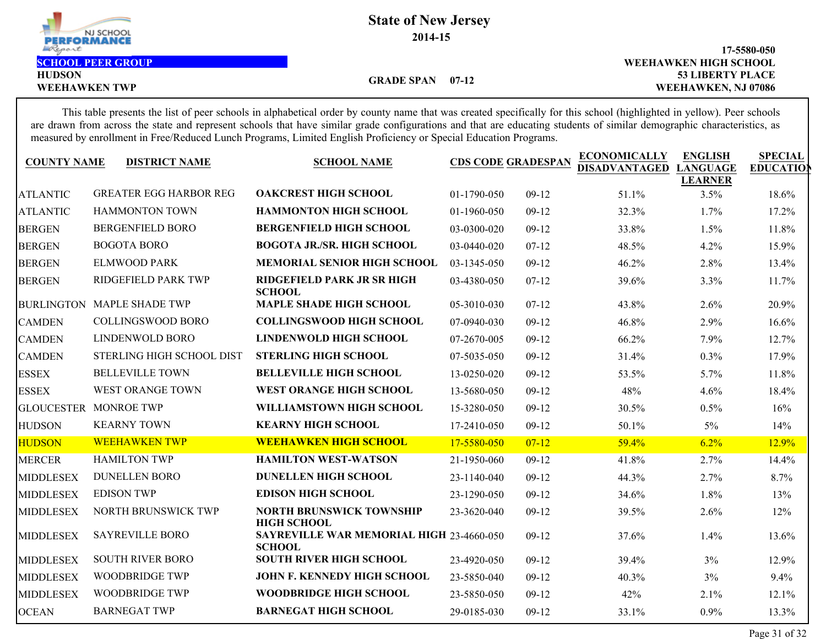

**HUDSON**

**53 LIBERTY PLACE 17-5580-050** WEEHAWKEN TWP **WEEHAWKEN, NJ 07086 SCHOOL PEER GROUP WEEHAWKEN HIGH SCHOOL**

**GRADE SPAN 07-12**

This table presents the list of peer schools in alphabetical order by county name that was created specifically for this school (highlighted in yellow). Peer schools are drawn from across the state and represent schools that have similar grade configurations and that are educating students of similar demographic characteristics, as measured by enrollment in Free/Reduced Lunch Programs, Limited English Proficiency or Special Education Programs.

| <b>COUNTY NAME</b><br><b>DISTRICT NAME</b> | <b>SCHOOL NAME</b>                                                                                                             |                                                                                                                                                                                                                 |                                                                                                                            | <b>ECONOMICALLY</b><br>DISADVANTAGED                                             | <b>ENGLISH</b><br><b>LANGUAGE</b>         | <b>SPECIAL</b><br><b>EDUCATIO</b>                      |
|--------------------------------------------|--------------------------------------------------------------------------------------------------------------------------------|-----------------------------------------------------------------------------------------------------------------------------------------------------------------------------------------------------------------|----------------------------------------------------------------------------------------------------------------------------|----------------------------------------------------------------------------------|-------------------------------------------|--------------------------------------------------------|
|                                            |                                                                                                                                |                                                                                                                                                                                                                 |                                                                                                                            |                                                                                  |                                           | 18.6%                                                  |
|                                            |                                                                                                                                |                                                                                                                                                                                                                 |                                                                                                                            |                                                                                  |                                           | 17.2%                                                  |
|                                            |                                                                                                                                |                                                                                                                                                                                                                 |                                                                                                                            |                                                                                  |                                           | 11.8%                                                  |
|                                            |                                                                                                                                |                                                                                                                                                                                                                 |                                                                                                                            |                                                                                  |                                           | 15.9%                                                  |
|                                            |                                                                                                                                |                                                                                                                                                                                                                 |                                                                                                                            |                                                                                  |                                           | 13.4%                                                  |
| RIDGEFIELD PARK TWP                        | RIDGEFIELD PARK JR SR HIGH                                                                                                     | 03-4380-050                                                                                                                                                                                                     | $07-12$                                                                                                                    | 39.6%                                                                            | 3.3%                                      | 11.7%                                                  |
| BURLINGTON MAPLE SHADE TWP                 | <b>SCHOOL</b><br><b>MAPLE SHADE HIGH SCHOOL</b>                                                                                | 05-3010-030                                                                                                                                                                                                     | $07-12$                                                                                                                    | 43.8%                                                                            | 2.6%                                      | 20.9%                                                  |
| <b>COLLINGSWOOD BORO</b>                   | <b>COLLINGSWOOD HIGH SCHOOL</b>                                                                                                | 07-0940-030                                                                                                                                                                                                     | $09-12$                                                                                                                    | 46.8%                                                                            | 2.9%                                      | 16.6%                                                  |
| LINDENWOLD BORO                            | LINDENWOLD HIGH SCHOOL                                                                                                         | 07-2670-005                                                                                                                                                                                                     | $09-12$                                                                                                                    | 66.2%                                                                            | 7.9%                                      | 12.7%                                                  |
| STERLING HIGH SCHOOL DIST                  | <b>STERLING HIGH SCHOOL</b>                                                                                                    | 07-5035-050                                                                                                                                                                                                     | $09-12$                                                                                                                    | 31.4%                                                                            | 0.3%                                      | 17.9%                                                  |
| <b>BELLEVILLE TOWN</b>                     | <b>BELLEVILLE HIGH SCHOOL</b>                                                                                                  | 13-0250-020                                                                                                                                                                                                     | $09-12$                                                                                                                    | 53.5%                                                                            | 5.7%                                      | 11.8%                                                  |
| WEST ORANGE TOWN                           | WEST ORANGE HIGH SCHOOL                                                                                                        | 13-5680-050                                                                                                                                                                                                     | $09-12$                                                                                                                    | 48%                                                                              | 4.6%                                      | 18.4%                                                  |
| GLOUCESTER MONROE TWP                      | WILLIAMSTOWN HIGH SCHOOL                                                                                                       | 15-3280-050                                                                                                                                                                                                     | $09-12$                                                                                                                    | 30.5%                                                                            | 0.5%                                      | 16%                                                    |
| <b>KEARNY TOWN</b>                         | <b>KEARNY HIGH SCHOOL</b>                                                                                                      | 17-2410-050                                                                                                                                                                                                     | $09-12$                                                                                                                    | 50.1%                                                                            | $5\%$                                     | 14%                                                    |
| <b>WEEHAWKEN TWP</b>                       | <b>WEEHAWKEN HIGH SCHOOL</b>                                                                                                   | 17-5580-050                                                                                                                                                                                                     | $07 - 12$                                                                                                                  | 59.4%                                                                            | 6.2%                                      | 12.9%                                                  |
| <b>HAMILTON TWP</b>                        | <b>HAMILTON WEST-WATSON</b>                                                                                                    | 21-1950-060                                                                                                                                                                                                     | $09-12$                                                                                                                    | 41.8%                                                                            | 2.7%                                      | 14.4%                                                  |
| <b>DUNELLEN BORO</b>                       | <b>DUNELLEN HIGH SCHOOL</b>                                                                                                    | 23-1140-040                                                                                                                                                                                                     | $09-12$                                                                                                                    | 44.3%                                                                            | 2.7%                                      | 8.7%                                                   |
| <b>EDISON TWP</b>                          | <b>EDISON HIGH SCHOOL</b>                                                                                                      | 23-1290-050                                                                                                                                                                                                     | $09-12$                                                                                                                    | 34.6%                                                                            | 1.8%                                      | 13%                                                    |
| NORTH BRUNSWICK TWP                        | <b>NORTH BRUNSWICK TOWNSHIP</b>                                                                                                | 23-3620-040                                                                                                                                                                                                     | $09-12$                                                                                                                    | 39.5%                                                                            | 2.6%                                      | 12%                                                    |
| <b>SAYREVILLE BORO</b>                     |                                                                                                                                |                                                                                                                                                                                                                 | $09-12$                                                                                                                    | 37.6%                                                                            | 1.4%                                      | 13.6%                                                  |
| <b>SOUTH RIVER BORO</b>                    | <b>SOUTH RIVER HIGH SCHOOL</b>                                                                                                 | 23-4920-050                                                                                                                                                                                                     | $09-12$                                                                                                                    | 39.4%                                                                            | 3%                                        | 12.9%                                                  |
| <b>WOODBRIDGE TWP</b>                      | JOHN F. KENNEDY HIGH SCHOOL                                                                                                    | 23-5850-040                                                                                                                                                                                                     | $09-12$                                                                                                                    | 40.3%                                                                            | 3%                                        | 9.4%                                                   |
| <b>WOODBRIDGE TWP</b>                      | <b>WOODBRIDGE HIGH SCHOOL</b>                                                                                                  | 23-5850-050                                                                                                                                                                                                     | $09-12$                                                                                                                    | 42%                                                                              | 2.1%                                      | 12.1%                                                  |
| <b>BARNEGAT TWP</b>                        | <b>BARNEGAT HIGH SCHOOL</b>                                                                                                    | 29-0185-030                                                                                                                                                                                                     | $09-12$                                                                                                                    | 33.1%                                                                            | 0.9%                                      | 13.3%                                                  |
|                                            | <b>GREATER EGG HARBOR REG</b><br><b>HAMMONTON TOWN</b><br><b>BERGENFIELD BORO</b><br><b>BOGOTA BORO</b><br><b>ELMWOOD PARK</b> | <b>OAKCREST HIGH SCHOOL</b><br><b>HAMMONTON HIGH SCHOOL</b><br><b>BERGENFIELD HIGH SCHOOL</b><br><b>BOGOTA JR./SR. HIGH SCHOOL</b><br><b>MEMORIAL SENIOR HIGH SCHOOL</b><br><b>HIGH SCHOOL</b><br><b>SCHOOL</b> | 01-1790-050<br>01-1960-050<br>03-0300-020<br>03-0440-020<br>03-1345-050<br><b>SAYREVILLE WAR MEMORIAL HIGH 23-4660-050</b> | <b>CDS CODE GRADESPAN</b><br>$09-12$<br>$09-12$<br>$09-12$<br>$07-12$<br>$09-12$ | 51.1%<br>32.3%<br>33.8%<br>48.5%<br>46.2% | <b>LEARNER</b><br>3.5%<br>1.7%<br>1.5%<br>4.2%<br>2.8% |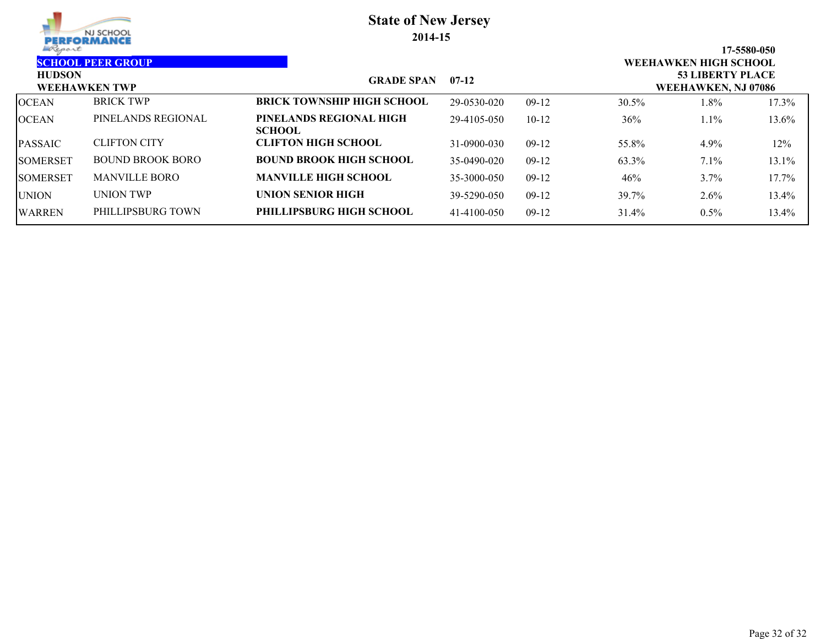| NJ SCHOOL<br><b>PERFORMANCE</b> |                          |                                          | <b>State of New Jersey</b><br>2014-15 |         |          |                                                         |             |
|---------------------------------|--------------------------|------------------------------------------|---------------------------------------|---------|----------|---------------------------------------------------------|-------------|
| Report<br><b>HUDSON</b>         | <b>SCHOOL PEER GROUP</b> |                                          |                                       |         |          | <b>WEEHAWKEN HIGH SCHOOL</b><br><b>53 LIBERTY PLACE</b> | 17-5580-050 |
|                                 | <b>WEEHAWKEN TWP</b>     | <b>GRADE SPAN</b>                        | $07-12$                               |         |          | WEEHAWKEN, NJ 07086                                     |             |
| OCEAN                           | <b>BRICK TWP</b>         | <b>BRICK TOWNSHIP HIGH SCHOOL</b>        | 29-0530-020                           | $09-12$ | $30.5\%$ | 1.8%                                                    | 17.3%       |
| OCEAN                           | PINELANDS REGIONAL       | PINELANDS REGIONAL HIGH<br><b>SCHOOL</b> | 29-4105-050                           | $10-12$ | 36%      | $1.1\%$                                                 | 13.6%       |
| PASSAIC                         | <b>CLIFTON CITY</b>      | <b>CLIFTON HIGH SCHOOL</b>               | 31-0900-030                           | $09-12$ | 55.8%    | 4.9%                                                    | 12%         |
| SOMERSET                        | BOUND BROOK BORO         | <b>BOUND BROOK HIGH SCHOOL</b>           | 35-0490-020                           | $09-12$ | 63.3%    | $7.1\%$                                                 | 13.1%       |
| SOMERSET                        | <b>MANVILLE BORO</b>     | <b>MANVILLE HIGH SCHOOL</b>              | 35-3000-050                           | $09-12$ | 46%      | 3.7%                                                    | 17.7%       |
| <b>UNION</b>                    | UNION TWP                | <b>UNION SENIOR HIGH</b>                 | 39-5290-050                           | $09-12$ | 39.7%    | 2.6%                                                    | 13.4%       |
| WARREN                          | PHILLIPSBURG TOWN        | PHILLIPSBURG HIGH SCHOOL                 | 41-4100-050                           | $09-12$ | 31.4%    | $0.5\%$                                                 | 13.4%       |
|                                 |                          |                                          |                                       |         |          |                                                         |             |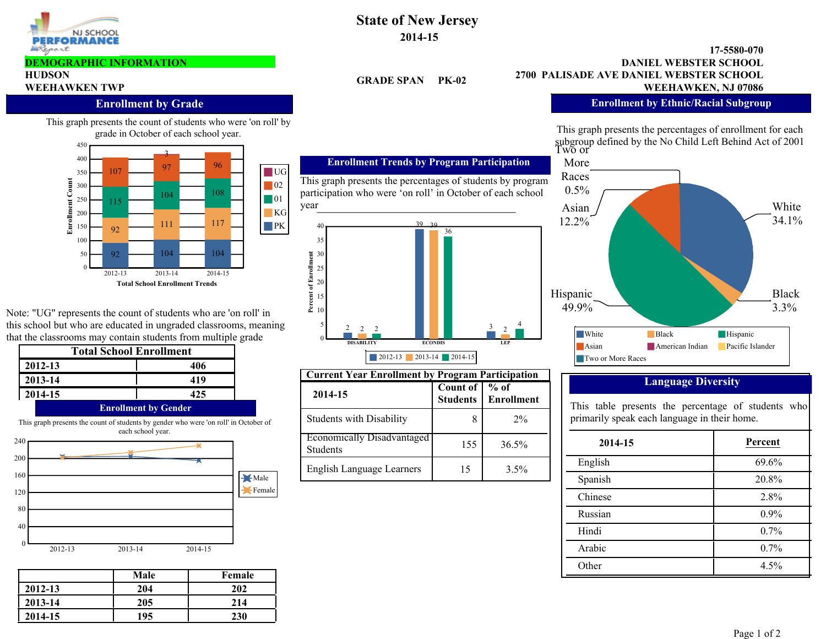

#### **DEMOGRAPHIC INFORMATION**

# **HUDSON**

#### **Enrollment by Grade**

This graph presents the count of students who were 'on roll' by grade in October of each school year.



Note: "UG" represents the count of students who are 'on roll' in this school but who are educated in ungraded classrooms, meaning that the classrooms may contain students from multiple grade

| 406<br>419                  |
|-----------------------------|
|                             |
|                             |
| 425                         |
| <b>Enrollment by Gender</b> |

This graph presents the count of students by gender who were 'on roll' in October of each school year.



|         | Male | Female |
|---------|------|--------|
| 2012-13 | 204  | 202    |
| 2013-14 | 205  | 214    |
| 2014-15 | 195  | 230    |

### **State of New Jersey 2014-15**

**GRADE SPAN** 

#### **2700 PALISADE AVE DANIEL WEBSTER SCHOOL 17-5580-070 WEEHAWKEN TWP WEEHAWKEN TWP WEEHAWKEN, NJ 07086 DANIEL WEBSTER SCHOOL**

#### **Enrollment by Ethnic/Racial Subgroup**

subgroup defined by the No Child Left Behind Act of 2001<br>Two or This graph presents the percentages of enrollment for each



### **Language Diversity**

This table presents the percentage of students who primarily speak each language in their home.

| 2014-15 | Percent |
|---------|---------|
| English | 69.6%   |
| Spanish | 20.8%   |
| Chinese | 2.8%    |
| Russian | 0.9%    |
| Hindi   | 0.7%    |
| Arabic  | 0.7%    |
| Other   | 4.5%    |

**Students** 

**Count of** 

15

4

 $2^{\sim}$ 

8 2%

 $\overline{^{0}/_{0}}$  of **Enrollment**

3.5%

155 36.5%

**DISABILITY ECONDIS LEP**

2 2 2  $\boxed{1}$   $\boxed{3}$ 

2012-13 2013-14 2014-15

**Current Year Enrollment by Program Participation**

36

39 39

participation who were 'on roll' in October of each school

**Enrollment Trends by Program Participation**

**Percent of Enrollment**

year

**2014-15**

Students

2

Students with Disability

English Language Learners

Economically Disadvantaged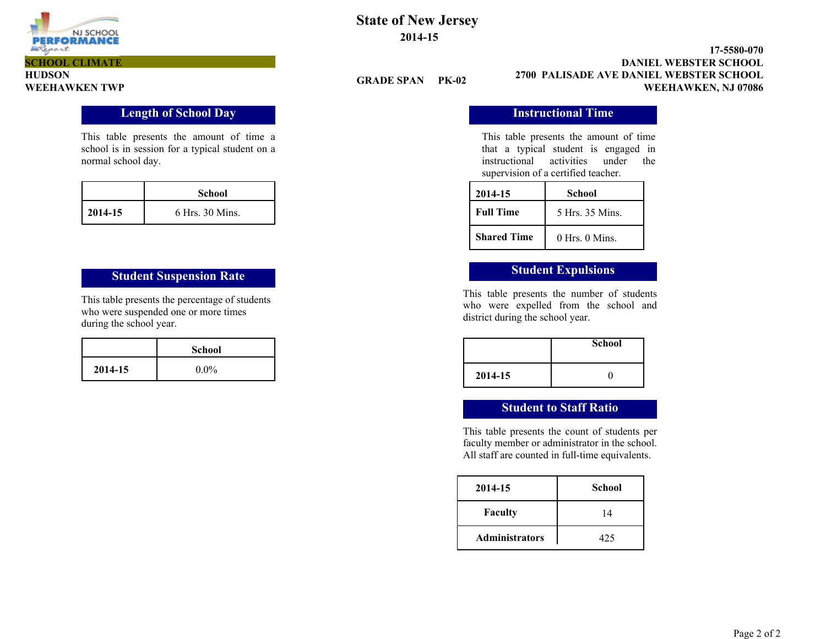

**SCHOOL CLIMATE**

**HUDSON**

### **State of New Jersey 2014-15**

**GRADE SPAN PK-02**

**2700 PALISADE AVE DANIEL WEBSTER SCHOOL 17-5580-070 WEEHAWKEN TWP WEEHAWKEN, NJ 07086 DANIEL WEBSTER SCHOOL**

### **Instructional Time**

This table presents the amount of time a school is in session for a typical student on a normal school day.

|         | School          |
|---------|-----------------|
| 2014-15 | 6 Hrs. 30 Mins. |

## **Student Suspension Rate Student Expulsions**

This table presents the percentage of students who were suspended one or more times during the school year.

|         | <b>School</b> |
|---------|---------------|
| 2014-15 | $0.0\%$       |

This table presents the amount of time that a typical student is engaged in instructional activities under the supervision of a certified teacher.

| 2014-15            | School             |
|--------------------|--------------------|
| <b>Full Time</b>   | 5 Hrs. 35 Mins.    |
| <b>Shared Time</b> | $0$ Hrs. $0$ Mins. |

This table presents the number of students who were expelled from the school and district during the school year.

|         | <b>School</b> |
|---------|---------------|
| 2014-15 |               |

#### **Student to Staff Ratio**

This table presents the count of students per faculty member or administrator in the school. All staff are counted in full-time equivalents.

| 2014-15               | <b>School</b> |
|-----------------------|---------------|
| <b>Faculty</b>        | 14            |
| <b>Administrators</b> | 425           |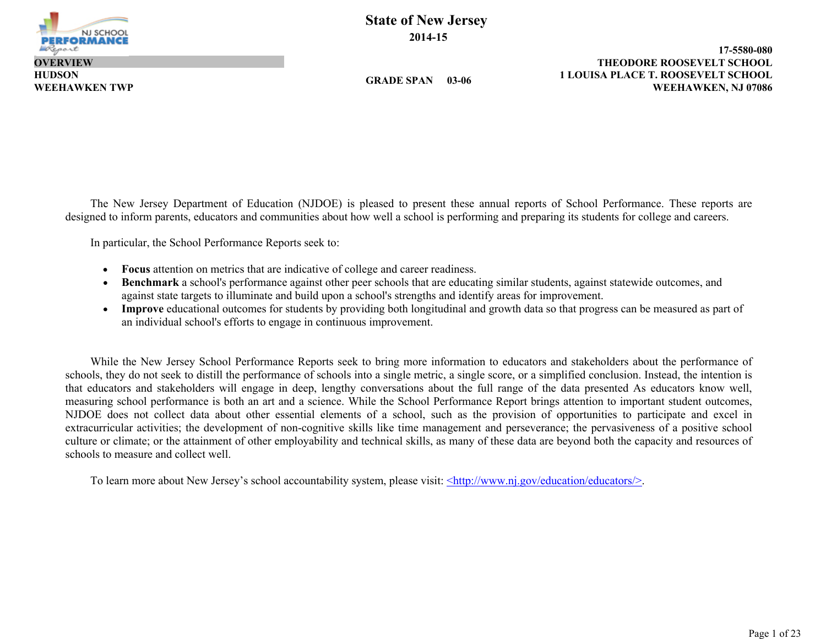

**HUDSON OVERVIEW**

**GRADE SPAN 03-06**

**1 LOUISA PLACE T. ROOSEVELT SCHOOL 17-5580-080 WEEHAWKEN TWP WEEHAWKEN, NJ 07086 THEODORE ROOSEVELT SCHOOL**

The New Jersey Department of Education (NJDOE) is pleased to present these annual reports of School Performance. These reports are designed to inform parents, educators and communities about how well a school is performing and preparing its students for college and careers.

In particular, the School Performance Reports seek to:

- **Focus** attention on metrics that are indicative of college and career readiness.
- **Benchmark** a school's performance against other peer schools that are educating similar students, against statewide outcomes, and against state targets to illuminate and build upon a school's strengths and identify areas for improvement.
- **Improve** educational outcomes for students by providing both longitudinal and growth data so that progress can be measured as part of an individual school's efforts to engage in continuous improvement.

While the New Jersey School Performance Reports seek to bring more information to educators and stakeholders about the performance of schools, they do not seek to distill the performance of schools into a single metric, a single score, or a simplified conclusion. Instead, the intention is that educators and stakeholders will engage in deep, lengthy conversations about the full range of the data presented As educators know well, measuring school performance is both an art and a science. While the School Performance Report brings attention to important student outcomes, NJDOE does not collect data about other essential elements of a school, such as the provision of opportunities to participate and excel in extracurricular activities; the development of non-cognitive skills like time management and perseverance; the pervasiveness of a positive school culture or climate; or the attainment of other employability and technical skills, as many of these data are beyond both the capacity and resources of schools to measure and collect well.

To learn more about New Jersey's school accountability system, please visit: <http://www.nj.gov/education/educators/>.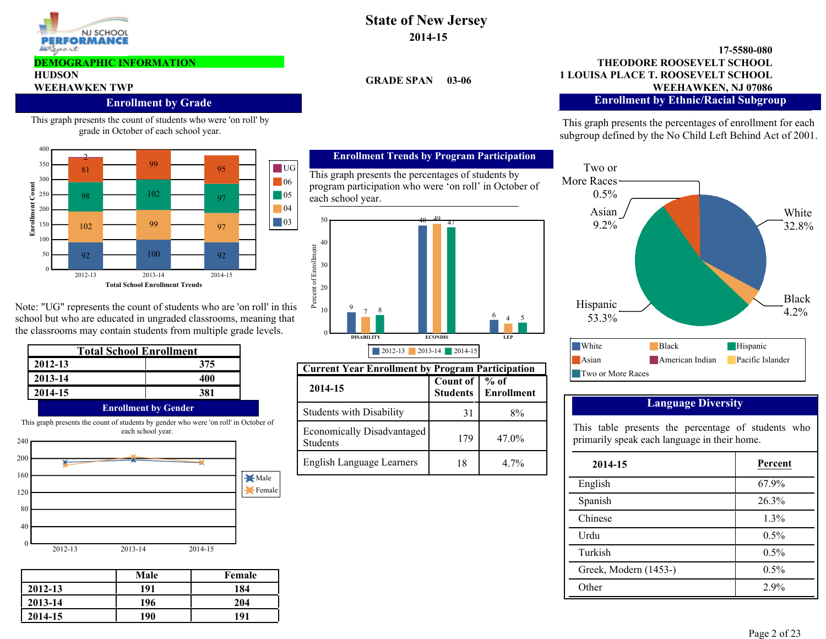

#### **DEMOGRAPHIC INFORMATION**

## **HUDSON**

#### **Enrollment by Grade**

This graph presents the count of students who were 'on roll' by grade in October of each school year.



Note: "UG" represents the count of students who are 'on roll' in this school but who are educated in ungraded classrooms, meaning that the classrooms may contain students from multiple grade levels.

| <b>Total School Enrollment</b>                                                                            |                             |  |  |  |  |  |
|-----------------------------------------------------------------------------------------------------------|-----------------------------|--|--|--|--|--|
| 2012-13                                                                                                   | 375                         |  |  |  |  |  |
| 2013-14                                                                                                   | 400                         |  |  |  |  |  |
| 2014-15                                                                                                   | 381                         |  |  |  |  |  |
|                                                                                                           | <b>Enrollment by Gender</b> |  |  |  |  |  |
| This graph presents the count of students by gender who were 'on roll' in October of<br>each school year. |                             |  |  |  |  |  |



|         | Male | Female |
|---------|------|--------|
| 2012-13 | 191  | 184    |
| 2013-14 | 196  | 204    |
| 2014-15 | 190  | 191    |

### **State of New Jersey 2014-15**

**GRADE SPAN 03-06**

#### **1 LOUISA PLACE T. ROOSEVELT SCHOOL 17-5580-080 WEEHAWKEN TWP**<br>WEEHAWKEN TWP<br>WEEHAWKEN, NJ 07086 **THEODORE ROOSEVELT SCHOOL Enrollment by Ethnic/Racial Subgroup**

This graph presents the percentages of enrollment for each subgroup defined by the No Child Left Behind Act of 2001.



#### **Language Diversity**

This table presents the percentage of students who primarily speak each language in their home.

| 2014-15               | Percent |
|-----------------------|---------|
| English               | 67.9%   |
| Spanish               | 26.3%   |
| Chinese               | 1.3%    |
| Urdu                  | $0.5\%$ |
| Turkish               | $0.5\%$ |
| Greek, Modern (1453-) | $0.5\%$ |
| Other                 | 2.9%    |

#### **Enrollment Trends by Program Participation**

This graph presents the percentages of students by program participation who were 'on roll' in October of each school year.



| <b>Current Year Enrollment by Program Participation</b> |                               |                             |  |  |  |  |  |
|---------------------------------------------------------|-------------------------------|-----------------------------|--|--|--|--|--|
| 2014-15                                                 | Count of  <br><b>Students</b> | $%$ of<br><b>Enrollment</b> |  |  |  |  |  |
| <b>Students with Disability</b>                         | 31                            | 8%                          |  |  |  |  |  |
| Economically Disadvantaged<br><b>Students</b>           | 179                           | $47.0\%$                    |  |  |  |  |  |
| <b>English Language Learners</b>                        | 18                            | $4.7\%$                     |  |  |  |  |  |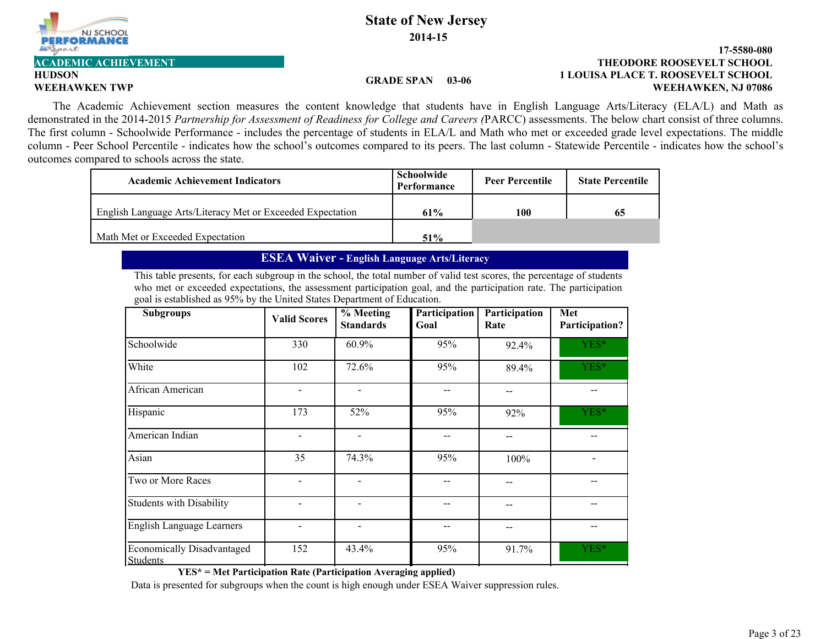

# **HUDSON**

#### **1 LOUISA PLACE T. ROOSEVELT SCHOOL 17-5580-080 WEEHAWKEN TWP WEEHAWKEN, NJ 07086 ACADEMIC ACHIEVEMENT THEODORE ROOSEVELT SCHOOL**

#### **GRADE SPAN 03-06**

The Academic Achievement section measures the content knowledge that students have in English Language Arts/Literacy (ELA/L) and Math as demonstrated in the 2014-2015 *Partnership for Assessment of Readiness for College and Careers (*PARCC) assessments. The below chart consist of three columns. The first column - Schoolwide Performance - includes the percentage of students in ELA/L and Math who met or exceeded grade level expectations. The middle column - Peer School Percentile - indicates how the school's outcomes compared to its peers. The last column - Statewide Percentile - indicates how the school's outcomes compared to schools across the state.

| <b>Academic Achievement Indicators</b>                     | Schoolwide<br>Performance | <b>Peer Percentile</b> | <b>State Percentile</b> |
|------------------------------------------------------------|---------------------------|------------------------|-------------------------|
| English Language Arts/Literacy Met or Exceeded Expectation | 61%                       | 100                    | 65                      |
| Math Met or Exceeded Expectation                           | $51\%$                    |                        |                         |

#### **ESEA Waiver - English Language Arts/Literacy**

This table presents, for each subgroup in the school, the total number of valid test scores, the percentage of students who met or exceeded expectations, the assessment participation goal, and the participation rate. The participation goal is established as 95% by the United States Department of Education.

| <b>Subgroups</b>                              | <b>Valid Scores</b> | $%$ Meeting<br><b>Standards</b> | Participation<br>Goal | Participation<br>Rate | Met<br>Participation? |  |  |
|-----------------------------------------------|---------------------|---------------------------------|-----------------------|-----------------------|-----------------------|--|--|
| Schoolwide                                    | 330                 | 60.9%                           | 95%                   | 92.4%                 | YES*                  |  |  |
| White                                         | 102                 | 72.6%                           | 95%                   | 89.4%                 | YES*                  |  |  |
| African American                              |                     |                                 |                       |                       |                       |  |  |
| Hispanic                                      | 173                 | 52%                             | 95%                   | 92%                   | YES*                  |  |  |
| American Indian                               |                     |                                 |                       |                       |                       |  |  |
| Asian                                         | 35                  | 74.3%                           | 95%                   | 100%                  |                       |  |  |
| Two or More Races                             |                     |                                 |                       |                       |                       |  |  |
| Students with Disability                      |                     |                                 |                       |                       |                       |  |  |
| English Language Learners                     |                     |                                 |                       |                       |                       |  |  |
| Economically Disadvantaged<br><b>Students</b> | 152                 | 43.4%                           | 95%                   | 91.7%                 | YES*                  |  |  |

**YES\* = Met Participation Rate (Participation Averaging applied)**

Data is presented for subgroups when the count is high enough under ESEA Waiver suppression rules.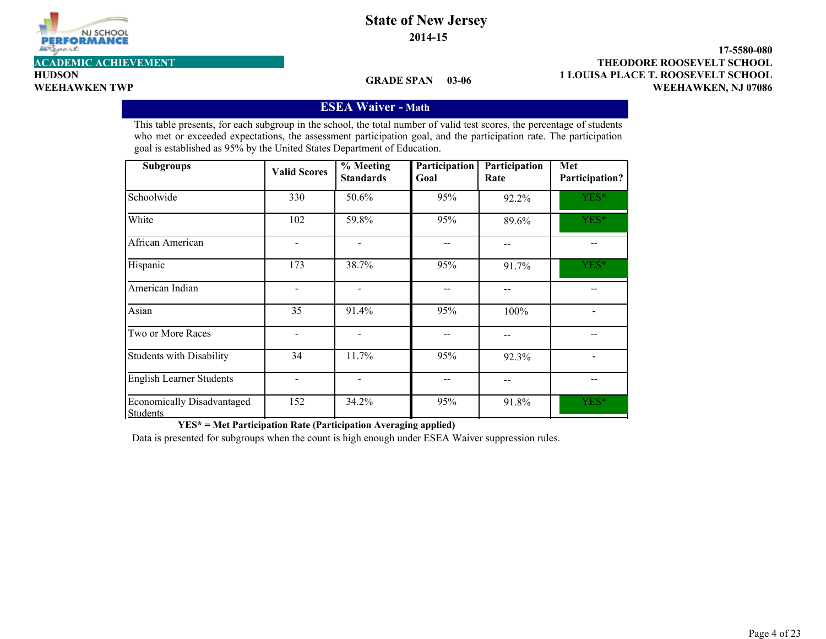

**2014-15**

**HUDSON**

#### **GRADE SPAN 03-06**

**1 LOUISA PLACE T. ROOSEVELT SCHOOL 17-5580-080 WEEHAWKEN TWP WEEHAWKEN, NJ 07086 ACADEMIC ACHIEVEMENT THEODORE ROOSEVELT SCHOOL**

### **ESEA Waiver - Math**

This table presents, for each subgroup in the school, the total number of valid test scores, the percentage of students who met or exceeded expectations, the assessment participation goal, and the participation rate. The participation goal is established as 95% by the United States Department of Education.

| <b>Subgroups</b>                                     | <b>Valid Scores</b> | $%$ Meeting<br><b>Standards</b> | Participation<br>Goal | Participation<br>Rate | Met<br>Participation? |
|------------------------------------------------------|---------------------|---------------------------------|-----------------------|-----------------------|-----------------------|
| Schoolwide                                           | 330                 | 50.6%                           | 95%                   | 92.2%                 | YES*                  |
| White                                                | 102                 | 59.8%                           | 95%                   | 89.6%                 | YES*                  |
| African American                                     |                     |                                 |                       | --                    |                       |
| Hispanic                                             | 173                 | 38.7%                           | 95%                   | 91.7%                 | YES*                  |
| American Indian                                      |                     | $\qquad \qquad \blacksquare$    |                       |                       |                       |
| Asian                                                | 35                  | 91.4%                           | 95%                   | 100%                  |                       |
| Two or More Races                                    |                     | $\qquad \qquad \blacksquare$    |                       | --                    |                       |
| <b>Students with Disability</b>                      | 34                  | 11.7%                           | 95%                   | 92.3%                 |                       |
| <b>English Learner Students</b>                      |                     | $\overline{\phantom{a}}$        |                       | --                    |                       |
| <b>Economically Disadvantaged</b><br><b>Students</b> | 152                 | 34.2%                           | 95%                   | 91.8%                 | YES*                  |

**YES\* = Met Participation Rate (Participation Averaging applied)**

Data is presented for subgroups when the count is high enough under ESEA Waiver suppression rules.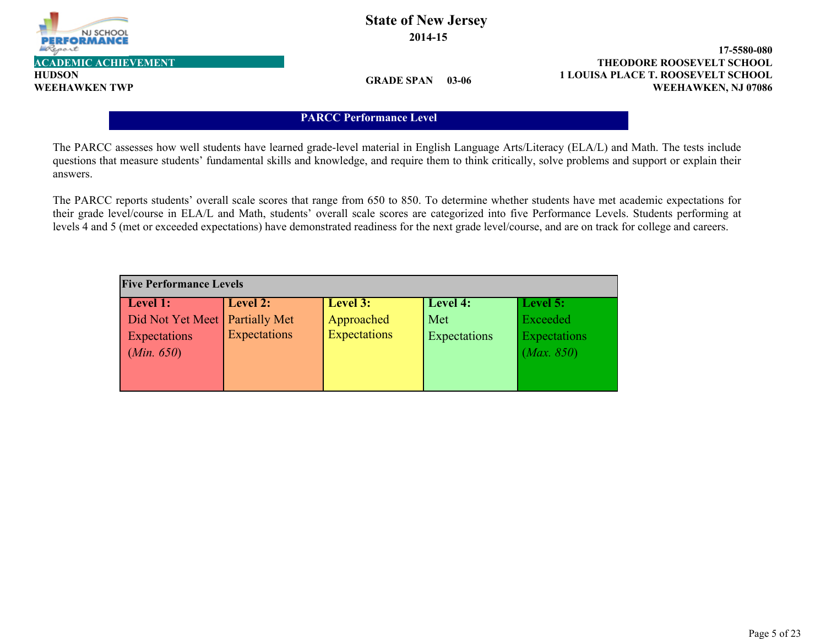

**HUDSON**

### **State of New Jersey 2014-15**

**1 LOUISA PLACE T. ROOSEVELT SCHOOL 17-5580-080 WEEHAWKEN TWP WEEHAWKEN, NJ 07086 ACADEMIC ACHIEVEMENT THEODORE ROOSEVELT SCHOOL**

**GRADE SPAN 03-06**

#### **PARCC Performance Level**

The PARCC assesses how well students have learned grade-level material in English Language Arts/Literacy (ELA/L) and Math. The tests include questions that measure students' fundamental skills and knowledge, and require them to think critically, solve problems and support or explain their answers.

The PARCC reports students' overall scale scores that range from 650 to 850. To determine whether students have met academic expectations for their grade level/course in ELA/L and Math, students' overall scale scores are categorized into five Performance Levels. Students performing at levels 4 and 5 (met or exceeded expectations) have demonstrated readiness for the next grade level/course, and are on track for college and careers.

| <b>Five Performance Levels</b>   |              |                     |              |              |  |  |  |  |  |
|----------------------------------|--------------|---------------------|--------------|--------------|--|--|--|--|--|
| Level 1:                         | Level 2:     | Level 3:            | Level 4:     | Level 5:     |  |  |  |  |  |
| Did Not Yet Meet   Partially Met |              | Approached          | Met          | Exceeded     |  |  |  |  |  |
| Expectations                     | Expectations | <b>Expectations</b> | Expectations | Expectations |  |  |  |  |  |
| (Min. 650)                       |              |                     |              | (Max. 850)   |  |  |  |  |  |
|                                  |              |                     |              |              |  |  |  |  |  |
|                                  |              |                     |              |              |  |  |  |  |  |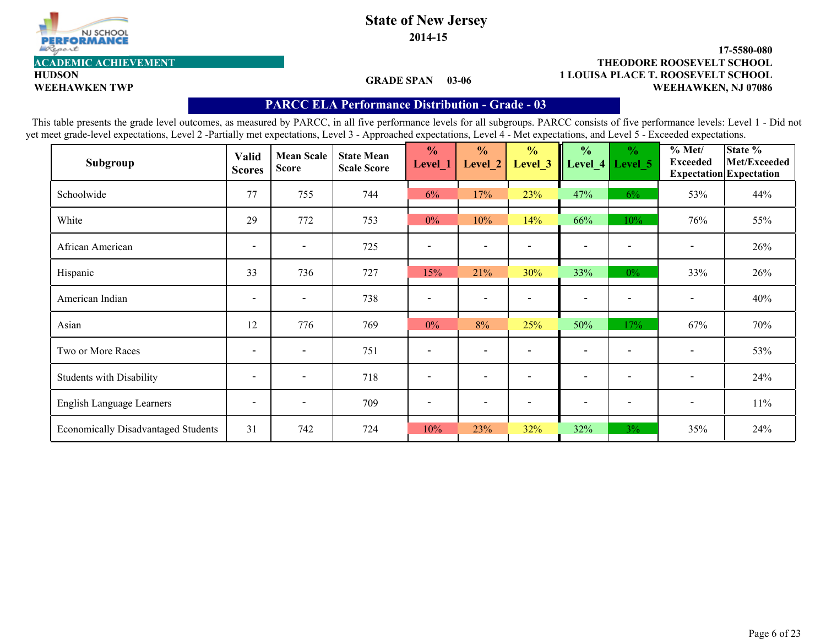

**2014-15**

#### **1 LOUISA PLACE T. ROOSEVELT SCHOOL 17-5580-080** WEEHAWKEN TWP **WEEHAWKEN, NJ 07086 ACADEMIC ACHIEVEMENT THEODORE ROOSEVELT SCHOOL**

**HUDSON**

#### **GRADE SPAN 03-06**

#### **PARCC ELA Performance Distribution - Grade - 03**

| Subgroup                                   | <b>Valid</b><br><b>Scores</b> | <b>Mean Scale</b><br><b>Score</b> | <b>State Mean</b><br><b>Scale Score</b> | $\frac{0}{0}$<br>Level <sup>1</sup> | $\frac{0}{0}$<br>Level 2 | $\frac{0}{0}$<br>Level_3 | $\frac{0}{0}$<br>Level_4 | $\frac{0}{0}$<br>Level 5 | % Met/<br><b>Exceeded</b>    | State %<br>Met/Exceeded<br><b>Expectation</b> Expectation |
|--------------------------------------------|-------------------------------|-----------------------------------|-----------------------------------------|-------------------------------------|--------------------------|--------------------------|--------------------------|--------------------------|------------------------------|-----------------------------------------------------------|
| Schoolwide                                 | 77                            | 755                               | 744                                     | 6%                                  | 17%                      | 23%                      | 47%                      | 6%                       | 53%                          | 44%                                                       |
| White                                      | 29                            | 772                               | 753                                     | $0\%$                               | 10%                      | 14%                      | 66%                      | 10%                      | 76%                          | 55%                                                       |
| African American                           | $\overline{\phantom{a}}$      | $\overline{\phantom{a}}$          | 725                                     | $\overline{\phantom{a}}$            | $\overline{\phantom{a}}$ |                          | $\overline{\phantom{a}}$ | $\overline{\phantom{a}}$ | $\overline{\phantom{a}}$     | 26%                                                       |
| Hispanic                                   | 33                            | 736                               | 727                                     | 15%                                 | 21%                      | 30%                      | 33%                      | $0\%$                    | 33%                          | 26%                                                       |
| American Indian                            | $\overline{\phantom{a}}$      | $\overline{\phantom{0}}$          | 738                                     |                                     | $\overline{\phantom{0}}$ |                          | $\overline{\phantom{a}}$ |                          | $\qquad \qquad \blacksquare$ | 40%                                                       |
| Asian                                      | 12                            | 776                               | 769                                     | $0\%$                               | 8%                       | 25%                      | 50%                      | 17%                      | 67%                          | 70%                                                       |
| Two or More Races                          | $\blacksquare$                | $\overline{\phantom{0}}$          | 751                                     | $\overline{\phantom{a}}$            | $\overline{\phantom{0}}$ |                          | $\overline{\phantom{a}}$ |                          | $\blacksquare$               | 53%                                                       |
| <b>Students with Disability</b>            | $\overline{\phantom{a}}$      | $\overline{\phantom{0}}$          | 718                                     | $\overline{\phantom{a}}$            | $\overline{\phantom{a}}$ |                          | $\overline{\phantom{0}}$ | $\overline{\phantom{a}}$ | $\overline{\phantom{a}}$     | 24%                                                       |
| English Language Learners                  | $\overline{\phantom{a}}$      | $\overline{\phantom{a}}$          | 709                                     | $\overline{\phantom{a}}$            | $\overline{\phantom{a}}$ | $\overline{\phantom{a}}$ | $\overline{\phantom{a}}$ | $\overline{\phantom{a}}$ | $\overline{\phantom{a}}$     | $11\%$                                                    |
| <b>Economically Disadvantaged Students</b> | 31                            | 742                               | 724                                     | 10%                                 | 23%                      | 32%                      | 32%                      | $3\%$                    | 35%                          | 24%                                                       |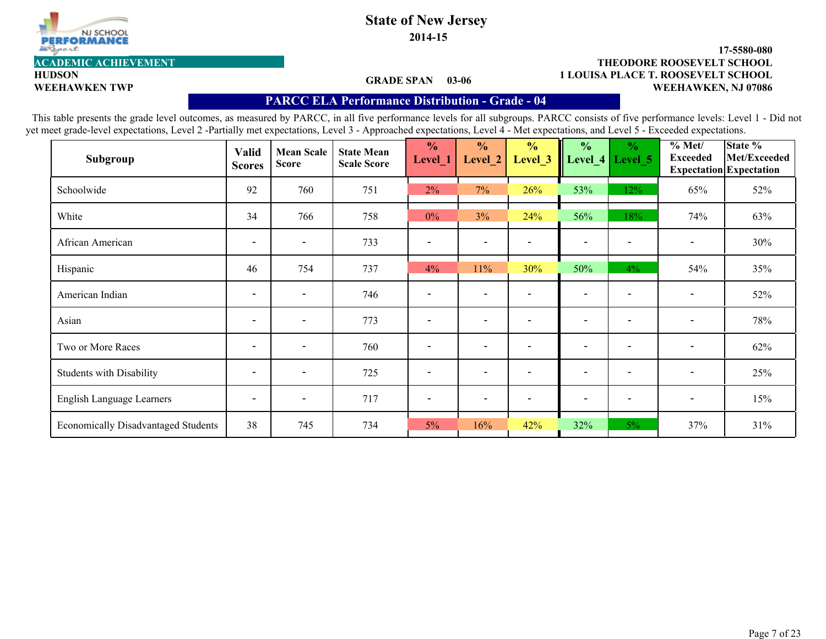

**2014-15**

# **HUDSON**

#### **1 LOUISA PLACE T. ROOSEVELT SCHOOL 17-5580-080 WEEHAWKEN TWP WEEHAWKEN, NJ 07086 ACADEMIC ACHIEVEMENT THEODORE ROOSEVELT SCHOOL**

#### **GRADE SPAN 03-06**

### **PARCC ELA Performance Distribution - Grade - 04**

| Subgroup                                   | Valid<br><b>Scores</b>   | <b>Mean Scale</b><br><b>Score</b> | <b>State Mean</b><br><b>Scale Score</b> | $\frac{1}{2}$<br>Level_1 | $\frac{0}{0}$<br>Level 2 | $\frac{0}{0}$<br>Level 3 | $\frac{0}{0}$            | $\frac{0}{0}$<br>Level 4 Level 5 | % Met/<br><b>Exceeded</b> | State %<br>Met/Exceeded<br><b>Expectation</b> Expectation |
|--------------------------------------------|--------------------------|-----------------------------------|-----------------------------------------|--------------------------|--------------------------|--------------------------|--------------------------|----------------------------------|---------------------------|-----------------------------------------------------------|
| Schoolwide                                 | 92                       | 760                               | 751                                     | 2%                       | 7%                       | 26%                      | 53%                      | 12%                              | 65%                       | 52%                                                       |
| White                                      | 34                       | 766                               | 758                                     | $0\%$                    | 3%                       | 24%                      | 56%                      | 18%                              | 74%                       | 63%                                                       |
| African American                           | $\overline{\phantom{a}}$ | $\overline{\phantom{a}}$          | 733                                     |                          | $\blacksquare$           |                          | $\overline{\phantom{a}}$ | $\qquad \qquad$                  | $\blacksquare$            | 30%                                                       |
| Hispanic                                   | 46                       | 754                               | 737                                     | 4%                       | 11%                      | 30%                      | 50%                      | $4\%$                            | 54%                       | 35%                                                       |
| American Indian                            | $\overline{\phantom{a}}$ | $\overline{\phantom{a}}$          | 746                                     |                          | $\blacksquare$           |                          | $\overline{\phantom{0}}$ | $\overline{\phantom{0}}$         | $\overline{\phantom{0}}$  | 52%                                                       |
| Asian                                      | $\overline{\phantom{a}}$ | $\overline{\phantom{a}}$          | 773                                     | $\overline{\phantom{a}}$ | $\overline{\phantom{a}}$ |                          | $\overline{\phantom{a}}$ | $\blacksquare$                   | $\overline{\phantom{a}}$  | 78%                                                       |
| Two or More Races                          | $\overline{\phantom{a}}$ | $\overline{\phantom{a}}$          | 760                                     | $\overline{\phantom{a}}$ | $\overline{\phantom{a}}$ |                          | $\overline{\phantom{a}}$ | $\qquad \qquad \blacksquare$     | $\blacksquare$            | 62%                                                       |
| <b>Students with Disability</b>            | $\overline{\phantom{a}}$ | $\overline{\phantom{a}}$          | 725                                     | $\overline{\phantom{0}}$ | $\overline{\phantom{0}}$ |                          | $\overline{\phantom{0}}$ | $\overline{\phantom{a}}$         | $\overline{\phantom{0}}$  | 25%                                                       |
| English Language Learners                  | $\overline{\phantom{a}}$ | $\overline{\phantom{a}}$          | 717                                     |                          | $\overline{\phantom{a}}$ |                          | $\overline{\phantom{0}}$ | $\overline{\phantom{0}}$         | $\overline{\phantom{a}}$  | 15%                                                       |
| <b>Economically Disadvantaged Students</b> | 38                       | 745                               | 734                                     | $5\%$                    | 16%                      | 42%                      | 32%                      | $5\%$                            | 37%                       | 31%                                                       |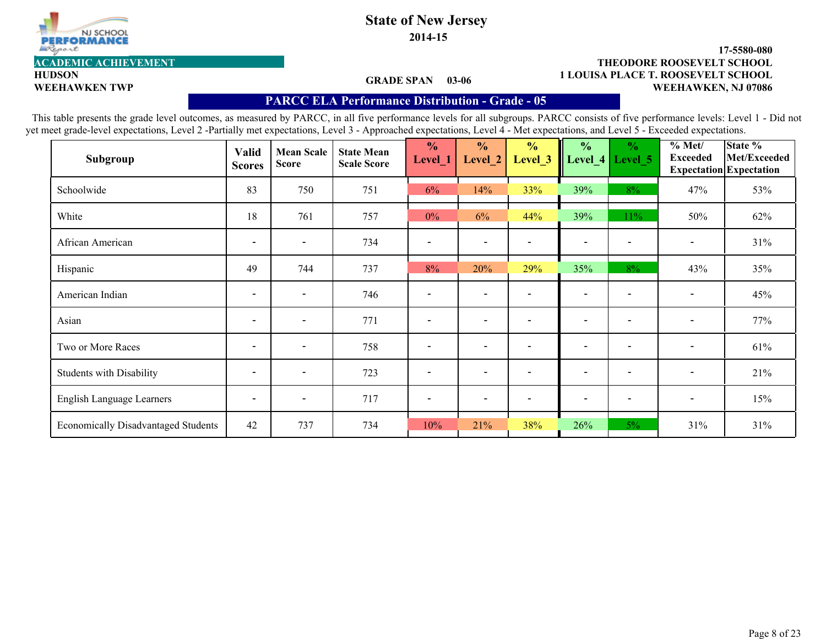

**2014-15**

#### **1 LOUISA PLACE T. ROOSEVELT SCHOOL 17-5580-080 WEEHAWKEN TWP WEEHAWKEN, NJ 07086 ACADEMIC ACHIEVEMENT THEODORE ROOSEVELT SCHOOL**

#### **GRADE SPAN 03-06**

**HUDSON**

#### **PARCC ELA Performance Distribution - Grade - 05**

| Subgroup                                   | Valid<br><b>Scores</b>   | <b>Mean Scale</b><br><b>Score</b> | <b>State Mean</b><br><b>Scale Score</b> | $\frac{0}{0}$<br>Level_1 | $\frac{0}{0}$<br>Level 2 | $\frac{0}{0}$<br>Level 3 | $\frac{0}{0}$            | $\frac{0}{0}$<br>Level_4   Level_5 | % Met/<br><b>Exceeded</b> | State %<br>Met/Exceeded<br><b>Expectation</b> Expectation |
|--------------------------------------------|--------------------------|-----------------------------------|-----------------------------------------|--------------------------|--------------------------|--------------------------|--------------------------|------------------------------------|---------------------------|-----------------------------------------------------------|
| Schoolwide                                 | 83                       | 750                               | 751                                     | 6%                       | 14%                      | 33%                      | 39%                      | 8%                                 | 47%                       | 53%                                                       |
| White                                      | 18                       | 761                               | 757                                     | $0\%$                    | 6%                       | 44%                      | 39%                      | 11%                                | 50%                       | 62%                                                       |
| African American                           | $\overline{\phantom{a}}$ | $\overline{\phantom{a}}$          | 734                                     |                          | $\overline{\phantom{0}}$ |                          | $\overline{\phantom{a}}$ | $\overline{\phantom{a}}$           | $\overline{\phantom{a}}$  | 31%                                                       |
| Hispanic                                   | 49                       | 744                               | 737                                     | 8%                       | 20%                      | 29%                      | 35%                      | $8\%$                              | 43%                       | 35%                                                       |
| American Indian                            | $\overline{\phantom{a}}$ | $\overline{\phantom{0}}$          | 746                                     |                          | $\blacksquare$           |                          | $\overline{\phantom{a}}$ | $\qquad \qquad \blacksquare$       | $\overline{\phantom{a}}$  | 45%                                                       |
| Asian                                      | $\overline{\phantom{a}}$ | $\overline{\phantom{a}}$          | 771                                     | $\overline{\phantom{a}}$ | $\overline{\phantom{a}}$ | $\overline{\phantom{a}}$ | $\overline{\phantom{a}}$ | $\overline{\phantom{a}}$           | $\overline{\phantom{a}}$  | 77%                                                       |
| Two or More Races                          | $\overline{\phantom{a}}$ | $\overline{\phantom{a}}$          | 758                                     | $\overline{\phantom{a}}$ | $\overline{\phantom{0}}$ | $\overline{\phantom{a}}$ | $\overline{\phantom{0}}$ | $\overline{\phantom{a}}$           | $\blacksquare$            | 61%                                                       |
| <b>Students with Disability</b>            | $\overline{\phantom{a}}$ | $\overline{\phantom{a}}$          | 723                                     | $\overline{\phantom{a}}$ | $\overline{\phantom{a}}$ |                          | $\overline{\phantom{a}}$ | $\overline{\phantom{a}}$           | $\overline{\phantom{a}}$  | 21%                                                       |
| English Language Learners                  | $\overline{\phantom{a}}$ | $\overline{\phantom{a}}$          | 717                                     |                          | $\overline{\phantom{0}}$ |                          | $\overline{\phantom{a}}$ | $\qquad \qquad \blacksquare$       | $\overline{\phantom{a}}$  | 15%                                                       |
| <b>Economically Disadvantaged Students</b> | 42                       | 737                               | 734                                     | 10%                      | 21%                      | 38%                      | 26%                      | $5\%$                              | 31%                       | 31%                                                       |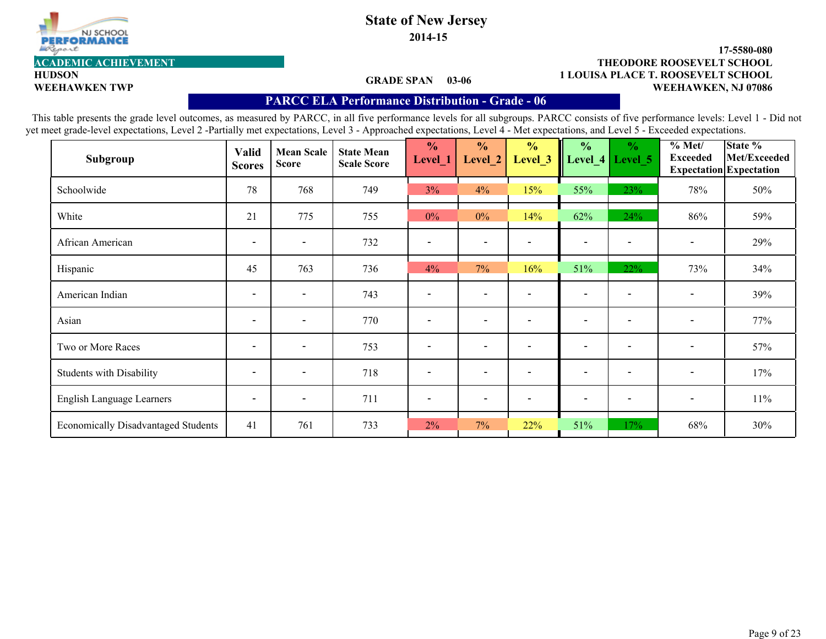

**2014-15**

#### **1 LOUISA PLACE T. ROOSEVELT SCHOOL 17-5580-080 WEEHAWKEN TWP WEEHAWKEN, NJ 07086 ACADEMIC ACHIEVEMENT THEODORE ROOSEVELT SCHOOL**

#### **GRADE SPAN 03-06**

**HUDSON**

#### **PARCC ELA Performance Distribution - Grade - 06**

| Subgroup                                   | Valid<br><b>Scores</b>   | <b>Mean Scale</b><br><b>Score</b> | <b>State Mean</b><br><b>Scale Score</b> | $\frac{1}{2}$<br>Level_1 | $\frac{0}{0}$<br>Level 2     | $\frac{0}{0}$<br>Level 3 | $\frac{0}{0}$            | $\frac{0}{0}$<br>Level_4   Level_5 | % Met/<br><b>Exceeded</b> | State %<br>Met/Exceeded<br><b>Expectation</b> Expectation |
|--------------------------------------------|--------------------------|-----------------------------------|-----------------------------------------|--------------------------|------------------------------|--------------------------|--------------------------|------------------------------------|---------------------------|-----------------------------------------------------------|
| Schoolwide                                 | 78                       | 768                               | 749                                     | 3%                       | 4%                           | 15%                      | 55%                      | 23%                                | 78%                       | 50%                                                       |
| White                                      | 21                       | 775                               | 755                                     | $0\%$                    | $0\%$                        | 14%                      | 62%                      | 24%                                | 86%                       | 59%                                                       |
| African American                           | $\overline{\phantom{a}}$ | $\overline{\phantom{a}}$          | 732                                     |                          | $\qquad \qquad \blacksquare$ |                          | $\overline{\phantom{a}}$ | $\overline{\phantom{a}}$           | $\blacksquare$            | 29%                                                       |
| Hispanic                                   | 45                       | 763                               | 736                                     | 4%                       | 7%                           | 16%                      | 51%                      | 22%                                | 73%                       | 34%                                                       |
| American Indian                            | $\overline{\phantom{a}}$ | $\overline{\phantom{0}}$          | 743                                     |                          | $\blacksquare$               |                          | $\overline{\phantom{a}}$ | $\qquad \qquad \blacksquare$       | $\overline{\phantom{a}}$  | 39%                                                       |
| Asian                                      | $\overline{\phantom{a}}$ | $\overline{\phantom{a}}$          | 770                                     | $\overline{\phantom{a}}$ | $\overline{\phantom{a}}$     | $\overline{\phantom{a}}$ | $\overline{\phantom{a}}$ | $\overline{\phantom{a}}$           | $\overline{\phantom{a}}$  | 77%                                                       |
| Two or More Races                          | $\overline{\phantom{a}}$ | $\overline{\phantom{a}}$          | 753                                     | $\overline{\phantom{a}}$ | $\overline{\phantom{0}}$     | $\overline{\phantom{a}}$ | $\overline{\phantom{0}}$ | $\overline{\phantom{a}}$           | $\overline{\phantom{a}}$  | 57%                                                       |
| <b>Students with Disability</b>            | $\overline{\phantom{a}}$ | $\overline{\phantom{a}}$          | 718                                     | $\overline{\phantom{a}}$ | $\overline{\phantom{a}}$     |                          | $\overline{\phantom{a}}$ | $\overline{\phantom{a}}$           | $\overline{\phantom{a}}$  | 17%                                                       |
| English Language Learners                  | $\overline{\phantom{a}}$ | $\overline{\phantom{a}}$          | 711                                     |                          | $\overline{\phantom{0}}$     |                          | $\overline{\phantom{a}}$ | $\overline{\phantom{0}}$           | $\overline{\phantom{a}}$  | 11%                                                       |
| <b>Economically Disadvantaged Students</b> | 41                       | 761                               | 733                                     | 2%                       | 7%                           | 22%                      | 51%                      | 17%                                | 68%                       | 30%                                                       |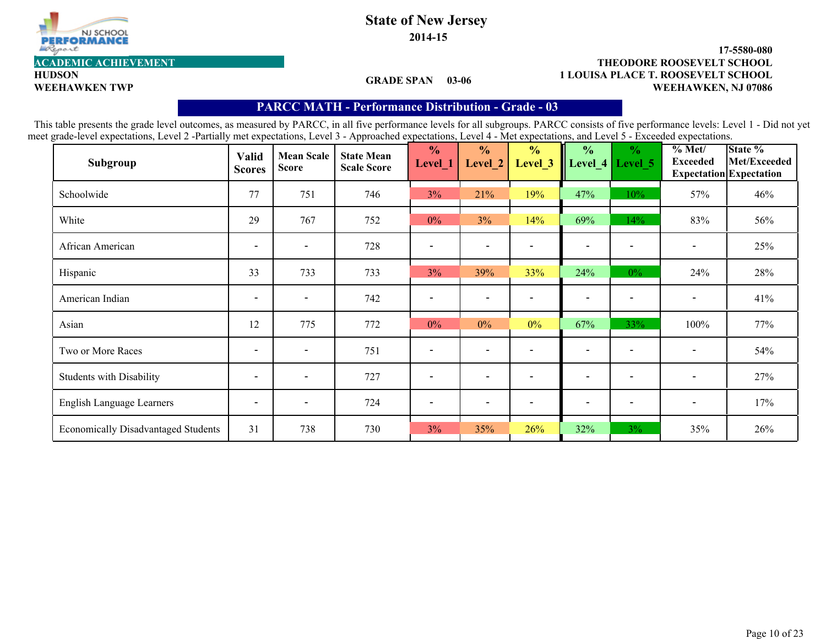

**2014-15**

#### **1 LOUISA PLACE T. ROOSEVELT SCHOOL 17-5580-080 WEEHAWKEN TWP WEEHAWKEN, NJ 07086 ACADEMIC ACHIEVEMENT THEODORE ROOSEVELT SCHOOL**

**HUDSON**

#### **GRADE SPAN 03-06**

#### **PARCC MATH - Performance Distribution- Grade - 03**

| Subgroup                                   | <b>Valid</b><br><b>Scores</b> | <b>Mean Scale</b><br><b>Score</b> | <b>State Mean</b><br><b>Scale Score</b> | $\frac{0}{0}$<br>Level_1 | $\frac{0}{0}$<br>Level 2 | $\frac{0}{0}$<br>Level <sub>_3</sub> | $\frac{0}{0}$<br>Level 4 | $\frac{6}{6}$<br>Level 5 | % Met/<br><b>Exceeded</b> | State %<br>Met/Exceeded<br><b>Expectation</b> Expectation |
|--------------------------------------------|-------------------------------|-----------------------------------|-----------------------------------------|--------------------------|--------------------------|--------------------------------------|--------------------------|--------------------------|---------------------------|-----------------------------------------------------------|
| Schoolwide                                 | 77                            | 751                               | 746                                     | 3%                       | 21%                      | 19%                                  | 47%                      | 10%                      | 57%                       | 46%                                                       |
| White                                      | 29                            | 767                               | 752                                     | $0\%$                    | 3%                       | 14%                                  | 69%                      | 14%                      | 83%                       | 56%                                                       |
| African American                           | $\overline{\phantom{a}}$      | $\overline{\phantom{a}}$          | 728                                     |                          | $\overline{\phantom{0}}$ |                                      | $\overline{\phantom{0}}$ |                          | $\overline{\phantom{a}}$  | 25%                                                       |
| Hispanic                                   | 33                            | 733                               | 733                                     | 3%                       | 39%                      | 33%                                  | 24%                      | $0\%$                    | 24%                       | 28%                                                       |
| American Indian                            | $\overline{\phantom{a}}$      | $\overline{\phantom{a}}$          | 742                                     |                          | $\overline{\phantom{0}}$ |                                      | $\overline{\phantom{0}}$ |                          | $\overline{\phantom{a}}$  | 41%                                                       |
| Asian                                      | 12                            | 775                               | 772                                     | $0\%$                    | $0\%$                    | $0\%$                                | 67%                      | 33%                      | 100%                      | 77%                                                       |
| Two or More Races                          | $\overline{\phantom{a}}$      | $\overline{\phantom{0}}$          | 751                                     |                          | $\overline{\phantom{0}}$ |                                      | $\overline{\phantom{0}}$ |                          | $\overline{\phantom{a}}$  | 54%                                                       |
| <b>Students with Disability</b>            | $\overline{\phantom{a}}$      | $\overline{\phantom{a}}$          | 727                                     |                          | $\overline{\phantom{0}}$ |                                      | $\overline{\phantom{0}}$ |                          | $\overline{\phantom{a}}$  | 27%                                                       |
| English Language Learners                  | $\overline{\phantom{a}}$      | $\overline{\phantom{a}}$          | 724                                     |                          | $\overline{\phantom{a}}$ |                                      | $\overline{\phantom{a}}$ |                          | $\overline{\phantom{a}}$  | 17%                                                       |
| <b>Economically Disadvantaged Students</b> | 31                            | 738                               | 730                                     | 3%                       | 35%                      | 26%                                  | 32%                      | $3\%$                    | 35%                       | 26%                                                       |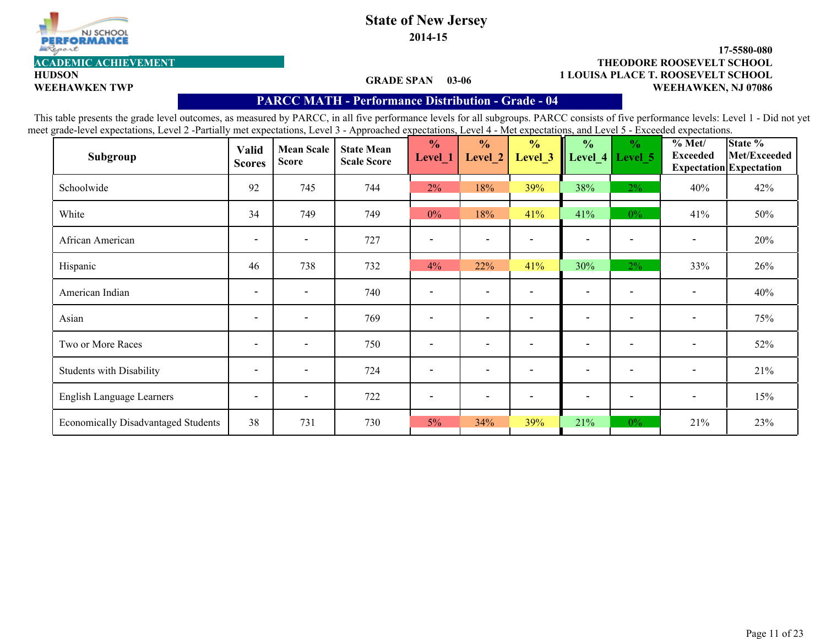

**2014-15**

# **HUDSON**

#### **1 LOUISA PLACE T. ROOSEVELT SCHOOL 17-5580-080 WEEHAWKEN TWP WEEHAWKEN, NJ 07086 ACADEMIC ACHIEVEMENT THEODORE ROOSEVELT SCHOOL**

#### **GRADE SPAN 03-06**

#### **PARCC MATH - Performance Distribution- Grade - 04**

| Subgroup                                   | <b>Valid</b><br><b>Scores</b> | <b>Mean Scale</b><br><b>Score</b> | <b>State Mean</b><br><b>Scale Score</b> | $\frac{0}{0}$<br>Level_1     | $\frac{0}{0}$<br>Level 2 | $\frac{0}{0}$<br>Level 3     | $\frac{0}{0}$<br>Level $4$ | $\frac{0}{0}$<br>Level 5     | % Met/<br><b>Exceeded</b>    | State %<br>Met/Exceeded<br><b>Expectation Expectation</b> |
|--------------------------------------------|-------------------------------|-----------------------------------|-----------------------------------------|------------------------------|--------------------------|------------------------------|----------------------------|------------------------------|------------------------------|-----------------------------------------------------------|
| Schoolwide                                 | 92                            | 745                               | 744                                     | 2%                           | 18%                      | 39%                          | 38%                        | $2\%$                        | 40%                          | 42%                                                       |
| White                                      | 34                            | 749                               | 749                                     | $0\%$                        | 18%                      | 41%                          | 41%                        | $0\%$                        | 41%                          | 50%                                                       |
| African American                           | $\overline{\phantom{a}}$      | $\blacksquare$                    | 727                                     |                              | $\overline{\phantom{a}}$ |                              | $\overline{\phantom{a}}$   |                              | $\overline{\phantom{a}}$     | 20%                                                       |
| Hispanic                                   | 46                            | 738                               | 732                                     | 4%                           | 22%                      | 41%                          | 30%                        | $2\%$                        | 33%                          | 26%                                                       |
| American Indian                            | $\blacksquare$                | $\blacksquare$                    | 740                                     |                              | $\overline{\phantom{a}}$ |                              | $\overline{\phantom{a}}$   |                              | $\qquad \qquad \blacksquare$ | 40%                                                       |
| Asian                                      | $\overline{\phantom{a}}$      | $\blacksquare$                    | 769                                     | $\overline{\phantom{a}}$     | $\overline{\phantom{a}}$ |                              | $\overline{\phantom{a}}$   | $\overline{\phantom{a}}$     | $\overline{\phantom{a}}$     | 75%                                                       |
| Two or More Races                          | $\overline{\phantom{a}}$      | $\blacksquare$                    | 750                                     | $\qquad \qquad \blacksquare$ | $\overline{\phantom{a}}$ | $\qquad \qquad \blacksquare$ | $\blacksquare$             | $\qquad \qquad \blacksquare$ | $\overline{\phantom{a}}$     | 52%                                                       |
| <b>Students with Disability</b>            | $\blacksquare$                | $\blacksquare$                    | 724                                     | $\overline{\phantom{a}}$     | $\overline{\phantom{a}}$ | $\qquad \qquad \blacksquare$ | $\overline{\phantom{0}}$   | $\qquad \qquad \blacksquare$ | $\overline{\phantom{a}}$     | 21%                                                       |
| English Language Learners                  | $\overline{\phantom{a}}$      | $\overline{\phantom{a}}$          | 722                                     |                              | $\overline{\phantom{a}}$ |                              | $\overline{\phantom{a}}$   | $\qquad \qquad \blacksquare$ | $\overline{\phantom{a}}$     | 15%                                                       |
| <b>Economically Disadvantaged Students</b> | 38                            | 731                               | 730                                     | $5\%$                        | 34%                      | 39%                          | 21%                        | $0\%$                        | 21%                          | 23%                                                       |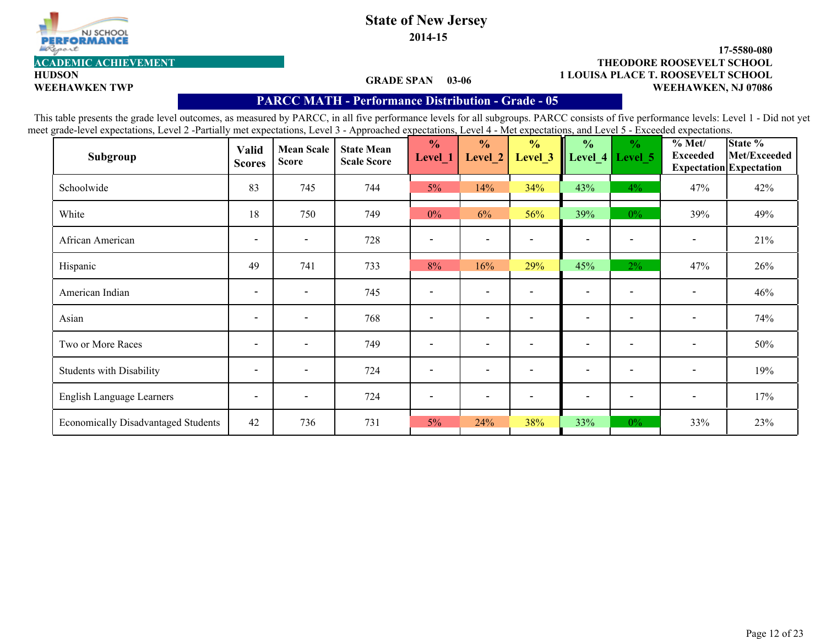

**HUDSON**

## **State of New Jersey**

**2014-15**

#### **1 LOUISA PLACE T. ROOSEVELT SCHOOL 17-5580-080 WEEHAWKEN TWP WEEHAWKEN, NJ 07086 ACADEMIC ACHIEVEMENT THEODORE ROOSEVELT SCHOOL**

#### **GRADE SPAN 03-06**

#### **PARCC MATH - Performance Distribution- Grade - 05**

| Subgroup                                   | <b>Valid</b><br><b>Scores</b> | <b>Mean Scale</b><br><b>Score</b> | <b>State Mean</b><br><b>Scale Score</b> | $\frac{0}{0}$<br>Level_1     | $\frac{0}{0}$<br>Level_2 | $\frac{0}{0}$<br>Level 3 | $\frac{0}{0}$            | $\frac{6}{6}$<br>Level $4$ Level 5 | % Met/<br><b>Exceeded</b> | State %<br>Met/Exceeded<br><b>Expectation Expectation</b> |
|--------------------------------------------|-------------------------------|-----------------------------------|-----------------------------------------|------------------------------|--------------------------|--------------------------|--------------------------|------------------------------------|---------------------------|-----------------------------------------------------------|
| Schoolwide                                 | 83                            | 745                               | 744                                     | $5\%$                        | 14%                      | 34%                      | 43%                      | $4\%$                              | 47%                       | 42%                                                       |
| White                                      | 18                            | 750                               | 749                                     | $0\%$                        | 6%                       | 56%                      | 39%                      | $0\%$                              | 39%                       | 49%                                                       |
| African American                           | $\overline{\phantom{a}}$      | $\overline{\phantom{a}}$          | 728                                     |                              | $\overline{\phantom{a}}$ |                          | $\overline{\phantom{0}}$ | $\overline{\phantom{a}}$           | $\overline{\phantom{a}}$  | 21%                                                       |
| Hispanic                                   | 49                            | 741                               | 733                                     | 8%                           | 16%                      | 29%                      | 45%                      | $2\%$                              | 47%                       | 26%                                                       |
| American Indian                            | $\overline{\phantom{a}}$      | $\overline{\phantom{a}}$          | 745                                     |                              | $\overline{\phantom{a}}$ |                          | $\blacksquare$           | $\overline{\phantom{0}}$           | $\overline{\phantom{a}}$  | 46%                                                       |
| Asian                                      | $\overline{\phantom{a}}$      | $\overline{\phantom{a}}$          | 768                                     | $\overline{\phantom{a}}$     | $\overline{\phantom{a}}$ | $\overline{\phantom{0}}$ | $\overline{\phantom{a}}$ | $\overline{\phantom{a}}$           | $\overline{\phantom{a}}$  | 74%                                                       |
| Two or More Races                          | $\overline{\phantom{a}}$      | $\overline{\phantom{a}}$          | 749                                     | $\qquad \qquad \blacksquare$ | $\overline{\phantom{0}}$ |                          | $\overline{\phantom{0}}$ | $\qquad \qquad \blacksquare$       | $\overline{\phantom{a}}$  | 50%                                                       |
| <b>Students with Disability</b>            | $\overline{\phantom{a}}$      | $\overline{\phantom{a}}$          | 724                                     | $\overline{\phantom{a}}$     | $\overline{\phantom{a}}$ |                          | $\overline{\phantom{a}}$ | $\overline{\phantom{0}}$           | $\overline{\phantom{a}}$  | 19%                                                       |
| English Language Learners                  | $\overline{\phantom{a}}$      | $\overline{\phantom{a}}$          | 724                                     |                              | $\overline{\phantom{a}}$ |                          | $\overline{\phantom{0}}$ |                                    | $\overline{\phantom{a}}$  | 17%                                                       |
| <b>Economically Disadvantaged Students</b> | 42                            | 736                               | 731                                     | $5\%$                        | 24%                      | 38%                      | 33%                      | $0\%$                              | 33%                       | 23%                                                       |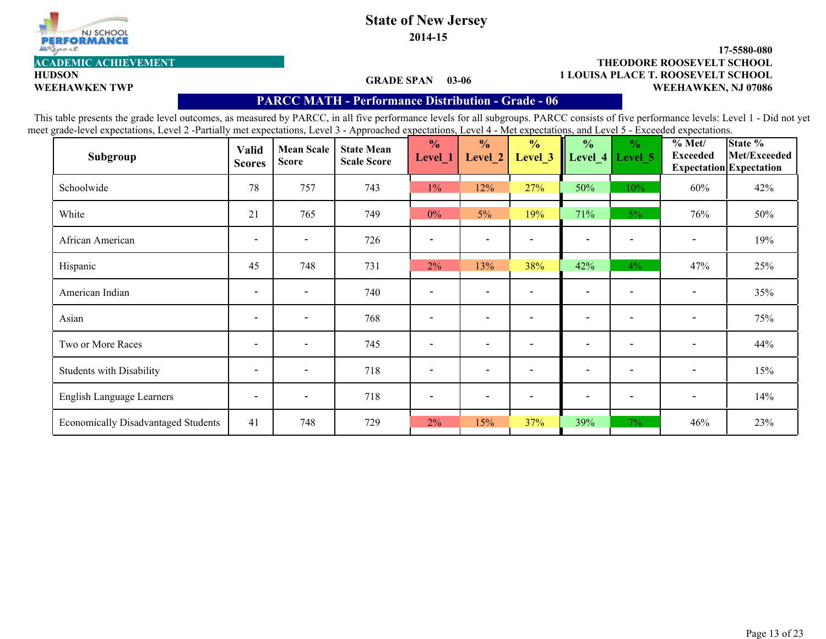

**HUDSON**

## **State of New Jersey**

**2014-15**

#### **1 LOUISA PLACE T. ROOSEVELT SCHOOL 17-5580-080 WEEHAWKEN TWP WEEHAWKEN, NJ 07086 ACADEMIC ACHIEVEMENT THEODORE ROOSEVELT SCHOOL**

#### **GRADE SPAN 03-06**

#### **PARCC MATH - Performance Distribution- Grade - 06**

| Subgroup                                   | <b>Valid</b><br><b>Scores</b> | <b>Mean Scale</b><br><b>Score</b> | <b>State Mean</b><br><b>Scale Score</b> | $\frac{0}{0}$<br>Level_1     | $\frac{0}{0}$<br>Level_2     | $\frac{0}{0}$<br>Level <sub>_3</sub> | $\frac{0}{0}$            | $\frac{1}{2}$<br>Level_4   Level_5 | $\frac{6}{10}$ Met/<br><b>Exceeded</b> | State %<br>Met/Exceeded<br><b>Expectation Expectation</b> |
|--------------------------------------------|-------------------------------|-----------------------------------|-----------------------------------------|------------------------------|------------------------------|--------------------------------------|--------------------------|------------------------------------|----------------------------------------|-----------------------------------------------------------|
| Schoolwide                                 | 78                            | 757                               | 743                                     | $1\%$                        | 12%                          | 27%                                  | 50%                      | 10%                                | 60%                                    | 42%                                                       |
| White                                      | 21                            | 765                               | 749                                     | $0\%$                        | 5%                           | 19%                                  | 71%                      | $5\%$                              | 76%                                    | 50%                                                       |
| African American                           | $\overline{\phantom{a}}$      | $\overline{\phantom{a}}$          | 726                                     |                              | $\qquad \qquad \blacksquare$ |                                      | $\overline{\phantom{0}}$ |                                    | $\overline{\phantom{a}}$               | 19%                                                       |
| Hispanic                                   | 45                            | 748                               | 731                                     | 2%                           | 13%                          | 38%                                  | 42%                      | $4\%$                              | 47%                                    | 25%                                                       |
| American Indian                            | $\overline{\phantom{a}}$      | $\overline{\phantom{a}}$          | 740                                     |                              | $\overline{\phantom{a}}$     |                                      | $\overline{\phantom{0}}$ |                                    | $\qquad \qquad \blacksquare$           | 35%                                                       |
| Asian                                      | $\blacksquare$                | $\blacksquare$                    | 768                                     | $\qquad \qquad \blacksquare$ | $\overline{\phantom{a}}$     |                                      | $\overline{\phantom{a}}$ | $\qquad \qquad \blacksquare$       | $\blacksquare$                         | 75%                                                       |
| Two or More Races                          | $\overline{\phantom{a}}$      | $\overline{\phantom{a}}$          | 745                                     |                              | $\overline{\phantom{0}}$     |                                      | $\overline{\phantom{0}}$ | $\overline{\phantom{0}}$           | $\overline{\phantom{a}}$               | 44%                                                       |
| <b>Students with Disability</b>            | $\overline{\phantom{a}}$      | $\blacksquare$                    | 718                                     | $\qquad \qquad \blacksquare$ | $\overline{\phantom{a}}$     |                                      | $\overline{\phantom{0}}$ | $\qquad \qquad \blacksquare$       | $\blacksquare$                         | 15%                                                       |
| English Language Learners                  | $\overline{\phantom{a}}$      | $\overline{\phantom{a}}$          | 718                                     |                              | $\overline{\phantom{a}}$     |                                      | $\overline{\phantom{a}}$ | $\overline{\phantom{0}}$           | $\overline{\phantom{a}}$               | 14%                                                       |
| <b>Economically Disadvantaged Students</b> | 41                            | 748                               | 729                                     | 2%                           | 15%                          | 37%                                  | 39%                      | $7\%$                              | 46%                                    | 23%                                                       |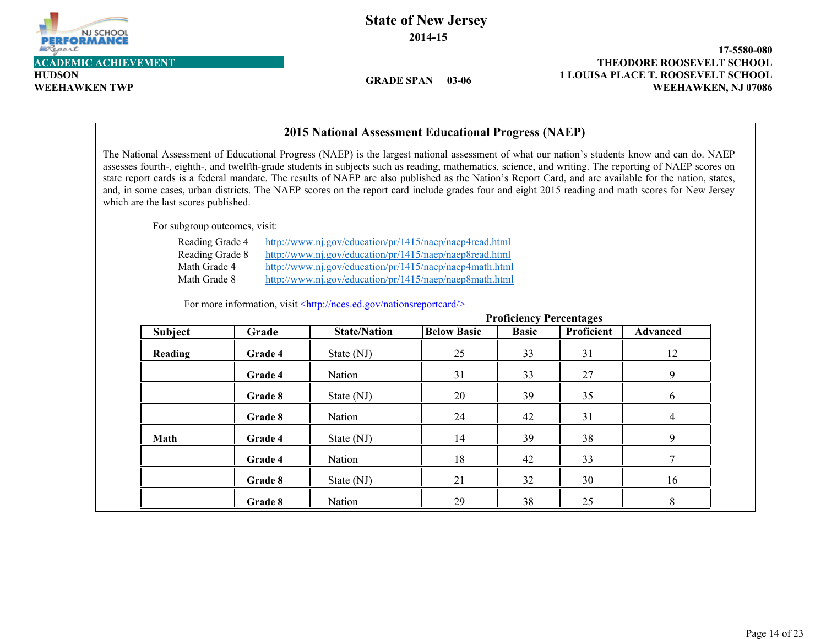

Г

**HUDSON**

### **State of New Jersey 2014-15**

**GRADE SPAN 03-06**

**1 LOUISA PLACE T. ROOSEVELT SCHOOL 17-5580-080 WEEHAWKEN TWP WEEHAWKEN, NJ 07086 ACADEMIC ACHIEVEMENT THEODORE ROOSEVELT SCHOOL**

|                                                                    |         | 2015 National Assessment Educational Progress (NAEP)                                                                                                                                                                                                                                                                        |                    |                                |                   |                                                                                                                                                                                                                                                                                                                                                                                                                                                                                                                                                                                                                       |
|--------------------------------------------------------------------|---------|-----------------------------------------------------------------------------------------------------------------------------------------------------------------------------------------------------------------------------------------------------------------------------------------------------------------------------|--------------------|--------------------------------|-------------------|-----------------------------------------------------------------------------------------------------------------------------------------------------------------------------------------------------------------------------------------------------------------------------------------------------------------------------------------------------------------------------------------------------------------------------------------------------------------------------------------------------------------------------------------------------------------------------------------------------------------------|
| which are the last scores published.                               |         |                                                                                                                                                                                                                                                                                                                             |                    |                                |                   | The National Assessment of Educational Progress (NAEP) is the largest national assessment of what our nation's students know and can do. NAEP<br>assesses fourth-, eighth-, and twelfth-grade students in subjects such as reading, mathematics, science, and writing. The reporting of NAEP scores on<br>state report cards is a federal mandate. The results of NAEP are also published as the Nation's Report Card, and are available for the nation, states,<br>and, in some cases, urban districts. The NAEP scores on the report card include grades four and eight 2015 reading and math scores for New Jersey |
| For subgroup outcomes, visit:                                      |         |                                                                                                                                                                                                                                                                                                                             |                    |                                |                   |                                                                                                                                                                                                                                                                                                                                                                                                                                                                                                                                                                                                                       |
| Reading Grade 4<br>Reading Grade 8<br>Math Grade 4<br>Math Grade 8 |         | http://www.nj.gov/education/pr/1415/naep/naep4read.html<br>http://www.nj.gov/education/pr/1415/naep/naep8read.html<br>http://www.nj.gov/education/pr/1415/naep/naep4math.html<br>http://www.nj.gov/education/pr/1415/naep/naep8math.html<br>For more information, visit <http: nationsreportcard="" nces.ed.gov=""></http:> |                    |                                |                   |                                                                                                                                                                                                                                                                                                                                                                                                                                                                                                                                                                                                                       |
|                                                                    |         |                                                                                                                                                                                                                                                                                                                             |                    | <b>Proficiency Percentages</b> |                   |                                                                                                                                                                                                                                                                                                                                                                                                                                                                                                                                                                                                                       |
| <b>Subject</b>                                                     | Grade   | <b>State/Nation</b>                                                                                                                                                                                                                                                                                                         | <b>Below Basic</b> | <b>Basic</b>                   | <b>Proficient</b> | <b>Advanced</b>                                                                                                                                                                                                                                                                                                                                                                                                                                                                                                                                                                                                       |
| Reading                                                            | Grade 4 | State (NJ)                                                                                                                                                                                                                                                                                                                  | 25                 | 33                             | 31                | 12                                                                                                                                                                                                                                                                                                                                                                                                                                                                                                                                                                                                                    |
|                                                                    | Grade 4 | Nation                                                                                                                                                                                                                                                                                                                      | 31                 | 33                             | 27                | 9                                                                                                                                                                                                                                                                                                                                                                                                                                                                                                                                                                                                                     |
|                                                                    | Grade 8 | State (NJ)                                                                                                                                                                                                                                                                                                                  | 20                 | 39                             | 35                | 6                                                                                                                                                                                                                                                                                                                                                                                                                                                                                                                                                                                                                     |
|                                                                    | Grade 8 | Nation                                                                                                                                                                                                                                                                                                                      | 24                 | 42                             | 31                | $\overline{4}$                                                                                                                                                                                                                                                                                                                                                                                                                                                                                                                                                                                                        |
| <b>Math</b>                                                        | Grade 4 | State (NJ)                                                                                                                                                                                                                                                                                                                  | 14                 | 39                             | 38                | 9                                                                                                                                                                                                                                                                                                                                                                                                                                                                                                                                                                                                                     |
|                                                                    | Grade 4 | Nation                                                                                                                                                                                                                                                                                                                      | 18                 | 42                             | 33                | $\overline{7}$                                                                                                                                                                                                                                                                                                                                                                                                                                                                                                                                                                                                        |
|                                                                    | Grade 8 | State (NJ)                                                                                                                                                                                                                                                                                                                  | 21                 | 32                             | 30                | 16                                                                                                                                                                                                                                                                                                                                                                                                                                                                                                                                                                                                                    |
|                                                                    | Grade 8 | Nation                                                                                                                                                                                                                                                                                                                      | 29                 | 38                             | 25                | 8                                                                                                                                                                                                                                                                                                                                                                                                                                                                                                                                                                                                                     |

#### **2015 National Assessment Educational Progress (NAEP)**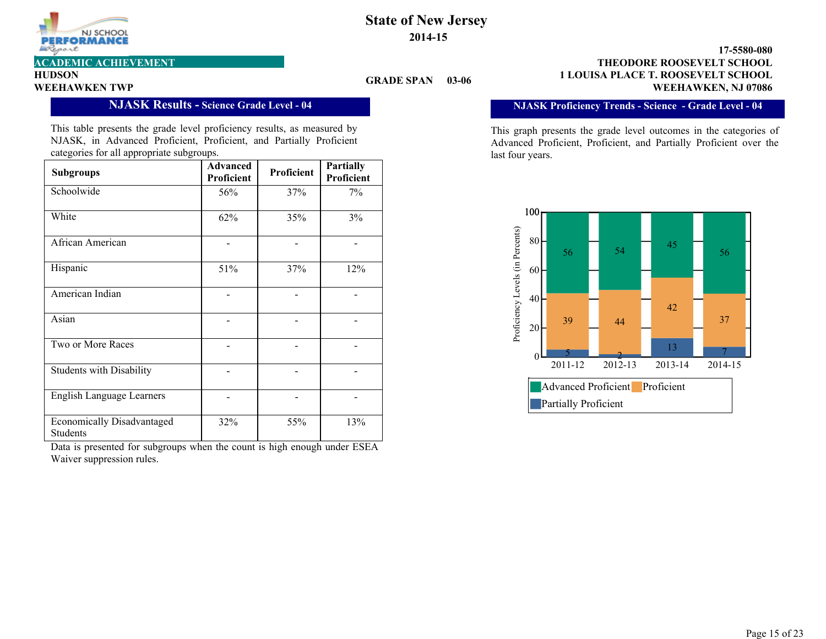

**HUDSON**

#### **GRADE SPAN**

**1 LOUISA PLACE T. ROOSEVELT SCHOOL 17-5580-080 WEEHAWKEN TWP SUBSURFUL SUBSURFUL SUBSURFUL SUBSURFUL SUBSURFUL SUBSURFUL SUBSURFUL SUBSURFUL SUBSURFUL SUBSURFU<br>WEEHAWKEN, NJ 07086 ACADEMIC ACHIEVEMENT THEODORE ROOSEVELT SCHOOL**

#### **NJASK Results - Science Grade Level - 04**

This table presents the grade level proficiency results, as measured by NJASK, in Advanced Proficient, Proficient, and Partially Proficient categories for all appropriate subgroups.

| <b>Subgroups</b>                                     | <b>Advanced</b><br>Proficient | Proficient | <b>Partially</b><br>Proficient |
|------------------------------------------------------|-------------------------------|------------|--------------------------------|
| Schoolwide                                           | 56%                           | 37%        | 7%                             |
| White                                                | 62%                           | 35%        | 3%                             |
| African American                                     |                               |            |                                |
| Hispanic                                             | 51%                           | 37%        | 12%                            |
| American Indian                                      |                               |            |                                |
| Asian                                                |                               |            |                                |
| Two or More Races                                    |                               |            |                                |
| <b>Students with Disability</b>                      |                               |            |                                |
| <b>English Language Learners</b>                     |                               |            |                                |
| <b>Economically Disadvantaged</b><br><b>Students</b> | 32%                           | 55%        | 13%                            |

Data is presented for subgroups when the count is high enough under ESEA Waiver suppression rules.

#### **NJASK Proficiency Trends - Science - Grade Level - 04**

This graph presents the grade level outcomes in the categories of Advanced Proficient, Proficient, and Partially Proficient over the last four years.

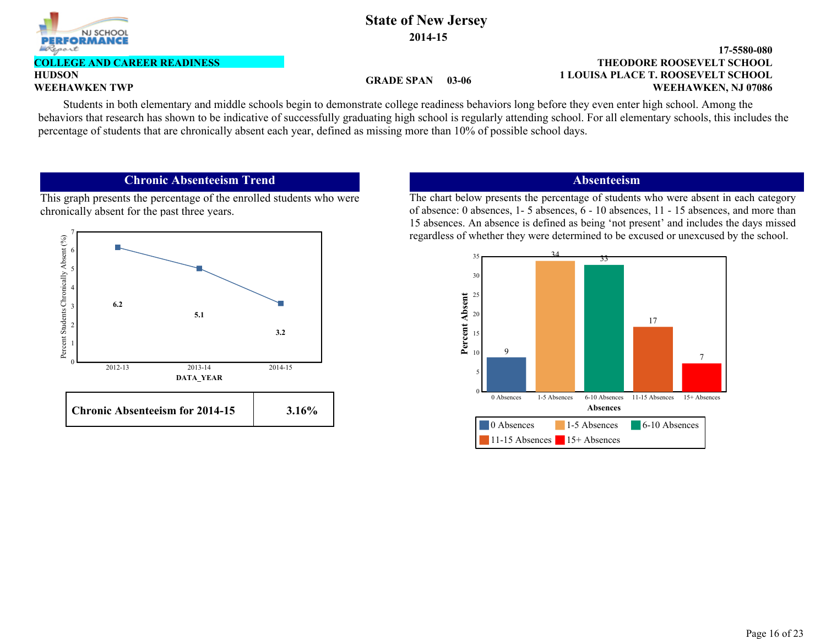

### **GRADE SPAN**

#### **1 LOUISA PLACE T. ROOSEVELT SCHOOL 17-5580-080 WEEHAWKEN TWP**<br>WEEHAWKEN TWP<br>WEEHAWKEN, NJ 07086 **THEODORE ROOSEVELT SCHOOL**

**HUDSON**

**COLLEGE AND CAREER READINESS**

Students in both elementary and middle schools begin to demonstrate college readiness behaviors long before they even enter high school. Among the behaviors that research has shown to be indicative of successfully graduating high school is regularly attending school. For all elementary schools, this includes the percentage of students that are chronically absent each year, defined as missing more than 10% of possible school days.

#### **Chronic Absenteeism Trend**

This graph presents the percentage of the enrolled students who were chronically absent for the past three years.



#### **Absenteeism**

The chart below presents the percentage of students who were absent in each category of absence: 0 absences, 1- 5 absences, 6 - 10 absences, 11 - 15 absences, and more than 15 absences. An absence is defined as being 'not present' and includes the days missed regardless of whether they were determined to be excused or unexcused by the school.

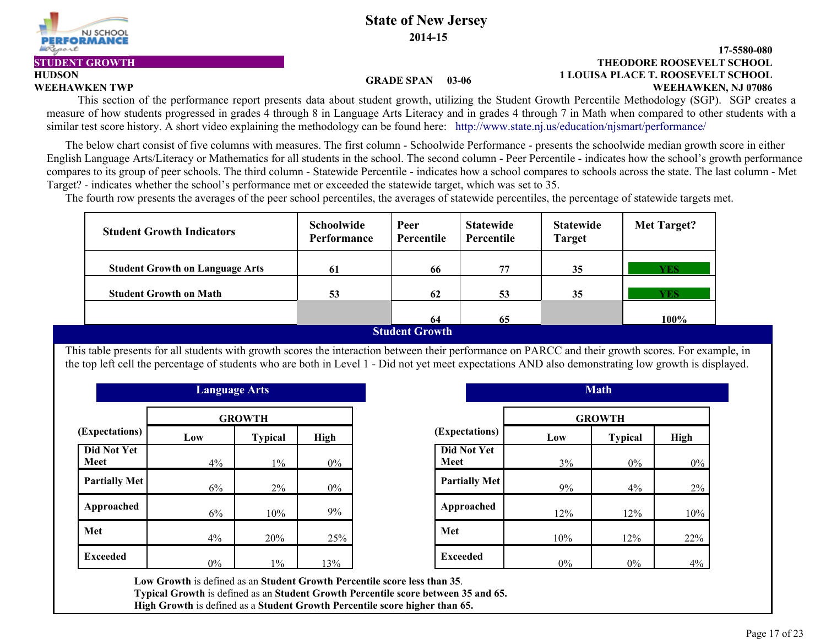

#### **1 LOUISA PLACE T. ROOSEVELT SCHOOL 17-5580-080 WEEHAWKEN TWP WEEHAWKEN, NJ 07086 STUDENT GROWTH THEODORE ROOSEVELT SCHOOL**

#### **GRADE SPAN 03-06**

**HUDSON**

This section of the performance report presents data about student growth, utilizing the Student Growth Percentile Methodology (SGP). SGP creates a measure of how students progressed in grades 4 through 8 in Language Arts Literacy and in grades 4 through 7 in Math when compared to other students with a similar test score history. A short video explaining the methodology can be found here: http://www.state.nj.us/education/njsmart/performance/

 The below chart consist of five columns with measures. The first column - Schoolwide Performance - presents the schoolwide median growth score in either English Language Arts/Literacy or Mathematics for all students in the school. The second column - Peer Percentile - indicates how the school's growth performance compares to its group of peer schools. The third column - Statewide Percentile - indicates how a school compares to schools across the state. The last column - Met Target? - indicates whether the school's performance met or exceeded the statewide target, which was set to 35.

The fourth row presents the averages of the peer school percentiles, the averages of statewide percentiles, the percentage of statewide targets met.

| <b>Student Growth Indicators</b>       | <b>Schoolwide</b><br><b>Performance</b> | Peer<br>Percentile                           | <b>Statewide</b><br>Percentile | <b>Statewide</b><br><b>Target</b> | Met Target? |
|----------------------------------------|-----------------------------------------|----------------------------------------------|--------------------------------|-----------------------------------|-------------|
| <b>Student Growth on Language Arts</b> | 61                                      | 66                                           | 77                             | 35                                | <b>YES</b>  |
| <b>Student Growth on Math</b>          | 53                                      | 62                                           | 53                             | 35                                | YES.        |
|                                        |                                         | 64                                           | 65                             |                                   | 100%        |
|                                        |                                         | $C$ <i>tural and <math>C</math> manually</i> |                                |                                   |             |

**Student Growth** 

This table presents for all students with growth scores the interaction between their performance on PARCC and their growth scores. For example, in the top left cell the percentage of students who are both in Level 1 - Did not yet meet expectations AND also demonstrating low growth is displayed.

|                            | <b>Language Arts</b> |                |             |                            |
|----------------------------|----------------------|----------------|-------------|----------------------------|
|                            |                      | <b>GROWTH</b>  |             |                            |
| (Expectations)             | Low                  | <b>Typical</b> | <b>High</b> | (Expectations)             |
| <b>Did Not Yet</b><br>Meet | 4%                   | $1\%$          | $0\%$       | <b>Did Not Yet</b><br>Meet |
| <b>Partially Met</b>       | 6%                   | $2\%$          | $0\%$       | <b>Partially Met</b>       |
| Approached                 | 6%                   | 10%            | 9%          | Approached                 |
| Met                        | 4%                   | 20%            | 25%         | Met                        |
| <b>Exceeded</b>            | $0\%$                | $1\%$          | 13%         | <b>Exceeded</b>            |

| <b>Language Arts</b> |                |       |                                   |       | <b>Math</b>    |       |
|----------------------|----------------|-------|-----------------------------------|-------|----------------|-------|
|                      | <b>GROWTH</b>  |       |                                   |       | <b>GROWTH</b>  |       |
| )W                   | <b>Typical</b> | High  | (Expectations)                    | Low   | <b>Typical</b> | High  |
| 4%                   | $1\%$          | $0\%$ | <b>Did Not Yet</b><br><b>Meet</b> | 3%    | $0\%$          | $0\%$ |
| 6%                   | 2%             | $0\%$ | <b>Partially Met</b>              | 9%    | 4%             | 2%    |
| 6%                   | 10%            | 9%    | Approached                        | 12%   | 12%            | 10%   |
| 4%                   | 20%            | 25%   | Met                               | 10%   | 12%            | 22%   |
| $0\%$                | $1\%$          | 13%   | <b>Exceeded</b>                   | $0\%$ | $0\%$          | 4%    |

**Low Growth** is defined as an **Student Growth Percentile score less than 35**. **Typical Growth** is defined as an **Student Growth Percentile score between 35 and 65.**

**High Growth** is defined as a **Student Growth Percentile score higher than 65.**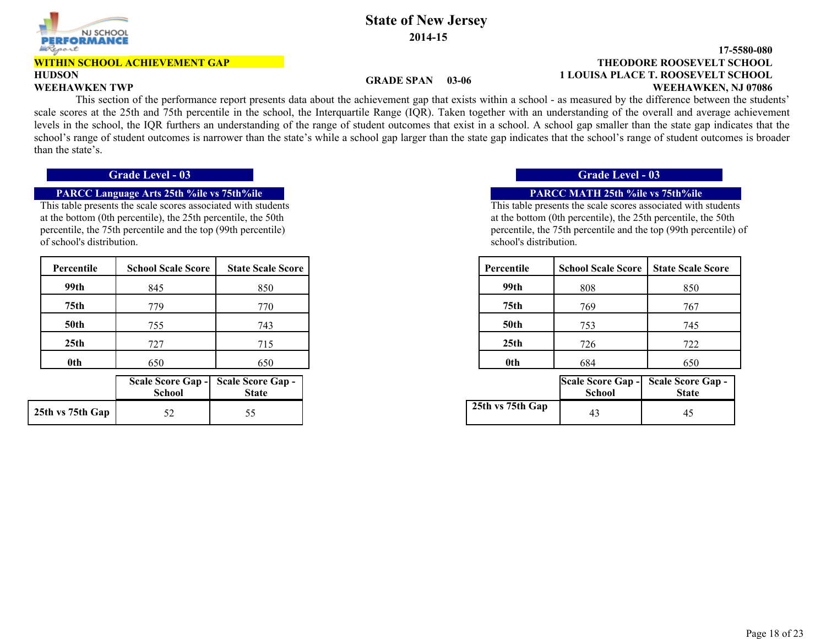

# **HUDSON**

than the state's.

### **State of New Jersey 2014-15**

#### **1 LOUISA PLACE T. ROOSEVELT SCHOOL 17-5580-080 WEEHAWKEN TWP WEEHAWKEN, NJ 07086 THEODORE ROOSEVELT SCHOOL** This section of the performance report presents data about the achievement gap that exists within a school - as measured by the difference between the students'

#### **GRADE SPAN 03-06**

scale scores at the 25th and 75th percentile in the school, the Interquartile Range (IQR). Taken together with an understanding of the overall and average achievement levels in the school, the IQR furthers an understanding of the range of student outcomes that exist in a school. A school gap smaller than the state gap indicates that the

## school's range of student outcomes is narrower than the state's while a school gap larger than the state gap indicates that the school's range of student outcomes is broader

#### **PARCC Language Arts 25th %ile vs 75th%ile PARCC MATH 25th %ile vs 75th%ile**

This table presents the scale scores associated with students at the bottom (0th percentile), the 25th percentile, the 50th percentile, the 75th percentile and the top (99th percentile) of school's distribution.

| Percentile       | <b>School Scale Score</b> | <b>State Scale Score</b> |
|------------------|---------------------------|--------------------------|
| 99th             | 845                       | 850                      |
| 75 <sub>th</sub> | 779                       | 770                      |
| <b>50th</b>      | 755                       | 743                      |
| 25th             | 727                       | 715                      |
| 0th              | 650                       | 650                      |

|                  | <b>School</b> | Scale Score Gap - Scale Score Gap -<br><b>State</b> |
|------------------|---------------|-----------------------------------------------------|
| 25th vs 75th Gap |               | 55                                                  |

#### **Grade Level - 03 Grade Level - 03**

| Percentile       | <b>School Scale Score</b> | <b>State Scale Score</b> | Percentile       | <b>School Scale Score</b> | <b>State Scale Score</b> |
|------------------|---------------------------|--------------------------|------------------|---------------------------|--------------------------|
| 99th             | 845                       | 850                      | 99th             | 808                       | 850                      |
| 75 <sub>th</sub> | 779                       | 770                      | 75th             | 769                       | 767                      |
| <b>50th</b>      | 755                       | 743                      | <b>50th</b>      | 753                       | 745                      |
| 25 <sub>th</sub> | 727                       | 715                      | 25 <sub>th</sub> | 726                       | 722                      |
| 0th              | 650                       | 650                      | 0th              | 684                       | 650                      |

| hool | eore Gap -  Scale Score Gap -<br><b>State</b> |                  | School | Scale Score Gap - Scale Score Gap -<br><b>State</b> |
|------|-----------------------------------------------|------------------|--------|-----------------------------------------------------|
| 52   |                                               | 25th vs 75th Gap | 43     | 45                                                  |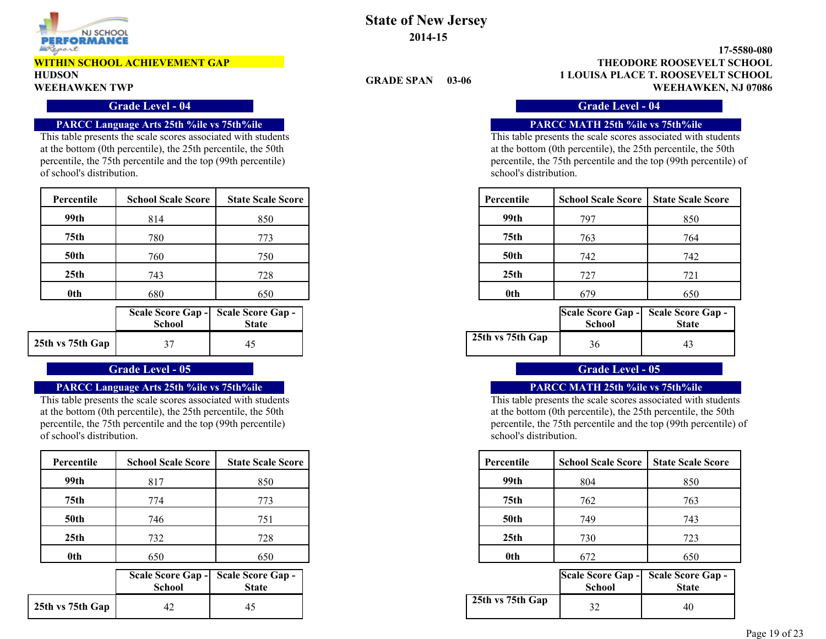

# **HUDSON**

#### **Grade Level - 04 Grade Level - 04 Grade Level - 04 Grade Level - 04**

#### **PARCC Language Arts 25th %ile vs 75th%ile PARCC MATH 25th %ile vs 75th%ile**

This table presents the scale scores associated with students at the bottom (0th percentile), the 25th percentile, the 50th percentile, the 75th percentile and the top (99th percentile) of school's distribution.

| Percentile       | <b>School Scale Score</b> | <b>State Scale Score</b> | Percentile       | <b>School Scale Score</b> | <b>State Scale Score</b> |
|------------------|---------------------------|--------------------------|------------------|---------------------------|--------------------------|
| 99th             | 814                       | 850                      | 99th             | 797                       | 850                      |
| 75th             | 780                       | 773                      | 75th             | 763                       | 764                      |
| <b>50th</b>      | 760                       | 750                      | <b>50th</b>      | 742                       | 742                      |
| 25 <sub>th</sub> | 743                       | 728                      | 25 <sub>th</sub> | 727                       | 721                      |
| 0th              | 680                       | 650                      | 0th              | 679                       | 650                      |

|                  | <b>School</b> | Scale Score Gap - Scale Score Gap -<br><b>State</b> |
|------------------|---------------|-----------------------------------------------------|
| 25th vs 75th Gap |               | 45                                                  |

#### **PARCC Language Arts 25th %ile vs 75th%ile PARCC MATH 25th %ile vs 75th%ile**

This table presents the scale scores associated with students at the bottom (0th percentile), the 25th percentile, the 50th percentile, the 75th percentile and the top (99th percentile) of school's distribution.

| Percentile       | <b>School Scale Score</b> | <b>State Scale Score</b> | Percentile       | <b>School Scale Score</b> | <b>State Scale Score</b> |
|------------------|---------------------------|--------------------------|------------------|---------------------------|--------------------------|
| 99th             | 817                       | 850                      | 99th             | 804                       | 850                      |
| 75 <sub>th</sub> | 774                       | 773                      | 75th             | 762                       | 763                      |
| <b>50th</b>      | 746                       | 751                      | <b>50th</b>      | 749                       | 743                      |
| 25th             | 732                       | 728                      | 25 <sub>th</sub> | 730                       | 723                      |
| 0th              | 650                       | 650                      | 0th              | 672                       | 650                      |

|                  | <b>School</b> | Scale Score Gap - Scale Score Gap -<br><b>State</b> |
|------------------|---------------|-----------------------------------------------------|
| 25th vs 75th Gap |               | 45                                                  |

**State of New Jersey 2014-15**

**GRADE SPAN 03-06**

**1 LOUISA PLACE T. ROOSEVELT SCHOOL 17-5580-080 WEEHAWKEN TWP WEEHAWKEN, NJ 07086 THEODORE ROOSEVELT SCHOOL**

This table presents the scale scores associated with students at the bottom (0th percentile), the 25th percentile, the 50th percentile, the 75th percentile and the top (99th percentile) of school's distribution.

| cale Score | Percentile  | <b>School Scale Score</b> | <b>State Scale Score</b> |
|------------|-------------|---------------------------|--------------------------|
| 850        | 99th        | 797                       | 850                      |
| 773        | 75th        | 763                       | 764                      |
| 750        | <b>50th</b> | 742                       | 742                      |
| 728        | 25th        | 727                       | 721                      |
| 650        | 0th         | 679                       | 650                      |

| hool   | eore Gap - Scale Score Gap -<br><b>State</b> |                  | School | Scale Score Gap - Scale Score Gap -<br><b>State</b> |
|--------|----------------------------------------------|------------------|--------|-----------------------------------------------------|
| $\sim$ |                                              | 25th vs 75th Gap | 36     | 4                                                   |

#### **Grade Level - 05 Grade Level - 05**

| cale Score | Percentile       | <b>School Scale Score</b> | <b>State Scale Score</b> |
|------------|------------------|---------------------------|--------------------------|
| 850        | 99th             | 804                       | 850                      |
| 773        | 75th             | 762                       | 763                      |
| 751        | <b>50th</b>      | 749                       | 743                      |
| 728        | 25 <sub>th</sub> | 730                       | 723                      |
| 650        | 0th              | 672                       | 650                      |

| hool | ore Gap - Scale Score Gap -<br><b>State</b> |                  | <b>School</b> | Scale Score Gap - Scale Score Gap -<br><b>State</b> |
|------|---------------------------------------------|------------------|---------------|-----------------------------------------------------|
|      |                                             | 25th vs 75th Gap |               | 40                                                  |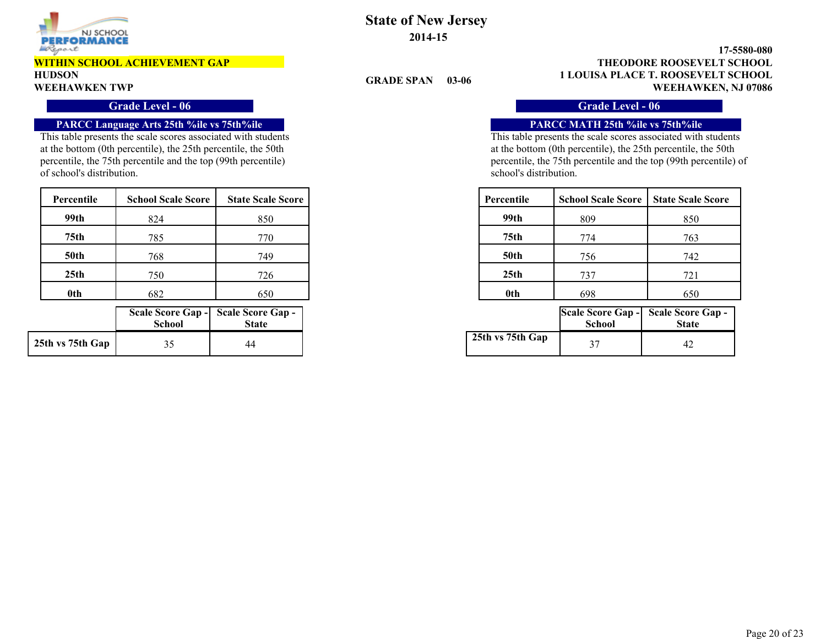

# **HUDSON**

#### **Grade Level - 06 Grade Level - 06**

#### **PARCC Language Arts 25th %ile vs 75th%ile PARCC MATH 25th %ile vs 75th%ile**

This table presents the scale scores associated with students at the bottom (0th percentile), the 25th percentile, the 50th percentile, the 75th percentile and the top (99th percentile) of school's distribution.

| Percentile       | <b>School Scale Score</b> | <b>State Scale Score</b> | Percentile       | <b>School Scale Score</b> | <b>State Scale Score</b> |
|------------------|---------------------------|--------------------------|------------------|---------------------------|--------------------------|
| 99th             | 824                       | 850                      | 99th             | 809                       | 850                      |
| 75th             | 785                       | 770                      | 75th             | 774                       | 763                      |
| <b>50th</b>      | 768                       | 749                      | <b>50th</b>      | 756                       | 742                      |
| 25 <sub>th</sub> | 750                       | 726                      | 25 <sub>th</sub> | 737                       | 721                      |
| 0th              | 682                       | 650                      | 0th              | 698                       | 650                      |

|                  | <b>School</b> | Scale Score Gap - Scale Score Gap -<br><b>State</b> |
|------------------|---------------|-----------------------------------------------------|
| 25th vs 75th Gap |               |                                                     |

### **State of New Jersey 2014-15**

**GRADE SPAN 03-06**

**1 LOUISA PLACE T. ROOSEVELT SCHOOL 17-5580-080 WEEHAWKEN TWP WEEHAWKEN, NJ 07086 THEODORE ROOSEVELT SCHOOL**

| cale Score | Percentile       | <b>School Scale Score</b> | <b>State Scale Score</b> |
|------------|------------------|---------------------------|--------------------------|
| 850        | 99th             | 809                       | 850                      |
| 770        | 75th             | 774                       | 763                      |
| 749        | <b>50th</b>      | 756                       | 742                      |
| 726        | 25 <sub>th</sub> | 737                       | 721                      |
| 650        | 0th              | 698                       | 650                      |

| hool | core Gap - Scale Score Gap -<br><b>State</b> |                  | School | Scale Score Gap - Scale Score Gap -<br><b>State</b> |
|------|----------------------------------------------|------------------|--------|-----------------------------------------------------|
| 35   | 44                                           | 25th vs 75th Gap | n m    | 4 <sub>4</sub>                                      |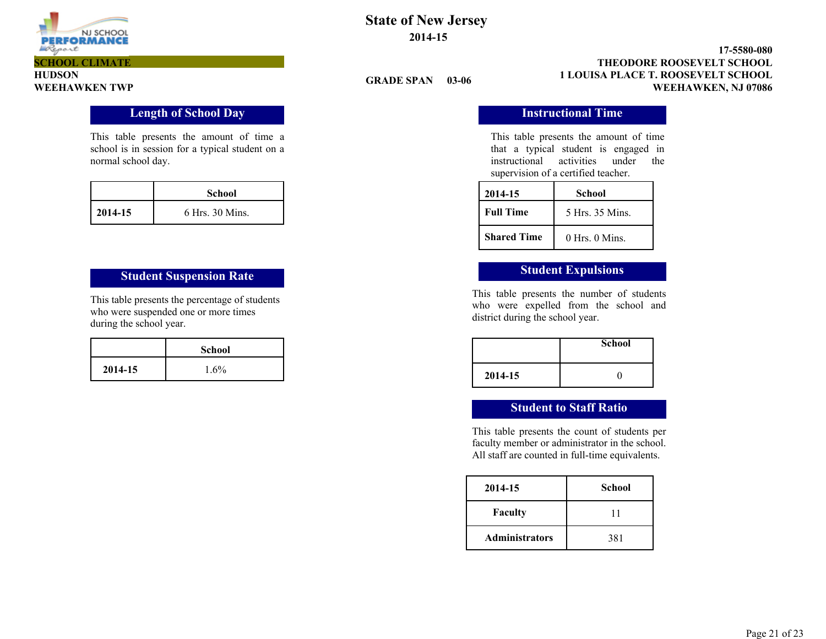

**HUDSON**

### **State of New Jersey 2014-15**

**GRADE SPAN 03-06**

**1 LOUISA PLACE T. ROOSEVELT SCHOOL 17-5580-080 WEEHAWKEN TWP WEEHAWKEN, NJ 07086 THEODORE ROOSEVELT SCHOOL**

### **Length of School Day Instructional Time**

This table presents the amount of time a school is in session for a typical student on a normal school day.

|         | School          |
|---------|-----------------|
| 2014-15 | 6 Hrs. 30 Mins. |

# **Student Suspension Rate Student Expulsions**

This table presents the percentage of students who were suspended one or more times during the school year.

|         | <b>School</b> |
|---------|---------------|
| 2014-15 | $1.6\%$       |

This table presents the amount of time that a typical student is engaged in instructional activities under the supervision of a certified teacher.

| 2014-15            | School             |  |  |
|--------------------|--------------------|--|--|
| <b>Full Time</b>   | 5 Hrs. 35 Mins.    |  |  |
| <b>Shared Time</b> | $0$ Hrs. $0$ Mins. |  |  |

This table presents the number of students who were expelled from the school and district during the school year.

|         | <b>School</b> |
|---------|---------------|
| 2014-15 |               |

### **Student to Staff Ratio**

This table presents the count of students per faculty member or administrator in the school. All staff are counted in full-time equivalents.

| 2014-15               | School |
|-----------------------|--------|
| <b>Faculty</b>        |        |
| <b>Administrators</b> | 381    |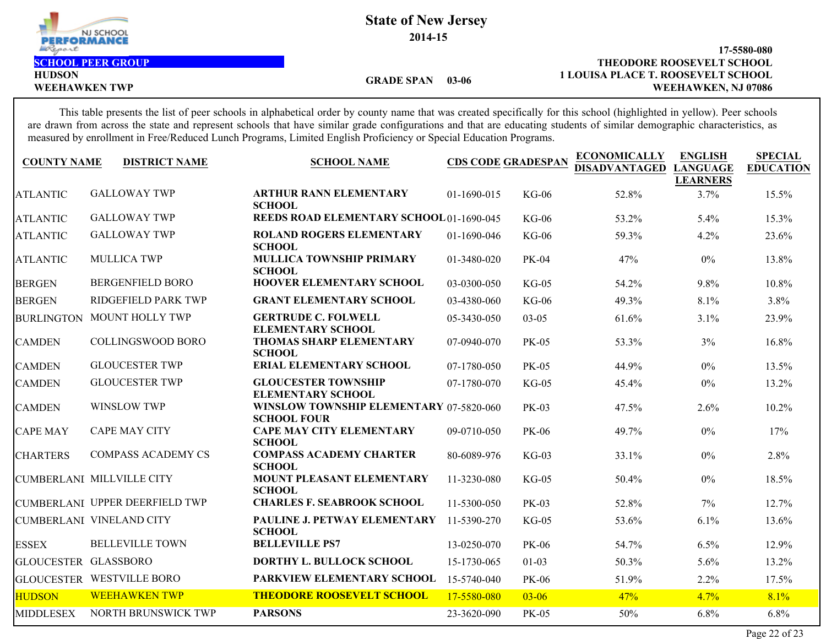

**2014-15**

**HUDSON**

#### **1 LOUISA PLACE T. ROOSEVELT SCHOOL 17-5580-080** WEEHAWKEN TWP **WEEHAWKEN, NJ 07086 SCHOOL PEER GROUP CONSERVELT SCHOOL**

**GRADE SPAN 03-06**

This table presents the list of peer schools in alphabetical order by county name that was created specifically for this school (highlighted in yellow). Peer schools are drawn from across the state and represent schools that have similar grade configurations and that are educating students of similar demographic characteristics, as measured by enrollment in Free/Reduced Lunch Programs, Limited English Proficiency or Special Education Programs.

| <b>COUNTY NAME</b>          | <b>DISTRICT NAME</b>              | <b>SCHOOL NAME</b>                                            | <b>CDS CODE GRADESPAN</b> |              | <b>ECONOMICALLY</b><br><b>DISADVANTAGED</b> | <b>ENGLISH</b><br><b>LANGUAGE</b><br><b>LEARNERS</b> | <b>SPECIAL</b><br><b>EDUCATION</b> |
|-----------------------------|-----------------------------------|---------------------------------------------------------------|---------------------------|--------------|---------------------------------------------|------------------------------------------------------|------------------------------------|
| <b>ATLANTIC</b>             | <b>GALLOWAY TWP</b>               | <b>ARTHUR RANN ELEMENTARY</b><br><b>SCHOOL</b>                | 01-1690-015               | <b>KG-06</b> | 52.8%                                       | 3.7%                                                 | 15.5%                              |
| <b>ATLANTIC</b>             | <b>GALLOWAY TWP</b>               | <b>REEDS ROAD ELEMENTARY SCHOOL 01-1690-045</b>               |                           | $KG-06$      | 53.2%                                       | 5.4%                                                 | 15.3%                              |
| <b>ATLANTIC</b>             | <b>GALLOWAY TWP</b>               | <b>ROLAND ROGERS ELEMENTARY</b><br><b>SCHOOL</b>              | 01-1690-046               | $KG-06$      | 59.3%                                       | 4.2%                                                 | 23.6%                              |
| <b>ATLANTIC</b>             | <b>MULLICA TWP</b>                | <b>MULLICA TOWNSHIP PRIMARY</b><br><b>SCHOOL</b>              | 01-3480-020               | <b>PK-04</b> | 47%                                         | $0\%$                                                | 13.8%                              |
| <b>BERGEN</b>               | <b>BERGENFIELD BORO</b>           | <b>HOOVER ELEMENTARY SCHOOL</b>                               | 03-0300-050               | $KG-05$      | 54.2%                                       | $9.8\%$                                              | 10.8%                              |
| <b>BERGEN</b>               | <b>RIDGEFIELD PARK TWP</b>        | <b>GRANT ELEMENTARY SCHOOL</b>                                | 03-4380-060               | $KG-06$      | 49.3%                                       | 8.1%                                                 | 3.8%                               |
|                             | <b>BURLINGTON MOUNT HOLLY TWP</b> | <b>GERTRUDE C. FOLWELL</b><br><b>ELEMENTARY SCHOOL</b>        | 05-3430-050               | $03 - 05$    | 61.6%                                       | 3.1%                                                 | 23.9%                              |
| <b>CAMDEN</b>               | <b>COLLINGSWOOD BORO</b>          | <b>THOMAS SHARP ELEMENTARY</b><br><b>SCHOOL</b>               | 07-0940-070               | <b>PK-05</b> | 53.3%                                       | 3%                                                   | 16.8%                              |
| <b>CAMDEN</b>               | <b>GLOUCESTER TWP</b>             | <b>ERIAL ELEMENTARY SCHOOL</b>                                | 07-1780-050               | <b>PK-05</b> | 44.9%                                       | $0\%$                                                | 13.5%                              |
| <b>CAMDEN</b>               | <b>GLOUCESTER TWP</b>             | <b>GLOUCESTER TOWNSHIP</b><br><b>ELEMENTARY SCHOOL</b>        | 07-1780-070               | $KG-05$      | 45.4%                                       | $0\%$                                                | 13.2%                              |
| <b>CAMDEN</b>               | <b>WINSLOW TWP</b>                | WINSLOW TOWNSHIP ELEMENTARY 07-5820-060<br><b>SCHOOL FOUR</b> |                           | <b>PK-03</b> | 47.5%                                       | 2.6%                                                 | 10.2%                              |
| <b>CAPE MAY</b>             | <b>CAPE MAY CITY</b>              | <b>CAPE MAY CITY ELEMENTARY</b><br><b>SCHOOL</b>              | 09-0710-050               | PK-06        | 49.7%                                       | $0\%$                                                | 17%                                |
| <b>CHARTERS</b>             | <b>COMPASS ACADEMY CS</b>         | <b>COMPASS ACADEMY CHARTER</b><br><b>SCHOOL</b>               | 80-6089-976               | $KG-03$      | 33.1%                                       | $0\%$                                                | 2.8%                               |
|                             | CUMBERLANI MILLVILLE CITY         | MOUNT PLEASANT ELEMENTARY<br><b>SCHOOL</b>                    | 11-3230-080               | $KG-05$      | 50.4%                                       | $0\%$                                                | 18.5%                              |
|                             | CUMBERLANI UPPER DEERFIELD TWP    | <b>CHARLES F. SEABROOK SCHOOL</b>                             | 11-5300-050               | <b>PK-03</b> | 52.8%                                       | 7%                                                   | 12.7%                              |
|                             | CUMBERLANI VINELAND CITY          | PAULINE J. PETWAY ELEMENTARY<br><b>SCHOOL</b>                 | 11-5390-270               | $KG-05$      | 53.6%                                       | 6.1%                                                 | 13.6%                              |
| <b>ESSEX</b>                | <b>BELLEVILLE TOWN</b>            | <b>BELLEVILLE PS7</b>                                         | 13-0250-070               | PK-06        | 54.7%                                       | 6.5%                                                 | 12.9%                              |
| <b>GLOUCESTER GLASSBORO</b> |                                   | <b>DORTHY L. BULLOCK SCHOOL</b>                               | 15-1730-065               | $01-03$      | 50.3%                                       | 5.6%                                                 | 13.2%                              |
|                             | <b>GLOUCESTER WESTVILLE BORO</b>  | PARKVIEW ELEMENTARY SCHOOL                                    | 15-5740-040               | <b>PK-06</b> | 51.9%                                       | $2.2\%$                                              | 17.5%                              |
| <b>HUDSON</b>               | <b>WEEHAWKEN TWP</b>              | <b>THEODORE ROOSEVELT SCHOOL</b>                              | 17-5580-080               | $03 - 06$    | 47%                                         | 4.7%                                                 | 8.1%                               |
| <b>MIDDLESEX</b>            | NORTH BRUNSWICK TWP               | <b>PARSONS</b>                                                | 23-3620-090               | <b>PK-05</b> | 50%                                         | 6.8%                                                 | 6.8%                               |